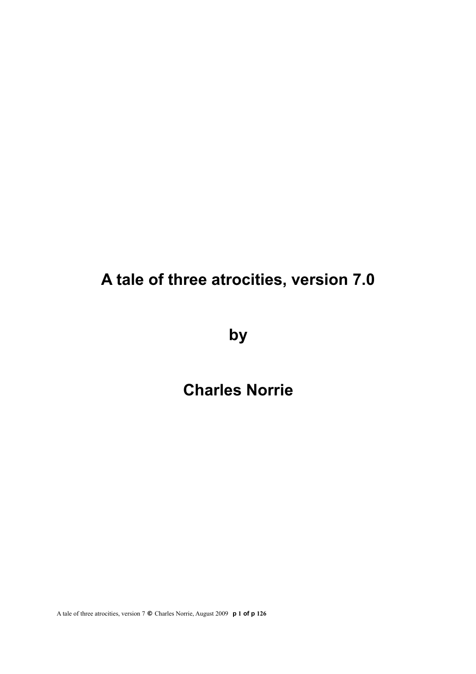# **A tale of three atrocities, version 7.0**

**by**

# **Charles Norrie**

A tale of three atrocities, version 7 **©** Charles Norrie, August 2009 **p 1 of p 126**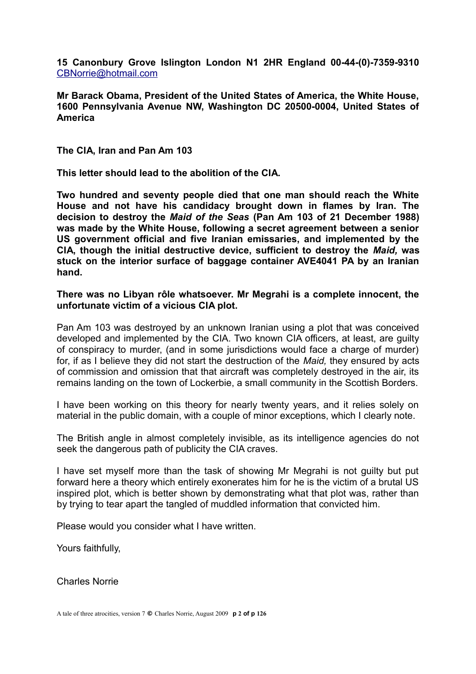**15 Canonbury Grove Islington London N1 2HR England 00-44-(0)-7359-9310** [CBNorrie@hotmail.com](mailto:CBNorrie@hotmail.com)

**Mr Barack Obama, President of the United States of America, the White House, 1600 Pennsylvania Avenue NW, Washington DC 20500-0004, United States of America**

**The CIA, Iran and Pan Am 103**

**This letter should lead to the abolition of the CIA.**

**Two hundred and seventy people died that one man should reach the White House and not have his candidacy brought down in flames by Iran. The decision to destroy the** *Maid of the Seas* **(Pan Am 103 of 21 December 1988) was made by the White House, following a secret agreement between a senior US government official and five Iranian emissaries, and implemented by the CIA, though the initial destructive device, sufficient to destroy the** *Maid,* **was stuck on the interior surface of baggage container AVE4041 PA by an Iranian hand.**

**There was no Libyan rôle whatsoever. Mr Megrahi is a complete innocent, the unfortunate victim of a vicious CIA plot.** 

Pan Am 103 was destroyed by an unknown Iranian using a plot that was conceived developed and implemented by the CIA. Two known CIA officers, at least, are guilty of conspiracy to murder, (and in some jurisdictions would face a charge of murder) for, if as I believe they did not start the destruction of the *Maid,* they ensured by acts of commission and omission that that aircraft was completely destroyed in the air, its remains landing on the town of Lockerbie, a small community in the Scottish Borders.

I have been working on this theory for nearly twenty years, and it relies solely on material in the public domain, with a couple of minor exceptions, which I clearly note.

The British angle in almost completely invisible, as its intelligence agencies do not seek the dangerous path of publicity the CIA craves.

I have set myself more than the task of showing Mr Megrahi is not guilty but put forward here a theory which entirely exonerates him for he is the victim of a brutal US inspired plot, which is better shown by demonstrating what that plot was, rather than by trying to tear apart the tangled of muddled information that convicted him.

Please would you consider what I have written.

Yours faithfully,

Charles Norrie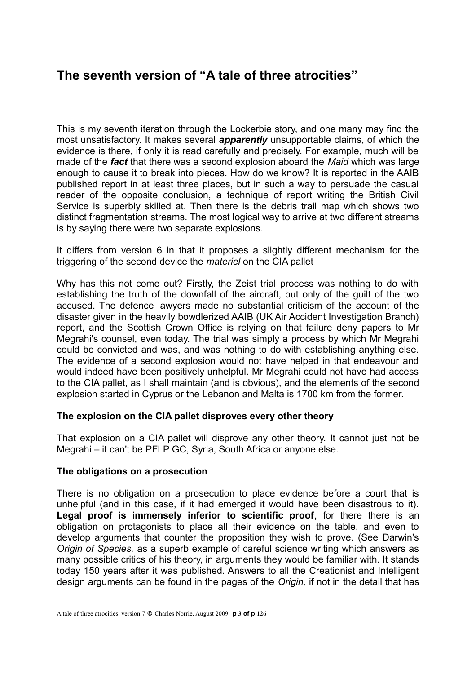# **The seventh version of "A tale of three atrocities"**

This is my seventh iteration through the Lockerbie story, and one many may find the most unsatisfactory. It makes several *apparently* unsupportable claims, of which the evidence is there, if only it is read carefully and precisely. For example, much will be made of the *fact* that there was a second explosion aboard the *Maid* which was large enough to cause it to break into pieces. How do we know? It is reported in the AAIB published report in at least three places, but in such a way to persuade the casual reader of the opposite conclusion, a technique of report writing the British Civil Service is superbly skilled at. Then there is the debris trail map which shows two distinct fragmentation streams. The most logical way to arrive at two different streams is by saying there were two separate explosions.

It differs from version 6 in that it proposes a slightly different mechanism for the triggering of the second device the *materiel* on the CIA pallet

Why has this not come out? Firstly, the Zeist trial process was nothing to do with establishing the truth of the downfall of the aircraft, but only of the guilt of the two accused. The defence lawyers made no substantial criticism of the account of the disaster given in the heavily bowdlerized AAIB (UK Air Accident Investigation Branch) report, and the Scottish Crown Office is relying on that failure deny papers to Mr Megrahi's counsel, even today. The trial was simply a process by which Mr Megrahi could be convicted and was, and was nothing to do with establishing anything else. The evidence of a second explosion would not have helped in that endeavour and would indeed have been positively unhelpful. Mr Megrahi could not have had access to the CIA pallet, as I shall maintain (and is obvious), and the elements of the second explosion started in Cyprus or the Lebanon and Malta is 1700 km from the former.

#### **The explosion on the CIA pallet disproves every other theory**

That explosion on a CIA pallet will disprove any other theory. It cannot just not be Megrahi – it can't be PFLP GC, Syria, South Africa or anyone else.

#### **The obligations on a prosecution**

There is no obligation on a prosecution to place evidence before a court that is unhelpful (and in this case, if it had emerged it would have been disastrous to it). Legal proof is immensely inferior to scientific proof, for there there is an obligation on protagonists to place all their evidence on the table, and even to develop arguments that counter the proposition they wish to prove. (See Darwin's *Origin of Species,* as a superb example of careful science writing which answers as many possible critics of his theory, in arguments they would be familiar with. It stands today 150 years after it was published. Answers to all the Creationist and Intelligent design arguments can be found in the pages of the *Origin,* if not in the detail that has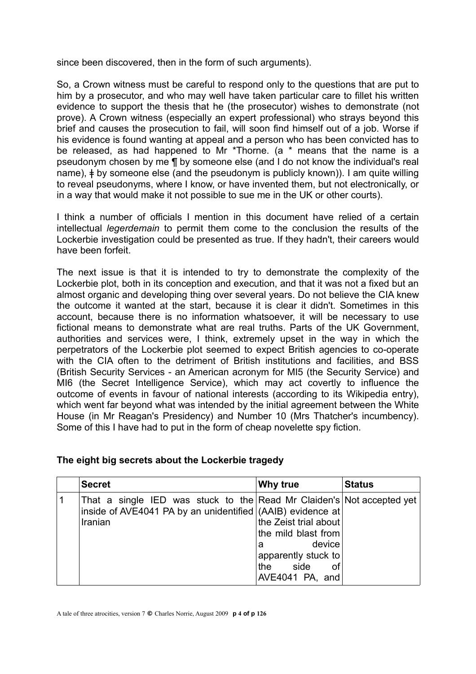since been discovered, then in the form of such arguments).

So, a Crown witness must be careful to respond only to the questions that are put to him by a prosecutor, and who may well have taken particular care to fillet his written evidence to support the thesis that he (the prosecutor) wishes to demonstrate (not prove). A Crown witness (especially an expert professional) who strays beyond this brief and causes the prosecution to fail, will soon find himself out of a job. Worse if his evidence is found wanting at appeal and a person who has been convicted has to be released, as had happened to Mr \*Thorne. (a \* means that the name is a pseudonym chosen by me ¶ by someone else (and I do not know the individual's real name),  $\neq$  by someone else (and the pseudonym is publicly known)). I am quite willing to reveal pseudonyms, where I know, or have invented them, but not electronically, or in a way that would make it not possible to sue me in the UK or other courts).

I think a number of officials I mention in this document have relied of a certain intellectual *legerdemain* to permit them come to the conclusion the results of the Lockerbie investigation could be presented as true. If they hadn't, their careers would have been forfeit.

The next issue is that it is intended to try to demonstrate the complexity of the Lockerbie plot, both in its conception and execution, and that it was not a fixed but an almost organic and developing thing over several years. Do not believe the CIA knew the outcome it wanted at the start, because it is clear it didn't. Sometimes in this account, because there is no information whatsoever, it will be necessary to use fictional means to demonstrate what are real truths. Parts of the UK Government, authorities and services were, I think, extremely upset in the way in which the perpetrators of the Lockerbie plot seemed to expect British agencies to co-operate with the CIA often to the detriment of British institutions and facilities, and BSS (British Security Services - an American acronym for MI5 (the Security Service) and MI6 (the Secret Intelligence Service), which may act covertly to influence the outcome of events in favour of national interests (according to its Wikipedia entry), which went far beyond what was intended by the initial agreement between the White House (in Mr Reagan's Presidency) and Number 10 (Mrs Thatcher's incumbency). Some of this I have had to put in the form of cheap novelette spy fiction.

#### **The eight big secrets about the Lockerbie tragedy**

| <b>Secret</b>                                                                                                                                  | Why true                                                                                                             | <b>Status</b> |
|------------------------------------------------------------------------------------------------------------------------------------------------|----------------------------------------------------------------------------------------------------------------------|---------------|
| That a single IED was stuck to the Read Mr Claiden's Not accepted yet<br>inside of AVE4041 PA by an unidentified (AAIB) evidence at<br>Iranian | the Zeist trial about<br>the mild blast from<br>device<br>a<br>apparently stuck to<br>the side of<br>AVE4041 PA, and |               |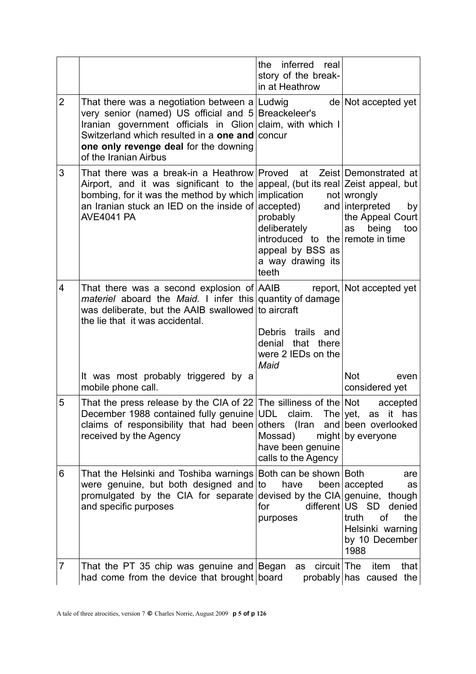|                |                                                                                                                                                                                                                                                                                       | inferred real<br>the<br>story of the break-<br>in at Heathrow                                                                               |                                                                                                                             |
|----------------|---------------------------------------------------------------------------------------------------------------------------------------------------------------------------------------------------------------------------------------------------------------------------------------|---------------------------------------------------------------------------------------------------------------------------------------------|-----------------------------------------------------------------------------------------------------------------------------|
| $\overline{2}$ | That there was a negotiation between a Ludwig<br>very senior (named) US official and 5 Breackeleer's<br>Iranian government officials in Glion claim, with which I<br>Switzerland which resulted in a one and concur<br>one only revenge deal for the downing<br>of the Iranian Airbus |                                                                                                                                             | de Not accepted yet                                                                                                         |
| 3              | That there was a break-in a Heathrow Proved at<br>Airport, and it was significant to the appeal, (but its real Zeist appeal, but<br>bombing, for it was the method by which implication<br>an Iranian stuck an IED on the inside of<br><b>AVE4041 PA</b>                              | $acceled$ and interpreted<br>probably<br>deliberately<br>introduced to the remote in time<br>appeal by BSS as<br>a way drawing its<br>teeth | Zeist Demonstrated at<br>$not $ wrongly<br>by<br>the Appeal Court<br>as<br>being<br>too                                     |
| 4              | That there was a second explosion of $ A A B$ report, Not accepted yet<br><i>materiel</i> aboard the <i>Maid</i> . I infer this quantity of damage<br>was deliberate, but the AAIB swallowed to aircraft<br>the lie that it was accidental.<br>It was most probably triggered by a    | Debris trails and<br>denial<br>that there<br>were 2 IEDs on the<br>Maid                                                                     | <b>Not</b><br>even                                                                                                          |
| 5              | mobile phone call.<br>That the press release by the CIA of 22 The silliness of the Not<br>December 1988 contained fully genuine UDL claim. The yet, as it has<br>claims of responsibility that had been others (Iran<br>received by the Agency                                        | Mossad)<br>have been genuine<br>calls to the Agency                                                                                         | considered yet<br>accepted<br>and been overlooked<br>$might $ by everyone                                                   |
| 6              | That the Helsinki and Toshiba warnings<br>were genuine, but both designed and<br>promulgated by the CIA for separate<br>and specific purposes                                                                                                                                         | Both can be shown Both<br>have<br>to<br>devised by the CIA genuine, though<br>for<br>purposes                                               | are<br>been accepted<br>as<br>different US SD<br>denied<br>truth<br>οf<br>the<br>Helsinki warning<br>by 10 December<br>1988 |
| 7              | That the PT 35 chip was genuine and Began<br>had come from the device that brought board                                                                                                                                                                                              | circuit The<br>as                                                                                                                           | item<br>that<br>probably has caused the                                                                                     |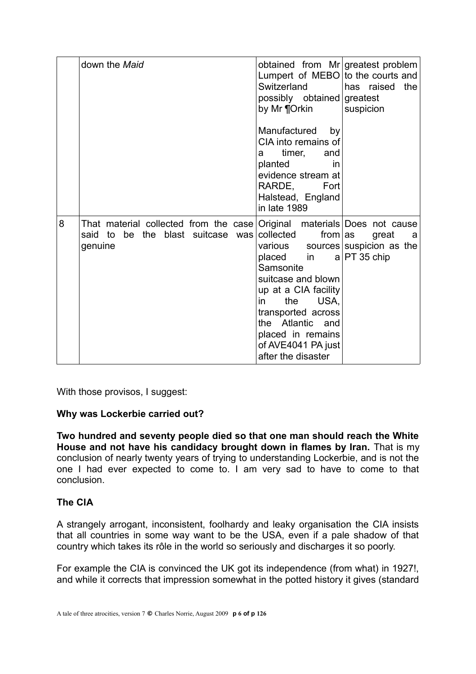|   | down the Maid                                                                                                              | obtained from Mr greatest problem<br>Lumpert of MEBO to the courts and<br>Switzerland<br>possibly obtained greatest<br>by Mr ¶Orkin<br>Manufactured<br>by<br>CIA into remains of<br>timer,<br>and<br>a<br>planted<br>in<br>evidence stream at<br>RARDE,<br>Fort<br>Halstead, England<br>in late 1989 | has raised<br>the<br>suspicion                           |
|---|----------------------------------------------------------------------------------------------------------------------------|------------------------------------------------------------------------------------------------------------------------------------------------------------------------------------------------------------------------------------------------------------------------------------------------------|----------------------------------------------------------|
| 8 | That material collected from the case Original materials Does not cause<br>be the blast suitcase was<br>said to<br>genuine | collected<br>from $ as $<br>various<br>placed in<br>Samsonite<br>suitcase and blown<br>up at a CIA facility<br>USA,<br>the<br>in<br>transported across<br>the Atlantic and<br>placed in remains<br>of AVE4041 PA just<br>after the disaster                                                          | great<br>а<br>sources suspicion as the<br>$a PT 35$ chip |

With those provisos, I suggest:

#### **Why was Lockerbie carried out?**

**Two hundred and seventy people died so that one man should reach the White House and not have his candidacy brought down in flames by Iran.** That is my conclusion of nearly twenty years of trying to understanding Lockerbie, and is not the one I had ever expected to come to. I am very sad to have to come to that conclusion.

#### **The CIA**

A strangely arrogant, inconsistent, foolhardy and leaky organisation the CIA insists that all countries in some way want to be the USA, even if a pale shadow of that country which takes its rôle in the world so seriously and discharges it so poorly.

For example the CIA is convinced the UK got its independence (from what) in 1927!, and while it corrects that impression somewhat in the potted history it gives (standard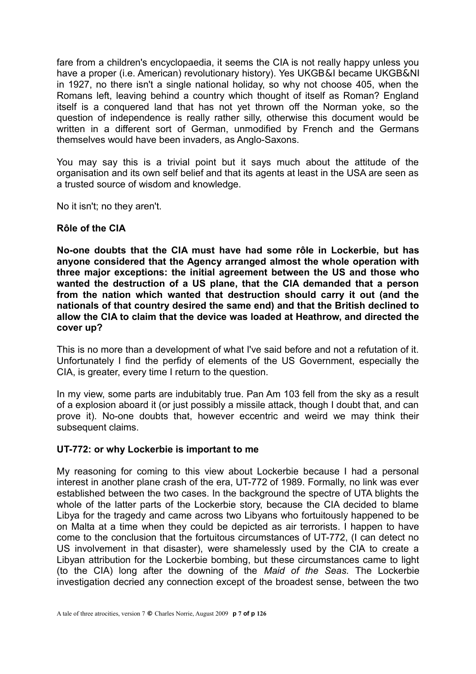fare from a children's encyclopaedia, it seems the CIA is not really happy unless you have a proper (i.e. American) revolutionary history). Yes UKGB&I became UKGB&NI in 1927, no there isn't a single national holiday, so why not choose 405, when the Romans left, leaving behind a country which thought of itself as Roman? England itself is a conquered land that has not yet thrown off the Norman yoke, so the question of independence is really rather silly, otherwise this document would be written in a different sort of German, unmodified by French and the Germans themselves would have been invaders, as Anglo-Saxons.

You may say this is a trivial point but it says much about the attitude of the organisation and its own self belief and that its agents at least in the USA are seen as a trusted source of wisdom and knowledge.

No it isn't; no they aren't.

#### **Rôle of the CIA**

**No-one doubts that the CIA must have had some rôle in Lockerbie, but has anyone considered that the Agency arranged almost the whole operation with three major exceptions: the initial agreement between the US and those who wanted the destruction of a US plane, that the CIA demanded that a person from the nation which wanted that destruction should carry it out (and the nationals of that country desired the same end) and that the British declined to allow the CIA to claim that the device was loaded at Heathrow, and directed the cover up?**

This is no more than a development of what I've said before and not a refutation of it. Unfortunately I find the perfidy of elements of the US Government, especially the CIA, is greater, every time I return to the question.

In my view, some parts are indubitably true. Pan Am 103 fell from the sky as a result of a explosion aboard it (or just possibly a missile attack, though I doubt that, and can prove it). No-one doubts that, however eccentric and weird we may think their subsequent claims.

#### **UT-772: or why Lockerbie is important to me**

My reasoning for coming to this view about Lockerbie because I had a personal interest in another plane crash of the era, UT-772 of 1989. Formally, no link was ever established between the two cases. In the background the spectre of UTA blights the whole of the latter parts of the Lockerbie story, because the CIA decided to blame Libya for the tragedy and came across two Libyans who fortuitously happened to be on Malta at a time when they could be depicted as air terrorists. I happen to have come to the conclusion that the fortuitous circumstances of UT-772, (I can detect no US involvement in that disaster), were shamelessly used by the CIA to create a Libyan attribution for the Lockerbie bombing, but these circumstances came to light (to the CIA) long after the downing of the *Maid of the Seas.* The Lockerbie investigation decried any connection except of the broadest sense, between the two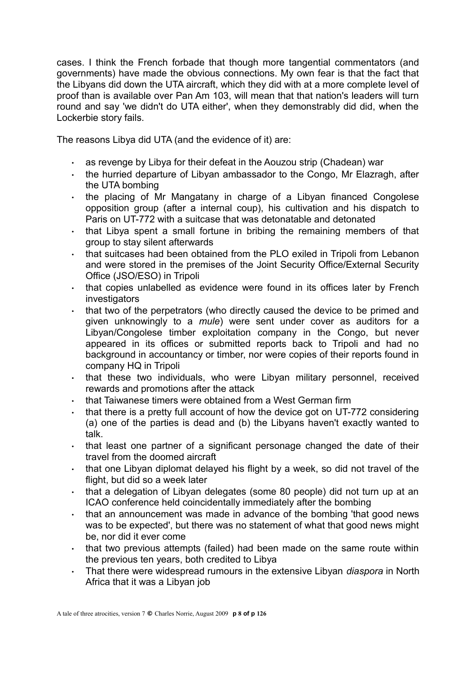cases. I think the French forbade that though more tangential commentators (and governments) have made the obvious connections. My own fear is that the fact that the Libyans did down the UTA aircraft, which they did with at a more complete level of proof than is available over Pan Am 103, will mean that that nation's leaders will turn round and say 'we didn't do UTA either', when they demonstrably did did, when the Lockerbie story fails.

The reasons Libya did UTA (and the evidence of it) are:

- as revenge by Libya for their defeat in the Aouzou strip (Chadean) war
- $\cdot$  the hurried departure of Libyan ambassador to the Congo, Mr Elazragh, after the UTA bombing
- the placing of Mr Mangatany in charge of a Libyan financed Congolese opposition group (after a internal coup), his cultivation and his dispatch to Paris on UT-772 with a suitcase that was detonatable and detonated
- $\cdot$  that Libya spent a small fortune in bribing the remaining members of that group to stay silent afterwards
- $\cdot$  that suitcases had been obtained from the PLO exiled in Tripoli from Lebanon and were stored in the premises of the Joint Security Office/External Security Office (JSO/ESO) in Tripoli
- $\cdot$  that copies unlabelled as evidence were found in its offices later by French investigators
- $\cdot$  that two of the perpetrators (who directly caused the device to be primed and given unknowingly to a *mule*) were sent under cover as auditors for a Libyan/Congolese timber exploitation company in the Congo, but never appeared in its offices or submitted reports back to Tripoli and had no background in accountancy or timber, nor were copies of their reports found in company HQ in Tripoli
- . that these two individuals, who were Libyan military personnel, received rewards and promotions after the attack
- . that Taiwanese timers were obtained from a West German firm
- that there is a pretty full account of how the device got on UT-772 considering (a) one of the parties is dead and (b) the Libyans haven't exactly wanted to talk.
- $\cdot$  that least one partner of a significant personage changed the date of their travel from the doomed aircraft
- $\cdot$  that one Libyan diplomat delayed his flight by a week, so did not travel of the flight, but did so a week later
- . that a delegation of Libyan delegates (some 80 people) did not turn up at an ICAO conference held coincidentally immediately after the bombing
- $\cdot$  that an announcement was made in advance of the bombing 'that good news was to be expected', but there was no statement of what that good news might be, nor did it ever come
- $\cdot$  that two previous attempts (failed) had been made on the same route within the previous ten years, both credited to Libya
- That there were widespread rumours in the extensive Libyan *diaspora* in North Africa that it was a Libyan job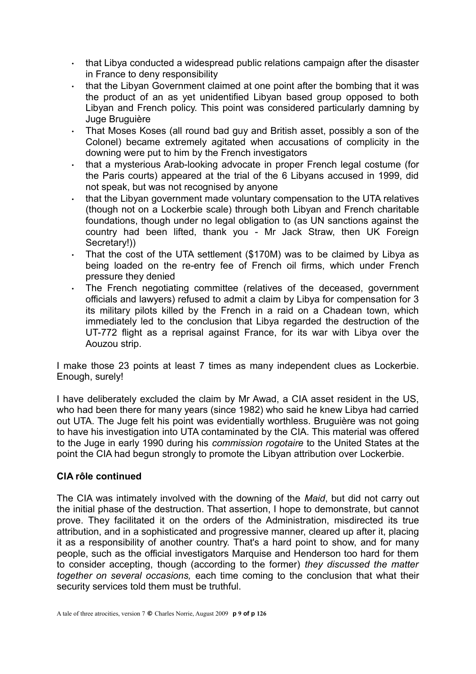- $\cdot$  that Libya conducted a widespread public relations campaign after the disaster in France to deny responsibility
- $\cdot$  that the Libyan Government claimed at one point after the bombing that it was the product of an as yet unidentified Libyan based group opposed to both Libyan and French policy. This point was considered particularly damning by Juge Bruguière
- That Moses Koses (all round bad guy and British asset, possibly a son of the Colonel) became extremely agitated when accusations of complicity in the downing were put to him by the French investigators
- . that a mysterious Arab-looking advocate in proper French legal costume (for the Paris courts) appeared at the trial of the 6 Libyans accused in 1999, did not speak, but was not recognised by anyone
- $\cdot$  that the Libyan government made voluntary compensation to the UTA relatives (though not on a Lockerbie scale) through both Libyan and French charitable foundations, though under no legal obligation to (as UN sanctions against the country had been lifted, thank you - Mr Jack Straw, then UK Foreign Secretary!))
- That the cost of the UTA settlement (\$170M) was to be claimed by Libya as being loaded on the re-entry fee of French oil firms, which under French pressure they denied
- The French negotiating committee (relatives of the deceased, government officials and lawyers) refused to admit a claim by Libya for compensation for 3 its military pilots killed by the French in a raid on a Chadean town, which immediately led to the conclusion that Libya regarded the destruction of the UT-772 flight as a reprisal against France, for its war with Libya over the Aouzou strip.

I make those 23 points at least 7 times as many independent clues as Lockerbie. Enough, surely!

I have deliberately excluded the claim by Mr Awad, a CIA asset resident in the US, who had been there for many years (since 1982) who said he knew Libya had carried out UTA. The Juge felt his point was evidentially worthless. Bruguière was not going to have his investigation into UTA contaminated by the CIA. This material was offered to the Juge in early 1990 during his *commission rogotaire* to the United States at the point the CIA had begun strongly to promote the Libyan attribution over Lockerbie.

# **CIA rôle continued**

The CIA was intimately involved with the downing of the *Maid*, but did not carry out the initial phase of the destruction. That assertion, I hope to demonstrate, but cannot prove. They facilitated it on the orders of the Administration, misdirected its true attribution, and in a sophisticated and progressive manner, cleared up after it, placing it as a responsibility of another country. That's a hard point to show, and for many people, such as the official investigators Marquise and Henderson too hard for them to consider accepting, though (according to the former) *they discussed the matter together on several occasions,* each time coming to the conclusion that what their security services told them must be truthful.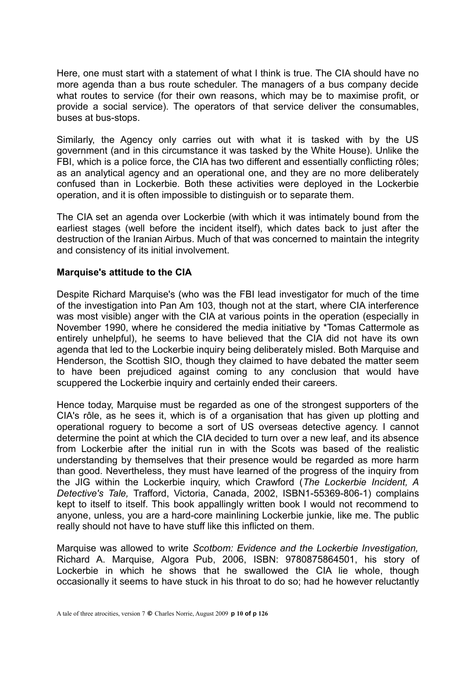Here, one must start with a statement of what I think is true. The CIA should have no more agenda than a bus route scheduler. The managers of a bus company decide what routes to service (for their own reasons, which may be to maximise profit, or provide a social service). The operators of that service deliver the consumables, buses at bus-stops.

Similarly, the Agency only carries out with what it is tasked with by the US government (and in this circumstance it was tasked by the White House). Unlike the FBI, which is a police force, the CIA has two different and essentially conflicting rôles; as an analytical agency and an operational one, and they are no more deliberately confused than in Lockerbie. Both these activities were deployed in the Lockerbie operation, and it is often impossible to distinguish or to separate them.

The CIA set an agenda over Lockerbie (with which it was intimately bound from the earliest stages (well before the incident itself), which dates back to just after the destruction of the Iranian Airbus. Much of that was concerned to maintain the integrity and consistency of its initial involvement.

#### **Marquise's attitude to the CIA**

Despite Richard Marquise's (who was the FBI lead investigator for much of the time of the investigation into Pan Am 103, though not at the start, where CIA interference was most visible) anger with the CIA at various points in the operation (especially in November 1990, where he considered the media initiative by \*Tomas Cattermole as entirely unhelpful), he seems to have believed that the CIA did not have its own agenda that led to the Lockerbie inquiry being deliberately misled. Both Marquise and Henderson, the Scottish SIO, though they claimed to have debated the matter seem to have been prejudiced against coming to any conclusion that would have scuppered the Lockerbie inquiry and certainly ended their careers.

Hence today, Marquise must be regarded as one of the strongest supporters of the CIA's rôle, as he sees it, which is of a organisation that has given up plotting and operational roguery to become a sort of US overseas detective agency. I cannot determine the point at which the CIA decided to turn over a new leaf, and its absence from Lockerbie after the initial run in with the Scots was based of the realistic understanding by themselves that their presence would be regarded as more harm than good. Nevertheless, they must have learned of the progress of the inquiry from the JIG within the Lockerbie inquiry, which Crawford (*The Lockerbie Incident, A Detective's Tale,* Trafford, Victoria, Canada, 2002, ISBN1-55369-806-1) complains kept to itself to itself. This book appallingly written book I would not recommend to anyone, unless, you are a hard-core mainlining Lockerbie junkie, like me. The public really should not have to have stuff like this inflicted on them.

Marquise was allowed to write *Scotbom: Evidence and the Lockerbie Investigation,* Richard A. Marquise*,* Algora Pub, 2006, ISBN: 9780875864501, his story of Lockerbie in which he shows that he swallowed the CIA lie whole, though occasionally it seems to have stuck in his throat to do so; had he however reluctantly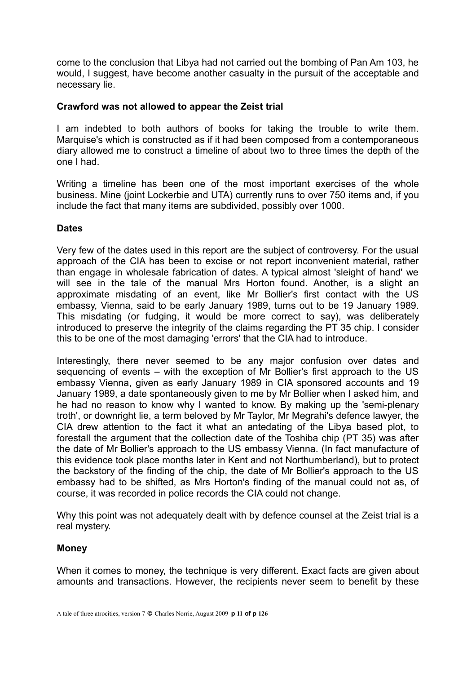come to the conclusion that Libya had not carried out the bombing of Pan Am 103, he would, I suggest, have become another casualty in the pursuit of the acceptable and necessary lie.

#### **Crawford was not allowed to appear the Zeist trial**

I am indebted to both authors of books for taking the trouble to write them. Marquise's which is constructed as if it had been composed from a contemporaneous diary allowed me to construct a timeline of about two to three times the depth of the one I had.

Writing a timeline has been one of the most important exercises of the whole business. Mine (joint Lockerbie and UTA) currently runs to over 750 items and, if you include the fact that many items are subdivided, possibly over 1000.

#### **Dates**

Very few of the dates used in this report are the subject of controversy. For the usual approach of the CIA has been to excise or not report inconvenient material, rather than engage in wholesale fabrication of dates. A typical almost 'sleight of hand' we will see in the tale of the manual Mrs Horton found. Another, is a slight an approximate misdating of an event, like Mr Bollier's first contact with the US embassy, Vienna, said to be early January 1989, turns out to be 19 January 1989. This misdating (or fudging, it would be more correct to say), was deliberately introduced to preserve the integrity of the claims regarding the PT 35 chip. I consider this to be one of the most damaging 'errors' that the CIA had to introduce.

Interestingly, there never seemed to be any major confusion over dates and sequencing of events – with the exception of Mr Bollier's first approach to the US embassy Vienna, given as early January 1989 in CIA sponsored accounts and 19 January 1989, a date spontaneously given to me by Mr Bollier when I asked him, and he had no reason to know why I wanted to know. By making up the 'semi-plenary troth', or downright lie, a term beloved by Mr Taylor, Mr Megrahi's defence lawyer, the CIA drew attention to the fact it what an antedating of the Libya based plot, to forestall the argument that the collection date of the Toshiba chip (PT 35) was after the date of Mr Bollier's approach to the US embassy Vienna. (In fact manufacture of this evidence took place months later in Kent and not Northumberland), but to protect the backstory of the finding of the chip, the date of Mr Bollier's approach to the US embassy had to be shifted, as Mrs Horton's finding of the manual could not as, of course, it was recorded in police records the CIA could not change.

Why this point was not adequately dealt with by defence counsel at the Zeist trial is a real mystery.

#### **Money**

When it comes to money, the technique is very different. Exact facts are given about amounts and transactions. However, the recipients never seem to benefit by these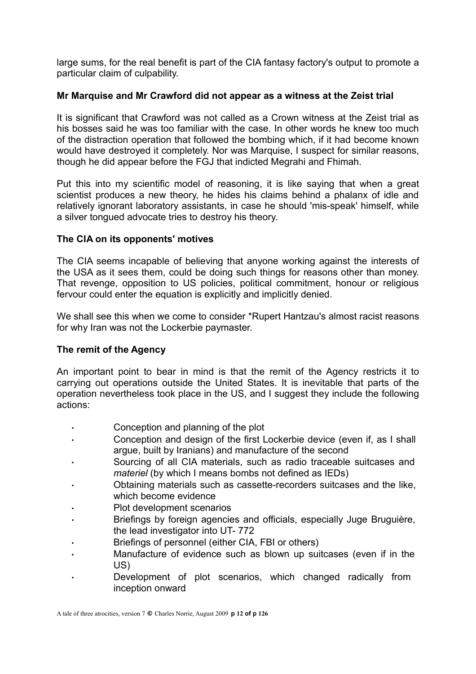large sums, for the real benefit is part of the CIA fantasy factory's output to promote a particular claim of culpability.

### **Mr Marquise and Mr Crawford did not appear as a witness at the Zeist trial**

It is significant that Crawford was not called as a Crown witness at the Zeist trial as his bosses said he was too familiar with the case. In other words he knew too much of the distraction operation that followed the bombing which, if it had become known would have destroyed it completely. Nor was Marquise, I suspect for similar reasons, though he did appear before the FGJ that indicted Megrahi and Fhimah.

Put this into my scientific model of reasoning, it is like saying that when a great scientist produces a new theory, he hides his claims behind a phalanx of idle and relatively ignorant laboratory assistants, in case he should 'mis-speak' himself, while a silver tongued advocate tries to destroy his theory.

# **The CIA on its opponents' motives**

The CIA seems incapable of believing that anyone working against the interests of the USA as it sees them, could be doing such things for reasons other than money. That revenge, opposition to US policies, political commitment, honour or religious fervour could enter the equation is explicitly and implicitly denied.

We shall see this when we come to consider \*Rupert Hantzau's almost racist reasons for why Iran was not the Lockerbie paymaster.

# **The remit of the Agency**

An important point to bear in mind is that the remit of the Agency restricts it to carrying out operations outside the United States. It is inevitable that parts of the operation nevertheless took place in the US, and I suggest they include the following actions:

- Conception and planning of the plot
- Conception and design of the first Lockerbie device (even if, as I shall argue, built by Iranians) and manufacture of the second
- Sourcing of all CIA materials, such as radio traceable suitcases and *materiel* (by which I means bombs not defined as IEDs)
- Obtaining materials such as cassette-recorders suitcases and the like, which become evidence
- Plot development scenarios
- Briefings by foreign agencies and officials, especially Juge Bruguière, the lead investigator into UT- 772
- Briefings of personnel (either CIA, FBI or others)
- Manufacture of evidence such as blown up suitcases (even if in the US)
- Development of plot scenarios, which changed radically from inception onward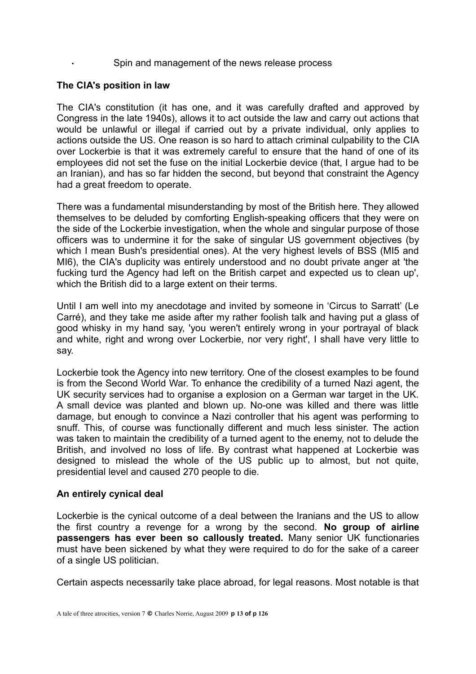#### Spin and management of the news release process

#### **The CIA's position in law**

The CIA's constitution (it has one, and it was carefully drafted and approved by Congress in the late 1940s), allows it to act outside the law and carry out actions that would be unlawful or illegal if carried out by a private individual, only applies to actions outside the US. One reason is so hard to attach criminal culpability to the CIA over Lockerbie is that it was extremely careful to ensure that the hand of one of its employees did not set the fuse on the initial Lockerbie device (that, I argue had to be an Iranian), and has so far hidden the second, but beyond that constraint the Agency had a great freedom to operate.

There was a fundamental misunderstanding by most of the British here. They allowed themselves to be deluded by comforting English-speaking officers that they were on the side of the Lockerbie investigation, when the whole and singular purpose of those officers was to undermine it for the sake of singular US government objectives (by which I mean Bush's presidential ones). At the very highest levels of BSS (MI5 and MI6), the CIA's duplicity was entirely understood and no doubt private anger at 'the fucking turd the Agency had left on the British carpet and expected us to clean up', which the British did to a large extent on their terms.

Until I am well into my anecdotage and invited by someone in 'Circus to Sarratt' (Le Carré), and they take me aside after my rather foolish talk and having put a glass of good whisky in my hand say, 'you weren't entirely wrong in your portrayal of black and white, right and wrong over Lockerbie, nor very right', I shall have very little to say.

Lockerbie took the Agency into new territory. One of the closest examples to be found is from the Second World War. To enhance the credibility of a turned Nazi agent, the UK security services had to organise a explosion on a German war target in the UK. A small device was planted and blown up. No-one was killed and there was little damage, but enough to convince a Nazi controller that his agent was performing to snuff. This, of course was functionally different and much less sinister. The action was taken to maintain the credibility of a turned agent to the enemy, not to delude the British, and involved no loss of life. By contrast what happened at Lockerbie was designed to mislead the whole of the US public up to almost, but not quite, presidential level and caused 270 people to die.

#### **An entirely cynical deal**

Lockerbie is the cynical outcome of a deal between the Iranians and the US to allow the first country a revenge for a wrong by the second. **No group of airline passengers has ever been so callously treated.** Many senior UK functionaries must have been sickened by what they were required to do for the sake of a career of a single US politician.

Certain aspects necessarily take place abroad, for legal reasons. Most notable is that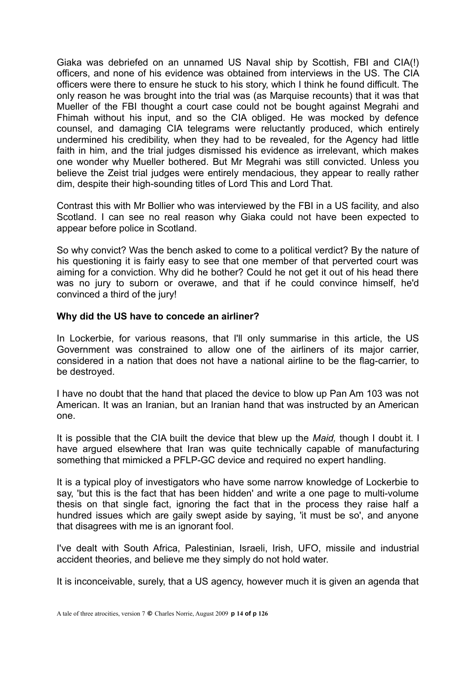Giaka was debriefed on an unnamed US Naval ship by Scottish, FBI and CIA(!) officers, and none of his evidence was obtained from interviews in the US. The CIA officers were there to ensure he stuck to his story, which I think he found difficult. The only reason he was brought into the trial was (as Marquise recounts) that it was that Mueller of the FBI thought a court case could not be bought against Megrahi and Fhimah without his input, and so the CIA obliged. He was mocked by defence counsel, and damaging CIA telegrams were reluctantly produced, which entirely undermined his credibility, when they had to be revealed, for the Agency had little faith in him, and the trial judges dismissed his evidence as irrelevant, which makes one wonder why Mueller bothered. But Mr Megrahi was still convicted. Unless you believe the Zeist trial judges were entirely mendacious, they appear to really rather dim, despite their high-sounding titles of Lord This and Lord That.

Contrast this with Mr Bollier who was interviewed by the FBI in a US facility, and also Scotland. I can see no real reason why Giaka could not have been expected to appear before police in Scotland.

So why convict? Was the bench asked to come to a political verdict? By the nature of his questioning it is fairly easy to see that one member of that perverted court was aiming for a conviction. Why did he bother? Could he not get it out of his head there was no jury to suborn or overawe, and that if he could convince himself, he'd convinced a third of the jury!

#### **Why did the US have to concede an airliner?**

In Lockerbie, for various reasons, that I'll only summarise in this article, the US Government was constrained to allow one of the airliners of its major carrier, considered in a nation that does not have a national airline to be the flag-carrier, to be destroyed.

I have no doubt that the hand that placed the device to blow up Pan Am 103 was not American. It was an Iranian, but an Iranian hand that was instructed by an American one.

It is possible that the CIA built the device that blew up the *Maid,* though I doubt it. I have argued elsewhere that Iran was quite technically capable of manufacturing something that mimicked a PFLP-GC device and required no expert handling.

It is a typical ploy of investigators who have some narrow knowledge of Lockerbie to say, 'but this is the fact that has been hidden' and write a one page to multi-volume thesis on that single fact, ignoring the fact that in the process they raise half a hundred issues which are gaily swept aside by saying, 'it must be so', and anyone that disagrees with me is an ignorant fool.

I've dealt with South Africa, Palestinian, Israeli, Irish, UFO, missile and industrial accident theories, and believe me they simply do not hold water.

It is inconceivable, surely, that a US agency, however much it is given an agenda that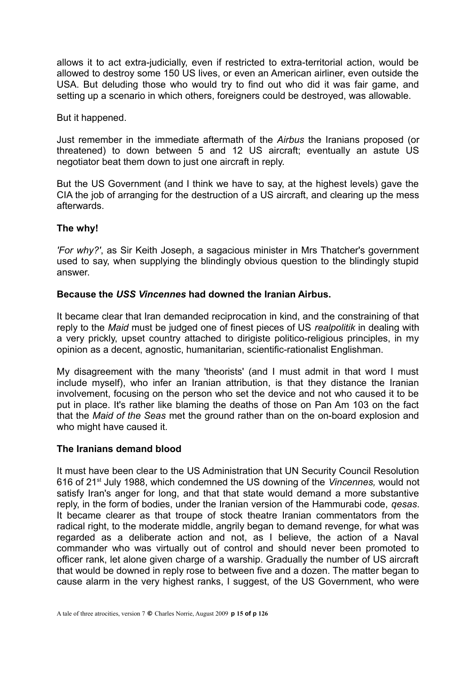allows it to act extra-judicially, even if restricted to extra-territorial action, would be allowed to destroy some 150 US lives, or even an American airliner, even outside the USA. But deluding those who would try to find out who did it was fair game, and setting up a scenario in which others, foreigners could be destroyed, was allowable.

But it happened.

Just remember in the immediate aftermath of the *Airbus* the Iranians proposed (or threatened) to down between 5 and 12 US aircraft; eventually an astute US negotiator beat them down to just one aircraft in reply.

But the US Government (and I think we have to say, at the highest levels) gave the CIA the job of arranging for the destruction of a US aircraft, and clearing up the mess afterwards.

# **The why!**

*'For why?'*, as Sir Keith Joseph, a sagacious minister in Mrs Thatcher's government used to say, when supplying the blindingly obvious question to the blindingly stupid answer.

#### **Because the** *USS Vincennes* **had downed the Iranian Airbus.**

It became clear that Iran demanded reciprocation in kind, and the constraining of that reply to the *Maid* must be judged one of finest pieces of US *realpolitik* in dealing with a very prickly, upset country attached to dirigiste politico-religious principles, in my opinion as a decent, agnostic, humanitarian, scientific-rationalist Englishman.

My disagreement with the many 'theorists' (and I must admit in that word I must include myself), who infer an Iranian attribution, is that they distance the Iranian involvement, focusing on the person who set the device and not who caused it to be put in place. It's rather like blaming the deaths of those on Pan Am 103 on the fact that the *Maid of the Seas* met the ground rather than on the on-board explosion and who might have caused it.

#### **The Iranians demand blood**

It must have been clear to the US Administration that UN Security Council Resolution 616 of 21st July 1988, which condemned the US downing of the *Vincennes,* would not satisfy Iran's anger for long, and that that state would demand a more substantive reply, in the form of bodies, under the Iranian version of the Hammurabi code, *qesas*. It became clearer as that troupe of stock theatre Iranian commentators from the radical right, to the moderate middle, angrily began to demand revenge, for what was regarded as a deliberate action and not, as I believe, the action of a Naval commander who was virtually out of control and should never been promoted to officer rank, let alone given charge of a warship. Gradually the number of US aircraft that would be downed in reply rose to between five and a dozen. The matter began to cause alarm in the very highest ranks, I suggest, of the US Government, who were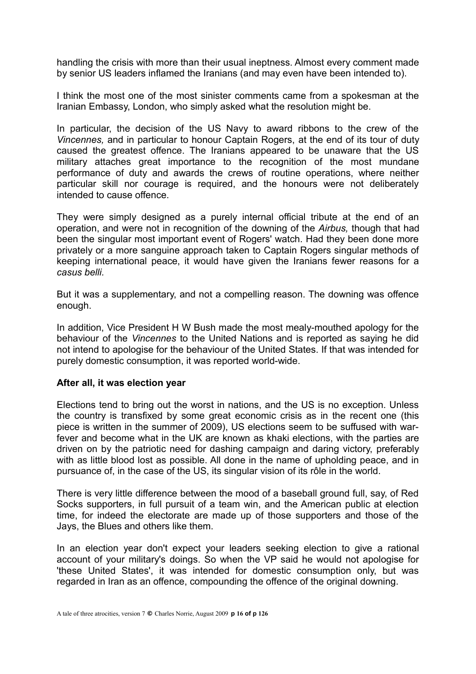handling the crisis with more than their usual ineptness. Almost every comment made by senior US leaders inflamed the Iranians (and may even have been intended to).

I think the most one of the most sinister comments came from a spokesman at the Iranian Embassy, London, who simply asked what the resolution might be.

In particular, the decision of the US Navy to award ribbons to the crew of the *Vincennes,* and in particular to honour Captain Rogers, at the end of its tour of duty caused the greatest offence. The Iranians appeared to be unaware that the US military attaches great importance to the recognition of the most mundane performance of duty and awards the crews of routine operations, where neither particular skill nor courage is required, and the honours were not deliberately intended to cause offence.

They were simply designed as a purely internal official tribute at the end of an operation, and were not in recognition of the downing of the *Airbus,* though that had been the singular most important event of Rogers' watch. Had they been done more privately or a more sanguine approach taken to Captain Rogers singular methods of keeping international peace, it would have given the Iranians fewer reasons for a *casus belli.*

But it was a supplementary, and not a compelling reason. The downing was offence enough.

In addition, Vice President H W Bush made the most mealy-mouthed apology for the behaviour of the *Vincennes* to the United Nations and is reported as saying he did not intend to apologise for the behaviour of the United States. If that was intended for purely domestic consumption, it was reported world-wide.

#### **After all, it was election year**

Elections tend to bring out the worst in nations, and the US is no exception. Unless the country is transfixed by some great economic crisis as in the recent one (this piece is written in the summer of 2009), US elections seem to be suffused with warfever and become what in the UK are known as khaki elections, with the parties are driven on by the patriotic need for dashing campaign and daring victory, preferably with as little blood lost as possible. All done in the name of upholding peace, and in pursuance of, in the case of the US, its singular vision of its rôle in the world.

There is very little difference between the mood of a baseball ground full, say, of Red Socks supporters, in full pursuit of a team win, and the American public at election time, for indeed the electorate are made up of those supporters and those of the Jays, the Blues and others like them.

In an election year don't expect your leaders seeking election to give a rational account of your military's doings. So when the VP said he would not apologise for 'these United States', it was intended for domestic consumption only, but was regarded in Iran as an offence, compounding the offence of the original downing.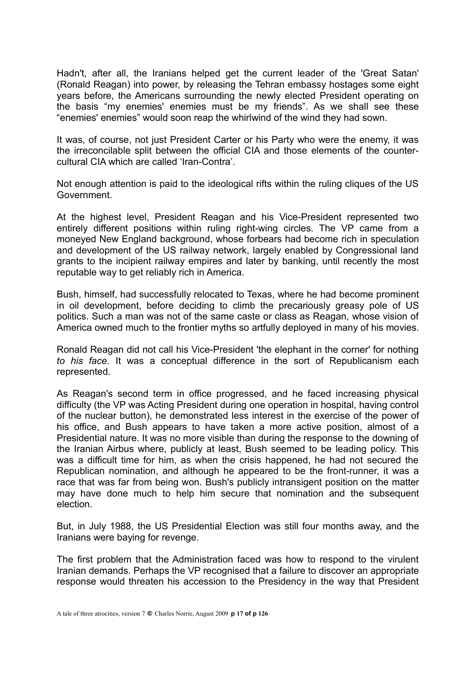Hadn't, after all, the Iranians helped get the current leader of the 'Great Satan' (Ronald Reagan) into power, by releasing the Tehran embassy hostages some eight years before, the Americans surrounding the newly elected President operating on the basis "my enemies' enemies must be my friends". As we shall see these "enemies' enemies" would soon reap the whirlwind of the wind they had sown.

It was, of course, not just President Carter or his Party who were the enemy, it was the irreconcilable split between the official CIA and those elements of the countercultural CIA which are called 'Iran-Contra'.

Not enough attention is paid to the ideological rifts within the ruling cliques of the US Government.

At the highest level, President Reagan and his Vice-President represented two entirely different positions within ruling right-wing circles. The VP came from a moneyed New England background, whose forbears had become rich in speculation and development of the US railway network, largely enabled by Congressional land grants to the incipient railway empires and later by banking, until recently the most reputable way to get reliably rich in America.

Bush, himself, had successfully relocated to Texas, where he had become prominent in oil development, before deciding to climb the precariously greasy pole of US politics. Such a man was not of the same caste or class as Reagan, whose vision of America owned much to the frontier myths so artfully deployed in many of his movies.

Ronald Reagan did not call his Vice-President 'the elephant in the corner' for nothing *to his face*. It was a conceptual difference in the sort of Republicanism each represented.

As Reagan's second term in office progressed, and he faced increasing physical difficulty (the VP was Acting President during one operation in hospital, having control of the nuclear button), he demonstrated less interest in the exercise of the power of his office, and Bush appears to have taken a more active position, almost of a Presidential nature. It was no more visible than during the response to the downing of the Iranian Airbus where, publicly at least, Bush seemed to be leading policy. This was a difficult time for him, as when the crisis happened, he had not secured the Republican nomination, and although he appeared to be the front-runner, it was a race that was far from being won. Bush's publicly intransigent position on the matter may have done much to help him secure that nomination and the subsequent election.

But, in July 1988, the US Presidential Election was still four months away, and the Iranians were baying for revenge.

The first problem that the Administration faced was how to respond to the virulent Iranian demands. Perhaps the VP recognised that a failure to discover an appropriate response would threaten his accession to the Presidency in the way that President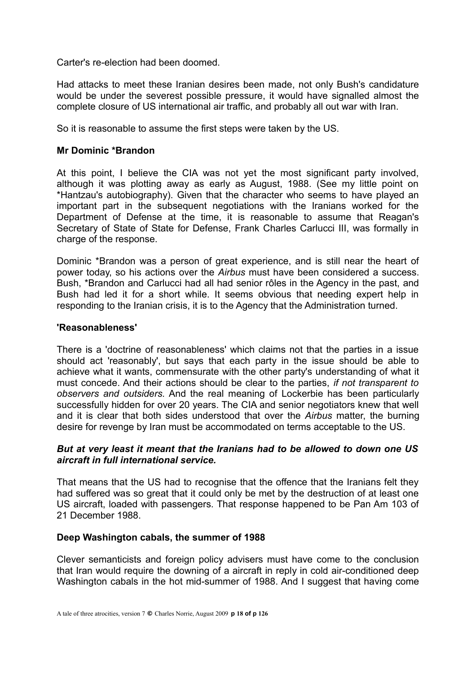Carter's re-election had been doomed.

Had attacks to meet these Iranian desires been made, not only Bush's candidature would be under the severest possible pressure, it would have signalled almost the complete closure of US international air traffic, and probably all out war with Iran.

So it is reasonable to assume the first steps were taken by the US.

#### **Mr Dominic \*Brandon**

At this point, I believe the CIA was not yet the most significant party involved, although it was plotting away as early as August, 1988. (See my little point on \*Hantzau's autobiography). Given that the character who seems to have played an important part in the subsequent negotiations with the Iranians worked for the Department of Defense at the time, it is reasonable to assume that Reagan's Secretary of State of State for Defense, Frank Charles Carlucci III, was formally in charge of the response.

Dominic \*Brandon was a person of great experience, and is still near the heart of power today, so his actions over the *Airbus* must have been considered a success. Bush, \*Brandon and Carlucci had all had senior rôles in the Agency in the past, and Bush had led it for a short while. It seems obvious that needing expert help in responding to the Iranian crisis, it is to the Agency that the Administration turned.

#### **'Reasonableness'**

There is a 'doctrine of reasonableness' which claims not that the parties in a issue should act 'reasonably', but says that each party in the issue should be able to achieve what it wants, commensurate with the other party's understanding of what it must concede. And their actions should be clear to the parties, *if not transparent to observers and outsiders.* And the real meaning of Lockerbie has been particularly successfully hidden for over 20 years. The CIA and senior negotiators knew that well and it is clear that both sides understood that over the *Airbus* matter, the burning desire for revenge by Iran must be accommodated on terms acceptable to the US.

#### *But at very least it meant that the Iranians had to be allowed to down one US aircraft in full international service.*

That means that the US had to recognise that the offence that the Iranians felt they had suffered was so great that it could only be met by the destruction of at least one US aircraft, loaded with passengers. That response happened to be Pan Am 103 of 21 December 1988.

#### **Deep Washington cabals, the summer of 1988**

Clever semanticists and foreign policy advisers must have come to the conclusion that Iran would require the downing of a aircraft in reply in cold air-conditioned deep Washington cabals in the hot mid-summer of 1988. And I suggest that having come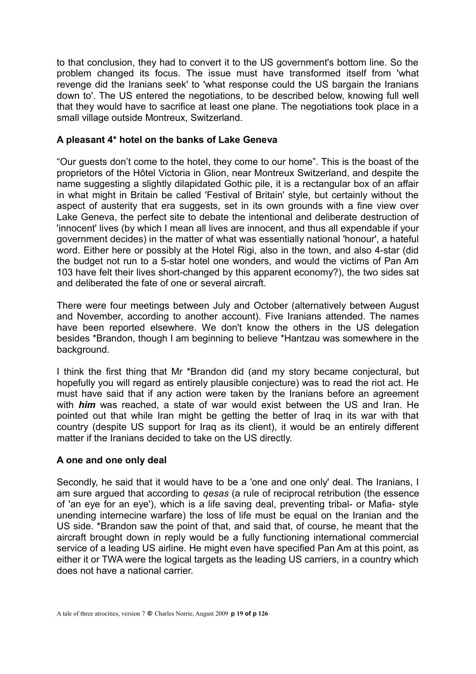to that conclusion, they had to convert it to the US government's bottom line. So the problem changed its focus. The issue must have transformed itself from 'what revenge did the Iranians seek' to 'what response could the US bargain the Iranians down to'. The US entered the negotiations, to be described below, knowing full well that they would have to sacrifice at least one plane. The negotiations took place in a small village outside Montreux, Switzerland.

# **A pleasant 4\* hotel on the banks of Lake Geneva**

"Our guests don't come to the hotel, they come to our home". This is the boast of the proprietors of the Hôtel Victoria in Glion, near Montreux Switzerland, and despite the name suggesting a slightly dilapidated Gothic pile, it is a rectangular box of an affair in what might in Britain be called 'Festival of Britain' style, but certainly without the aspect of austerity that era suggests, set in its own grounds with a fine view over Lake Geneva, the perfect site to debate the intentional and deliberate destruction of 'innocent' lives (by which I mean all lives are innocent, and thus all expendable if your government decides) in the matter of what was essentially national 'honour', a hateful word. Either here or possibly at the Hotel Rigi, also in the town, and also 4-star (did the budget not run to a 5-star hotel one wonders, and would the victims of Pan Am 103 have felt their lives short-changed by this apparent economy?), the two sides sat and deliberated the fate of one or several aircraft.

There were four meetings between July and October (alternatively between August and November, according to another account). Five Iranians attended. The names have been reported elsewhere. We don't know the others in the US delegation besides \*Brandon, though I am beginning to believe \*Hantzau was somewhere in the background.

I think the first thing that Mr \*Brandon did (and my story became conjectural, but hopefully you will regard as entirely plausible conjecture) was to read the riot act. He must have said that if any action were taken by the Iranians before an agreement with *him* was reached, a state of war would exist between the US and Iran. He pointed out that while Iran might be getting the better of Iraq in its war with that country (despite US support for Iraq as its client), it would be an entirely different matter if the Iranians decided to take on the US directly.

#### **A one and one only deal**

Secondly, he said that it would have to be a 'one and one only' deal. The Iranians, I am sure argued that according to *qesas* (a rule of reciprocal retribution (the essence of 'an eye for an eye'), which is a life saving deal, preventing tribal- or Mafia- style unending internecine warfare) the loss of life must be equal on the Iranian and the US side. \*Brandon saw the point of that, and said that, of course, he meant that the aircraft brought down in reply would be a fully functioning international commercial service of a leading US airline. He might even have specified Pan Am at this point, as either it or TWA were the logical targets as the leading US carriers, in a country which does not have a national carrier.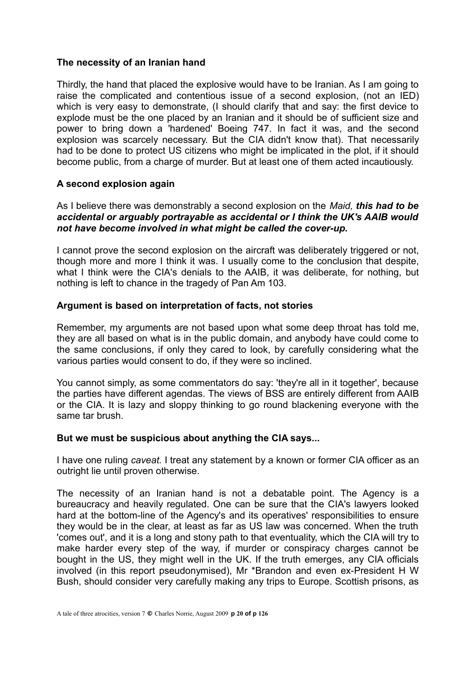### **The necessity of an Iranian hand**

Thirdly, the hand that placed the explosive would have to be Iranian. As I am going to raise the complicated and contentious issue of a second explosion, (not an IED) which is very easy to demonstrate, (I should clarify that and say: the first device to explode must be the one placed by an Iranian and it should be of sufficient size and power to bring down a 'hardened' Boeing 747. In fact it was, and the second explosion was scarcely necessary. But the CIA didn't know that). That necessarily had to be done to protect US citizens who might be implicated in the plot, if it should become public, from a charge of murder. But at least one of them acted incautiously.

#### **A second explosion again**

As I believe there was demonstrably a second explosion on the *Maid, this had to be accidental or arguably portrayable as accidental or I think the UK's AAIB would not have become involved in what might be called the cover-up.*

I cannot prove the second explosion on the aircraft was deliberately triggered or not. though more and more I think it was. I usually come to the conclusion that despite, what I think were the CIA's denials to the AAIB, it was deliberate, for nothing, but nothing is left to chance in the tragedy of Pan Am 103.

# **Argument is based on interpretation of facts, not stories**

Remember, my arguments are not based upon what some deep throat has told me, they are all based on what is in the public domain, and anybody have could come to the same conclusions, if only they cared to look, by carefully considering what the various parties would consent to do, if they were so inclined.

You cannot simply, as some commentators do say: 'they're all in it together', because the parties have different agendas. The views of BSS are entirely different from AAIB or the CIA. It is lazy and sloppy thinking to go round blackening everyone with the same tar brush.

#### **But we must be suspicious about anything the CIA says...**

I have one ruling *caveat.* I treat any statement by a known or former CIA officer as an outright lie until proven otherwise.

The necessity of an Iranian hand is not a debatable point. The Agency is a bureaucracy and heavily regulated. One can be sure that the CIA's lawyers looked hard at the bottom-line of the Agency's and its operatives' responsibilities to ensure they would be in the clear, at least as far as US law was concerned. When the truth 'comes out', and it is a long and stony path to that eventuality, which the CIA will try to make harder every step of the way, if murder or conspiracy charges cannot be bought in the US, they might well in the UK. If the truth emerges, any CIA officials involved (in this report pseudonymised), Mr \*Brandon and even ex-President H W Bush, should consider very carefully making any trips to Europe. Scottish prisons, as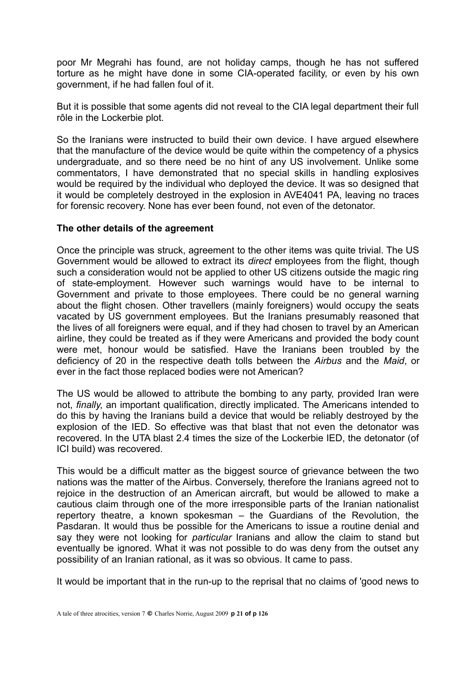poor Mr Megrahi has found, are not holiday camps, though he has not suffered torture as he might have done in some CIA-operated facility, or even by his own government, if he had fallen foul of it.

But it is possible that some agents did not reveal to the CIA legal department their full rôle in the Lockerbie plot.

So the Iranians were instructed to build their own device. I have argued elsewhere that the manufacture of the device would be quite within the competency of a physics undergraduate, and so there need be no hint of any US involvement. Unlike some commentators, I have demonstrated that no special skills in handling explosives would be required by the individual who deployed the device. It was so designed that it would be completely destroyed in the explosion in AVE4041 PA, leaving no traces for forensic recovery. None has ever been found, not even of the detonator.

#### **The other details of the agreement**

Once the principle was struck, agreement to the other items was quite trivial. The US Government would be allowed to extract its *direct* employees from the flight, though such a consideration would not be applied to other US citizens outside the magic ring of state-employment. However such warnings would have to be internal to Government and private to those employees. There could be no general warning about the flight chosen. Other travellers (mainly foreigners) would occupy the seats vacated by US government employees. But the Iranians presumably reasoned that the lives of all foreigners were equal, and if they had chosen to travel by an American airline, they could be treated as if they were Americans and provided the body count were met, honour would be satisfied. Have the Iranians been troubled by the deficiency of 20 in the respective death tolls between the *Airbus* and the *Maid*, or ever in the fact those replaced bodies were not American?

The US would be allowed to attribute the bombing to any party, provided Iran were not, *finally*, an important qualification, directly implicated. The Americans intended to do this by having the Iranians build a device that would be reliably destroyed by the explosion of the IED. So effective was that blast that not even the detonator was recovered. In the UTA blast 2.4 times the size of the Lockerbie IED, the detonator (of ICI build) was recovered.

This would be a difficult matter as the biggest source of grievance between the two nations was the matter of the Airbus. Conversely, therefore the Iranians agreed not to rejoice in the destruction of an American aircraft, but would be allowed to make a cautious claim through one of the more irresponsible parts of the Iranian nationalist repertory theatre, a known spokesman – the Guardians of the Revolution, the Pasdaran. It would thus be possible for the Americans to issue a routine denial and say they were not looking for *particular* Iranians and allow the claim to stand but eventually be ignored. What it was not possible to do was deny from the outset any possibility of an Iranian rational, as it was so obvious. It came to pass.

It would be important that in the run-up to the reprisal that no claims of 'good news to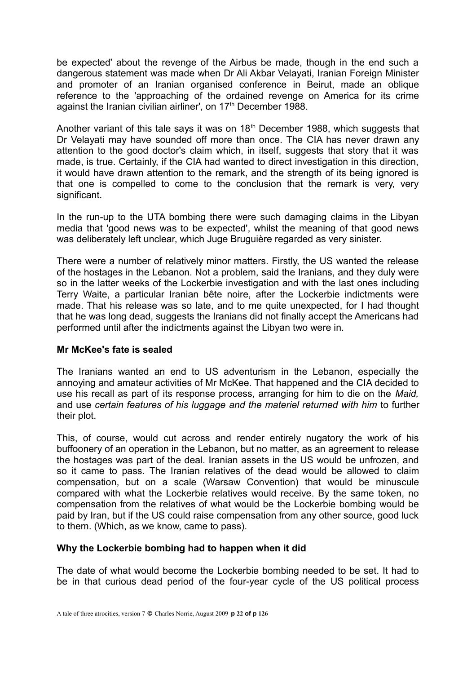be expected' about the revenge of the Airbus be made, though in the end such a dangerous statement was made when Dr Ali Akbar Velayati, Iranian Foreign Minister and promoter of an Iranian organised conference in Beirut, made an oblique reference to the 'approaching of the ordained revenge on America for its crime against the Iranian civilian airliner', on 17<sup>th</sup> December 1988.

Another variant of this tale says it was on  $18<sup>th</sup>$  December 1988, which suggests that Dr Velayati may have sounded off more than once. The CIA has never drawn any attention to the good doctor's claim which, in itself, suggests that story that it was made, is true. Certainly, if the CIA had wanted to direct investigation in this direction, it would have drawn attention to the remark, and the strength of its being ignored is that one is compelled to come to the conclusion that the remark is very, very significant.

In the run-up to the UTA bombing there were such damaging claims in the Libyan media that 'good news was to be expected', whilst the meaning of that good news was deliberately left unclear, which Juge Bruguière regarded as very sinister.

There were a number of relatively minor matters. Firstly, the US wanted the release of the hostages in the Lebanon. Not a problem, said the Iranians, and they duly were so in the latter weeks of the Lockerbie investigation and with the last ones including Terry Waite, a particular Iranian bête noire, after the Lockerbie indictments were made. That his release was so late, and to me quite unexpected, for I had thought that he was long dead, suggests the Iranians did not finally accept the Americans had performed until after the indictments against the Libyan two were in.

#### **Mr McKee's fate is sealed**

The Iranians wanted an end to US adventurism in the Lebanon, especially the annoying and amateur activities of Mr McKee. That happened and the CIA decided to use his recall as part of its response process, arranging for him to die on the *Maid,* and use *certain features of his luggage and the materiel returned with him* to further their plot.

This, of course, would cut across and render entirely nugatory the work of his buffoonery of an operation in the Lebanon, but no matter, as an agreement to release the hostages was part of the deal. Iranian assets in the US would be unfrozen, and so it came to pass. The Iranian relatives of the dead would be allowed to claim compensation, but on a scale (Warsaw Convention) that would be minuscule compared with what the Lockerbie relatives would receive. By the same token, no compensation from the relatives of what would be the Lockerbie bombing would be paid by Iran, but if the US could raise compensation from any other source, good luck to them. (Which, as we know, came to pass).

#### **Why the Lockerbie bombing had to happen when it did**

The date of what would become the Lockerbie bombing needed to be set. It had to be in that curious dead period of the four-year cycle of the US political process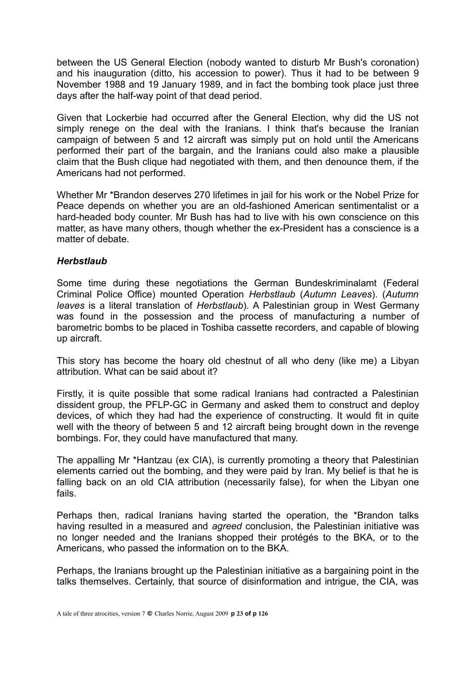between the US General Election (nobody wanted to disturb Mr Bush's coronation) and his inauguration (ditto, his accession to power). Thus it had to be between 9 November 1988 and 19 January 1989, and in fact the bombing took place just three days after the half-way point of that dead period.

Given that Lockerbie had occurred after the General Election, why did the US not simply renege on the deal with the Iranians. I think that's because the Iranian campaign of between 5 and 12 aircraft was simply put on hold until the Americans performed their part of the bargain, and the Iranians could also make a plausible claim that the Bush clique had negotiated with them, and then denounce them, if the Americans had not performed.

Whether Mr \*Brandon deserves 270 lifetimes in jail for his work or the Nobel Prize for Peace depends on whether you are an old-fashioned American sentimentalist or a hard-headed body counter. Mr Bush has had to live with his own conscience on this matter, as have many others, though whether the ex-President has a conscience is a matter of debate.

#### *Herbstlaub*

Some time during these negotiations the German Bundeskriminalamt (Federal Criminal Police Office) mounted Operation *Herbstlaub* (*Autumn Leaves*). (*Autumn leaves* is a literal translation of *Herbstlaub*)*.* A Palestinian group in West Germany was found in the possession and the process of manufacturing a number of barometric bombs to be placed in Toshiba cassette recorders, and capable of blowing up aircraft.

This story has become the hoary old chestnut of all who deny (like me) a Libyan attribution. What can be said about it?

Firstly, it is quite possible that some radical Iranians had contracted a Palestinian dissident group, the PFLP-GC in Germany and asked them to construct and deploy devices, of which they had had the experience of constructing. It would fit in quite well with the theory of between 5 and 12 aircraft being brought down in the revenge bombings. For, they could have manufactured that many.

The appalling Mr \*Hantzau (ex CIA), is currently promoting a theory that Palestinian elements carried out the bombing, and they were paid by Iran. My belief is that he is falling back on an old CIA attribution (necessarily false), for when the Libyan one fails.

Perhaps then, radical Iranians having started the operation, the \*Brandon talks having resulted in a measured and *agreed* conclusion, the Palestinian initiative was no longer needed and the Iranians shopped their protégés to the BKA, or to the Americans, who passed the information on to the BKA.

Perhaps, the Iranians brought up the Palestinian initiative as a bargaining point in the talks themselves. Certainly, that source of disinformation and intrigue, the CIA, was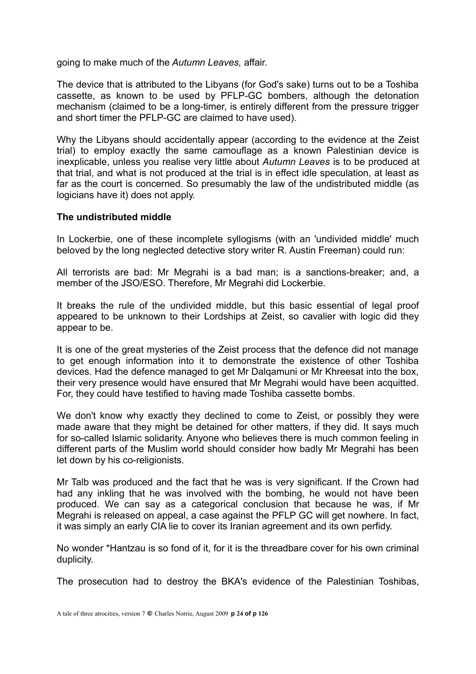going to make much of the *Autumn Leaves,* affair.

The device that is attributed to the Libyans (for God's sake) turns out to be a Toshiba cassette, as known to be used by PFLP-GC bombers, although the detonation mechanism (claimed to be a long-timer, is entirely different from the pressure trigger and short timer the PFLP-GC are claimed to have used).

Why the Libyans should accidentally appear (according to the evidence at the Zeist trial) to employ exactly the same camouflage as a known Palestinian device is inexplicable, unless you realise very little about *Autumn Leaves* is to be produced at that trial, and what is not produced at the trial is in effect idle speculation, at least as far as the court is concerned. So presumably the law of the undistributed middle (as logicians have it) does not apply.

#### **The undistributed middle**

In Lockerbie, one of these incomplete syllogisms (with an 'undivided middle' much beloved by the long neglected detective story writer R. Austin Freeman) could run:

All terrorists are bad: Mr Megrahi is a bad man; is a sanctions-breaker; and, a member of the JSO/ESO. Therefore, Mr Megrahi did Lockerbie.

It breaks the rule of the undivided middle, but this basic essential of legal proof appeared to be unknown to their Lordships at Zeist, so cavalier with logic did they appear to be.

It is one of the great mysteries of the Zeist process that the defence did not manage to get enough information into it to demonstrate the existence of other Toshiba devices. Had the defence managed to get Mr Dalqamuni or Mr Khreesat into the box, their very presence would have ensured that Mr Megrahi would have been acquitted. For, they could have testified to having made Toshiba cassette bombs.

We don't know why exactly they declined to come to Zeist, or possibly they were made aware that they might be detained for other matters, if they did. It says much for so-called Islamic solidarity. Anyone who believes there is much common feeling in different parts of the Muslim world should consider how badly Mr Megrahi has been let down by his co-religionists.

Mr Talb was produced and the fact that he was is very significant. If the Crown had had any inkling that he was involved with the bombing, he would not have been produced. We can say as a categorical conclusion that because he was, if Mr Megrahi is released on appeal, a case against the PFLP GC will get nowhere. In fact, it was simply an early CIA lie to cover its Iranian agreement and its own perfidy.

No wonder \*Hantzau is so fond of it, for it is the threadbare cover for his own criminal duplicity.

The prosecution had to destroy the BKA's evidence of the Palestinian Toshibas,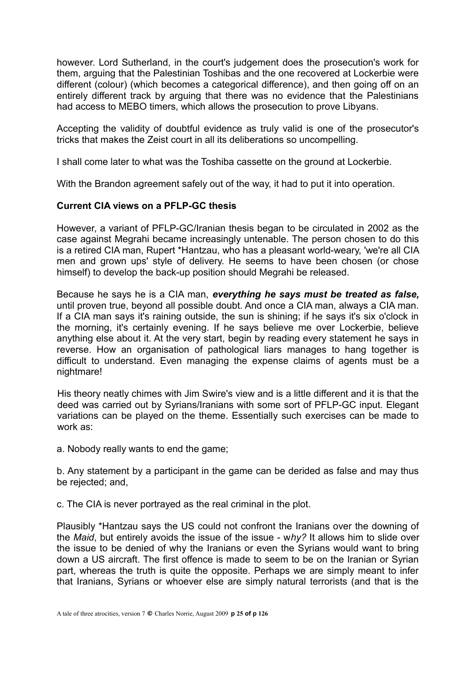however. Lord Sutherland, in the court's judgement does the prosecution's work for them, arguing that the Palestinian Toshibas and the one recovered at Lockerbie were different (colour) (which becomes a categorical difference), and then going off on an entirely different track by arguing that there was no evidence that the Palestinians had access to MEBO timers, which allows the prosecution to prove Libyans.

Accepting the validity of doubtful evidence as truly valid is one of the prosecutor's tricks that makes the Zeist court in all its deliberations so uncompelling.

I shall come later to what was the Toshiba cassette on the ground at Lockerbie.

With the Brandon agreement safely out of the way, it had to put it into operation.

#### **Current CIA views on a PFLP-GC thesis**

However, a variant of PFLP-GC/Iranian thesis began to be circulated in 2002 as the case against Megrahi became increasingly untenable. The person chosen to do this is a retired CIA man, Rupert \*Hantzau, who has a pleasant world-weary, 'we're all CIA men and grown ups' style of delivery. He seems to have been chosen (or chose himself) to develop the back-up position should Megrahi be released.

Because he says he is a CIA man, *everything he says must be treated as false,* until proven true, beyond all possible doubt. And once a CIA man, always a CIA man. If a CIA man says it's raining outside, the sun is shining; if he says it's six o'clock in the morning, it's certainly evening. If he says believe me over Lockerbie, believe anything else about it. At the very start, begin by reading every statement he says in reverse. How an organisation of pathological liars manages to hang together is difficult to understand. Even managing the expense claims of agents must be a nightmare!

His theory neatly chimes with Jim Swire's view and is a little different and it is that the deed was carried out by Syrians/Iranians with some sort of PFLP-GC input. Elegant variations can be played on the theme. Essentially such exercises can be made to work as:

a. Nobody really wants to end the game;

b. Any statement by a participant in the game can be derided as false and may thus be rejected; and,

c. The CIA is never portrayed as the real criminal in the plot.

Plausibly \*Hantzau says the US could not confront the Iranians over the downing of the *Maid*, but entirely avoids the issue of the issue - w*hy?* It allows him to slide over the issue to be denied of why the Iranians or even the Syrians would want to bring down a US aircraft. The first offence is made to seem to be on the Iranian or Syrian part, whereas the truth is quite the opposite. Perhaps we are simply meant to infer that Iranians, Syrians or whoever else are simply natural terrorists (and that is the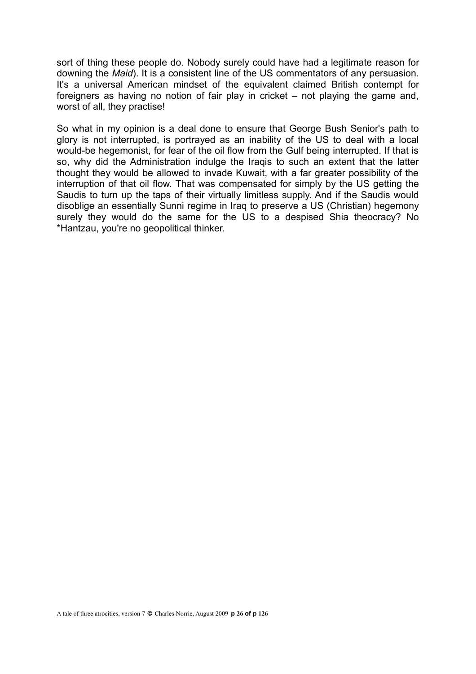sort of thing these people do. Nobody surely could have had a legitimate reason for downing the *Maid*). It is a consistent line of the US commentators of any persuasion. It's a universal American mindset of the equivalent claimed British contempt for foreigners as having no notion of fair play in cricket – not playing the game and, worst of all, they practise!

So what in my opinion is a deal done to ensure that George Bush Senior's path to glory is not interrupted, is portrayed as an inability of the US to deal with a local would-be hegemonist, for fear of the oil flow from the Gulf being interrupted. If that is so, why did the Administration indulge the Iraqis to such an extent that the latter thought they would be allowed to invade Kuwait, with a far greater possibility of the interruption of that oil flow. That was compensated for simply by the US getting the Saudis to turn up the taps of their virtually limitless supply. And if the Saudis would disoblige an essentially Sunni regime in Iraq to preserve a US (Christian) hegemony surely they would do the same for the US to a despised Shia theocracy? No \*Hantzau, you're no geopolitical thinker.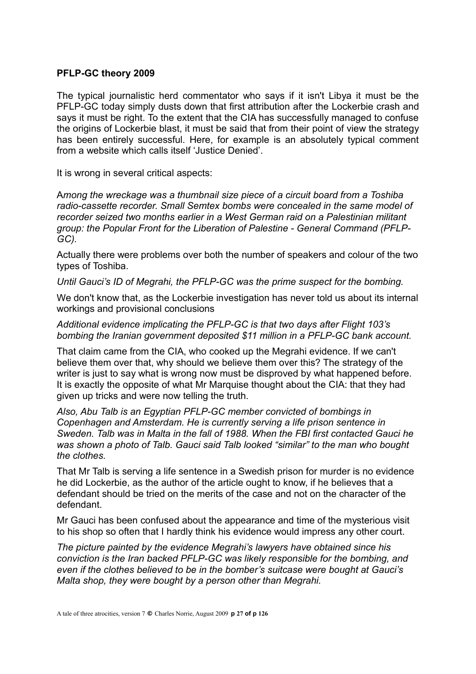#### **PFLP-GC theory 2009**

The typical journalistic herd commentator who says if it isn't Libya it must be the PFLP-GC today simply dusts down that first attribution after the Lockerbie crash and says it must be right. To the extent that the CIA has successfully managed to confuse the origins of Lockerbie blast, it must be said that from their point of view the strategy has been entirely successful. Here, for example is an absolutely typical comment from a website which calls itself 'Justice Denied'.

It is wrong in several critical aspects:

A*mong the wreckage was a thumbnail size piece of a circuit board from a Toshiba radio-cassette recorder. Small Semtex bombs were concealed in the same model of recorder seized two months earlier in a West German raid on a Palestinian militant group: the Popular Front for the Liberation of Palestine - General Command (PFLP-GC).*

Actually there were problems over both the number of speakers and colour of the two types of Toshiba.

*Until Gauci's ID of Megrahi, the PFLP-GC was the prime suspect for the bombing.*

We don't know that, as the Lockerbie investigation has never told us about its internal workings and provisional conclusions

*Additional evidence implicating the PFLP-GC is that two days after Flight 103's bombing the Iranian government deposited \$11 million in a PFLP-GC bank account.* 

That claim came from the CIA, who cooked up the Megrahi evidence. If we can't believe them over that, why should we believe them over this? The strategy of the writer is just to say what is wrong now must be disproved by what happened before. It is exactly the opposite of what Mr Marquise thought about the CIA: that they had given up tricks and were now telling the truth.

*Also, Abu Talb is an Egyptian PFLP-GC member convicted of bombings in Copenhagen and Amsterdam. He is currently serving a life prison sentence in Sweden. Talb was in Malta in the fall of 1988. When the FBI first contacted Gauci he was shown a photo of Talb. Gauci said Talb looked "similar" to the man who bought the clothes.*

That Mr Talb is serving a life sentence in a Swedish prison for murder is no evidence he did Lockerbie, as the author of the article ought to know, if he believes that a defendant should be tried on the merits of the case and not on the character of the defendant.

Mr Gauci has been confused about the appearance and time of the mysterious visit to his shop so often that I hardly think his evidence would impress any other court.

*The picture painted by the evidence Megrahi's lawyers have obtained since his conviction is the Iran backed PFLP-GC was likely responsible for the bombing, and even if the clothes believed to be in the bomber's suitcase were bought at Gauci's Malta shop, they were bought by a person other than Megrahi.*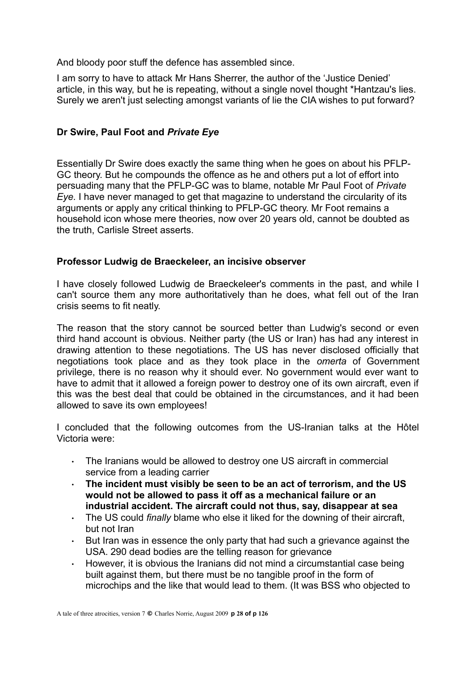And bloody poor stuff the defence has assembled since.

I am sorry to have to attack Mr Hans Sherrer, the author of the 'Justice Denied' article, in this way, but he is repeating, without a single novel thought \*Hantzau's lies. Surely we aren't just selecting amongst variants of lie the CIA wishes to put forward?

# **Dr Swire, Paul Foot and** *Private Eye*

Essentially Dr Swire does exactly the same thing when he goes on about his PFLP-GC theory. But he compounds the offence as he and others put a lot of effort into persuading many that the PFLP-GC was to blame, notable Mr Paul Foot of *Private Eye.* I have never managed to get that magazine to understand the circularity of its arguments or apply any critical thinking to PFLP-GC theory. Mr Foot remains a household icon whose mere theories, now over 20 years old, cannot be doubted as the truth, Carlisle Street asserts.

#### **Professor Ludwig de Braeckeleer, an incisive observer**

I have closely followed Ludwig de Braeckeleer's comments in the past, and while I can't source them any more authoritatively than he does, what fell out of the Iran crisis seems to fit neatly.

The reason that the story cannot be sourced better than Ludwig's second or even third hand account is obvious. Neither party (the US or Iran) has had any interest in drawing attention to these negotiations. The US has never disclosed officially that negotiations took place and as they took place in the *omerta* of Government privilege, there is no reason why it should ever. No government would ever want to have to admit that it allowed a foreign power to destroy one of its own aircraft, even if this was the best deal that could be obtained in the circumstances, and it had been allowed to save its own employees!

I concluded that the following outcomes from the US-Iranian talks at the Hôtel Victoria were:

- The Iranians would be allowed to destroy one US aircraft in commercial service from a leading carrier
- **The incident must visibly be seen to be an act of terrorism, and the US would not be allowed to pass it off as a mechanical failure or an industrial accident. The aircraft could not thus, say, disappear at sea**
- The US could *finally* blame who else it liked for the downing of their aircraft, but not Iran
- $\cdot$  But Iran was in essence the only party that had such a grievance against the USA. 290 dead bodies are the telling reason for grievance
- However, it is obvious the Iranians did not mind a circumstantial case being built against them, but there must be no tangible proof in the form of microchips and the like that would lead to them. (It was BSS who objected to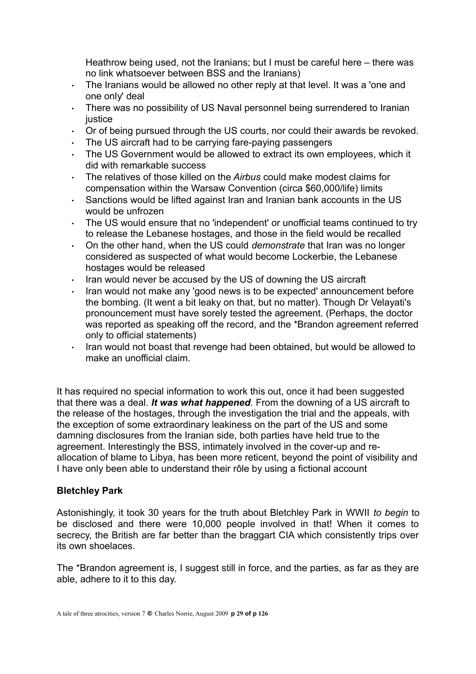Heathrow being used, not the Iranians; but I must be careful here – there was no link whatsoever between BSS and the Iranians)

- The Iranians would be allowed no other reply at that level. It was a 'one and one only' deal
- There was no possibility of US Naval personnel being surrendered to Iranian iustice
- Or of being pursued through the US courts, nor could their awards be revoked.
- The US aircraft had to be carrying fare-paying passengers
- The US Government would be allowed to extract its own employees, which it did with remarkable success
- The relatives of those killed on the *Airbus* could make modest claims for compensation within the Warsaw Convention (circa \$60,000/life) limits
- Sanctions would be lifted against Iran and Iranian bank accounts in the US would be unfrozen
- The US would ensure that no 'independent' or unofficial teams continued to try to release the Lebanese hostages, and those in the field would be recalled
- On the other hand, when the US could *demonstrate* that Iran was no longer considered as suspected of what would become Lockerbie, the Lebanese hostages would be released
- $\cdot$  Iran would never be accused by the US of downing the US aircraft
- Iran would not make any 'good news is to be expected' announcement before the bombing. (It went a bit leaky on that, but no matter). Though Dr Velayati's pronouncement must have sorely tested the agreement. (Perhaps, the doctor was reported as speaking off the record, and the \*Brandon agreement referred only to official statements)
- $\cdot$  Iran would not boast that revenge had been obtained, but would be allowed to make an unofficial claim.

It has required no special information to work this out, once it had been suggested that there was a deal. *It was what happened.* From the downing of a US aircraft to the release of the hostages, through the investigation the trial and the appeals, with the exception of some extraordinary leakiness on the part of the US and some damning disclosures from the Iranian side, both parties have held true to the agreement. Interestingly the BSS, intimately involved in the cover-up and reallocation of blame to Libya, has been more reticent, beyond the point of visibility and I have only been able to understand their rôle by using a fictional account

#### **Bletchley Park**

Astonishingly, it took 30 years for the truth about Bletchley Park in WWII *to begin* to be disclosed and there were 10,000 people involved in that! When it comes to secrecy, the British are far better than the braggart CIA which consistently trips over its own shoelaces.

The \*Brandon agreement is, I suggest still in force, and the parties, as far as they are able, adhere to it to this day.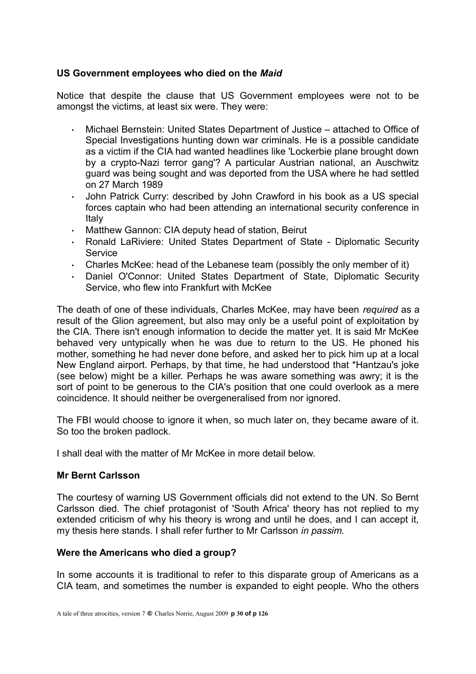# **US Government employees who died on the** *Maid*

Notice that despite the clause that US Government employees were not to be amongst the victims, at least six were. They were:

- Michael Bernstein: United States Department of Justice attached to Office of Special Investigations hunting down war criminals. He is a possible candidate as a victim if the CIA had wanted headlines like 'Lockerbie plane brought down by a crypto-Nazi terror gang'? A particular Austrian national, an Auschwitz guard was being sought and was deported from the USA where he had settled on 27 March 1989
- John Patrick Curry: described by John Crawford in his book as a US special forces captain who had been attending an international security conference in Italy
- Matthew Gannon: CIA deputy head of station, Beirut
- Ronald LaRiviere: United States Department of State Diplomatic Security **Service**
- Charles McKee: head of the Lebanese team (possibly the only member of it)
- Daniel O'Connor: United States Department of State, Diplomatic Security Service, who flew into Frankfurt with McKee

The death of one of these individuals, Charles McKee, may have been *required* as a result of the Glion agreement, but also may only be a useful point of exploitation by the CIA. There isn't enough information to decide the matter yet. It is said Mr McKee behaved very untypically when he was due to return to the US. He phoned his mother, something he had never done before, and asked her to pick him up at a local New England airport. Perhaps, by that time, he had understood that \*Hantzau's joke (see below) might be a killer. Perhaps he was aware something was awry; it is the sort of point to be generous to the CIA's position that one could overlook as a mere coincidence. It should neither be overgeneralised from nor ignored.

The FBI would choose to ignore it when, so much later on, they became aware of it. So too the broken padlock.

I shall deal with the matter of Mr McKee in more detail below.

#### **Mr Bernt Carlsson**

The courtesy of warning US Government officials did not extend to the UN. So Bernt Carlsson died. The chief protagonist of 'South Africa' theory has not replied to my extended criticism of why his theory is wrong and until he does, and I can accept it, my thesis here stands. I shall refer further to Mr Carlsson *in passim.*

#### **Were the Americans who died a group?**

In some accounts it is traditional to refer to this disparate group of Americans as a CIA team, and sometimes the number is expanded to eight people. Who the others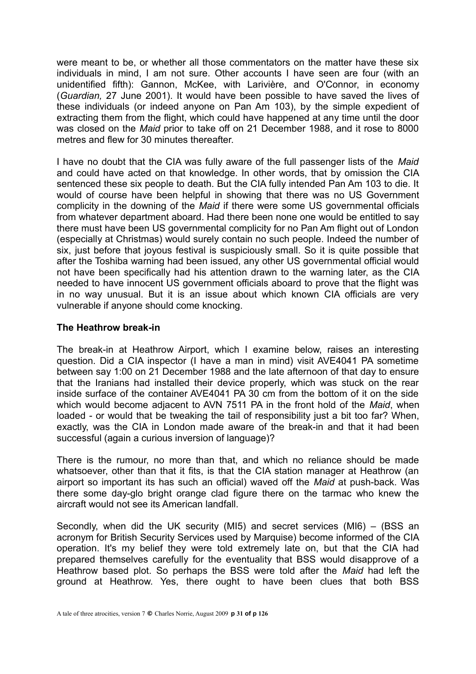were meant to be, or whether all those commentators on the matter have these six individuals in mind, I am not sure. Other accounts I have seen are four (with an unidentified fifth): Gannon, McKee, with Larivière, and O'Connor, in economy (*Guardian,* 27 June 2001). It would have been possible to have saved the lives of these individuals (or indeed anyone on Pan Am 103), by the simple expedient of extracting them from the flight, which could have happened at any time until the door was closed on the *Maid* prior to take off on 21 December 1988, and it rose to 8000 metres and flew for 30 minutes thereafter

I have no doubt that the CIA was fully aware of the full passenger lists of the *Maid* and could have acted on that knowledge. In other words, that by omission the CIA sentenced these six people to death. But the CIA fully intended Pan Am 103 to die. It would of course have been helpful in showing that there was no US Government complicity in the downing of the *Maid* if there were some US governmental officials from whatever department aboard. Had there been none one would be entitled to say there must have been US governmental complicity for no Pan Am flight out of London (especially at Christmas) would surely contain no such people. Indeed the number of six, just before that joyous festival is suspiciously small. So it is quite possible that after the Toshiba warning had been issued, any other US governmental official would not have been specifically had his attention drawn to the warning later, as the CIA needed to have innocent US government officials aboard to prove that the flight was in no way unusual. But it is an issue about which known CIA officials are very vulnerable if anyone should come knocking.

#### **The Heathrow break-in**

The break-in at Heathrow Airport, which I examine below, raises an interesting question. Did a CIA inspector (I have a man in mind) visit AVE4041 PA sometime between say 1:00 on 21 December 1988 and the late afternoon of that day to ensure that the Iranians had installed their device properly, which was stuck on the rear inside surface of the container AVE4041 PA 30 cm from the bottom of it on the side which would become adjacent to AVN 7511 PA in the front hold of the *Maid*, when loaded *-* or would that be tweaking the tail of responsibility just a bit too far? When, exactly, was the CIA in London made aware of the break-in and that it had been successful (again a curious inversion of language)?

There is the rumour, no more than that, and which no reliance should be made whatsoever, other than that it fits, is that the CIA station manager at Heathrow (an airport so important its has such an official) waved off the *Maid* at push-back. Was there some day-glo bright orange clad figure there on the tarmac who knew the aircraft would not see its American landfall.

Secondly, when did the UK security (MI5) and secret services (MI6) – (BSS an acronym for British Security Services used by Marquise) become informed of the CIA operation. It's my belief they were told extremely late on, but that the CIA had prepared themselves carefully for the eventuality that BSS would disapprove of a Heathrow based plot. So perhaps the BSS were told after the *Maid* had left the ground at Heathrow. Yes, there ought to have been clues that both BSS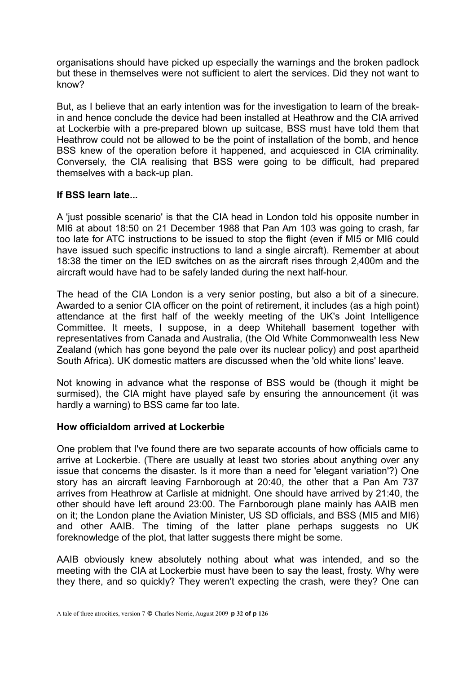organisations should have picked up especially the warnings and the broken padlock but these in themselves were not sufficient to alert the services. Did they not want to know?

But, as I believe that an early intention was for the investigation to learn of the breakin and hence conclude the device had been installed at Heathrow and the CIA arrived at Lockerbie with a pre-prepared blown up suitcase, BSS must have told them that Heathrow could not be allowed to be the point of installation of the bomb, and hence BSS knew of the operation before it happened, and acquiesced in CIA criminality. Conversely, the CIA realising that BSS were going to be difficult, had prepared themselves with a back-up plan.

# **If BSS learn late...**

A 'just possible scenario' is that the CIA head in London told his opposite number in MI6 at about 18:50 on 21 December 1988 that Pan Am 103 was going to crash, far too late for ATC instructions to be issued to stop the flight (even if MI5 or MI6 could have issued such specific instructions to land a single aircraft). Remember at about 18:38 the timer on the IED switches on as the aircraft rises through 2,400m and the aircraft would have had to be safely landed during the next half-hour.

The head of the CIA London is a very senior posting, but also a bit of a sinecure. Awarded to a senior CIA officer on the point of retirement, it includes (as a high point) attendance at the first half of the weekly meeting of the UK's Joint Intelligence Committee. It meets, I suppose, in a deep Whitehall basement together with representatives from Canada and Australia, (the Old White Commonwealth less New Zealand (which has gone beyond the pale over its nuclear policy) and post apartheid South Africa). UK domestic matters are discussed when the 'old white lions' leave.

Not knowing in advance what the response of BSS would be (though it might be surmised), the CIA might have played safe by ensuring the announcement (it was hardly a warning) to BSS came far too late.

#### **How officialdom arrived at Lockerbie**

One problem that I've found there are two separate accounts of how officials came to arrive at Lockerbie. (There are usually at least two stories about anything over any issue that concerns the disaster. Is it more than a need for 'elegant variation'?) One story has an aircraft leaving Farnborough at 20:40, the other that a Pan Am 737 arrives from Heathrow at Carlisle at midnight. One should have arrived by 21:40, the other should have left around 23:00. The Farnborough plane mainly has AAIB men on it; the London plane the Aviation Minister, US SD officials, and BSS (MI5 and MI6) and other AAIB. The timing of the latter plane perhaps suggests no UK foreknowledge of the plot, that latter suggests there might be some.

AAIB obviously knew absolutely nothing about what was intended, and so the meeting with the CIA at Lockerbie must have been to say the least, frosty. Why were they there, and so quickly? They weren't expecting the crash, were they? One can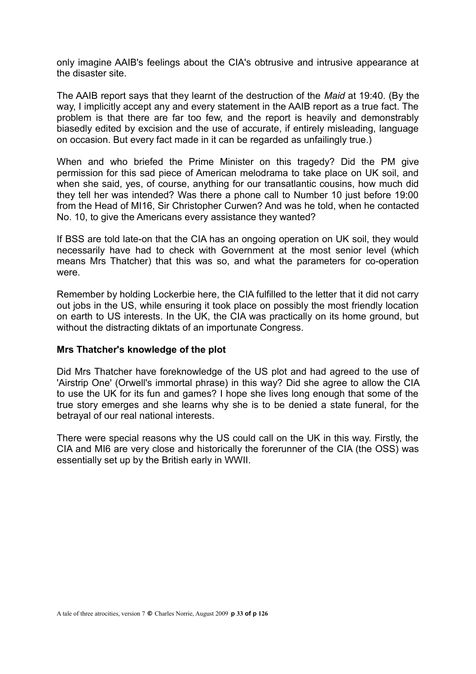only imagine AAIB's feelings about the CIA's obtrusive and intrusive appearance at the disaster site.

The AAIB report says that they learnt of the destruction of the *Maid* at 19:40. (By the way, I implicitly accept any and every statement in the AAIB report as a true fact. The problem is that there are far too few, and the report is heavily and demonstrably biasedly edited by excision and the use of accurate, if entirely misleading, language on occasion. But every fact made in it can be regarded as unfailingly true.)

When and who briefed the Prime Minister on this tragedy? Did the PM give permission for this sad piece of American melodrama to take place on UK soil, and when she said, yes, of course, anything for our transatlantic cousins, how much did they tell her was intended? Was there a phone call to Number 10 just before 19:00 from the Head of MI16, Sir Christopher Curwen? And was he told, when he contacted No. 10, to give the Americans every assistance they wanted?

If BSS are told late-on that the CIA has an ongoing operation on UK soil, they would necessarily have had to check with Government at the most senior level (which means Mrs Thatcher) that this was so, and what the parameters for co-operation were.

Remember by holding Lockerbie here, the CIA fulfilled to the letter that it did not carry out jobs in the US, while ensuring it took place on possibly the most friendly location on earth to US interests. In the UK, the CIA was practically on its home ground, but without the distracting diktats of an importunate Congress.

#### **Mrs Thatcher's knowledge of the plot**

Did Mrs Thatcher have foreknowledge of the US plot and had agreed to the use of 'Airstrip One' (Orwell's immortal phrase) in this way? Did she agree to allow the CIA to use the UK for its fun and games? I hope she lives long enough that some of the true story emerges and she learns why she is to be denied a state funeral, for the betrayal of our real national interests.

There were special reasons why the US could call on the UK in this way. Firstly, the CIA and MI6 are very close and historically the forerunner of the CIA (the OSS) was essentially set up by the British early in WWII.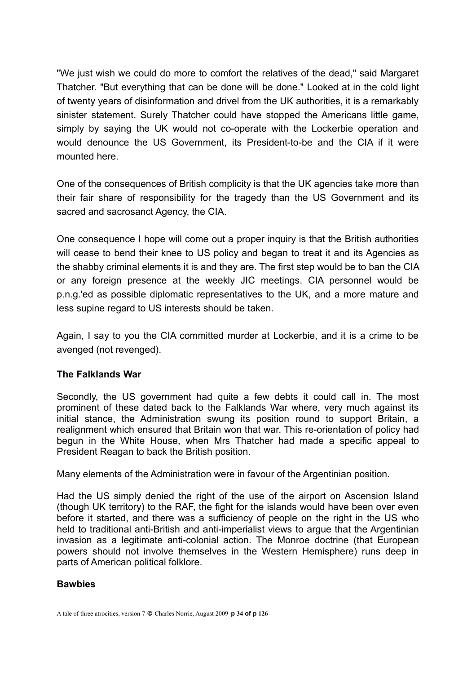"We just wish we could do more to comfort the relatives of the dead," said Margaret Thatcher. "But everything that can be done will be done." Looked at in the cold light of twenty years of disinformation and drivel from the UK authorities, it is a remarkably sinister statement. Surely Thatcher could have stopped the Americans little game, simply by saying the UK would not co-operate with the Lockerbie operation and would denounce the US Government, its President-to-be and the CIA if it were mounted here.

One of the consequences of British complicity is that the UK agencies take more than their fair share of responsibility for the tragedy than the US Government and its sacred and sacrosanct Agency, the CIA.

One consequence I hope will come out a proper inquiry is that the British authorities will cease to bend their knee to US policy and began to treat it and its Agencies as the shabby criminal elements it is and they are. The first step would be to ban the CIA or any foreign presence at the weekly JIC meetings. CIA personnel would be p.n.g.'ed as possible diplomatic representatives to the UK, and a more mature and less supine regard to US interests should be taken.

Again, I say to you the CIA committed murder at Lockerbie, and it is a crime to be avenged (not revenged).

# **The Falklands War**

Secondly, the US government had quite a few debts it could call in. The most prominent of these dated back to the Falklands War where, very much against its initial stance, the Administration swung its position round to support Britain, a realignment which ensured that Britain won that war. This re-orientation of policy had begun in the White House, when Mrs Thatcher had made a specific appeal to President Reagan to back the British position.

Many elements of the Administration were in favour of the Argentinian position.

Had the US simply denied the right of the use of the airport on Ascension Island (though UK territory) to the RAF, the fight for the islands would have been over even before it started, and there was a sufficiency of people on the right in the US who held to traditional anti-British and anti-imperialist views to argue that the Argentinian invasion as a legitimate anti-colonial action. The Monroe doctrine (that European powers should not involve themselves in the Western Hemisphere) runs deep in parts of American political folklore.

# **Bawbies**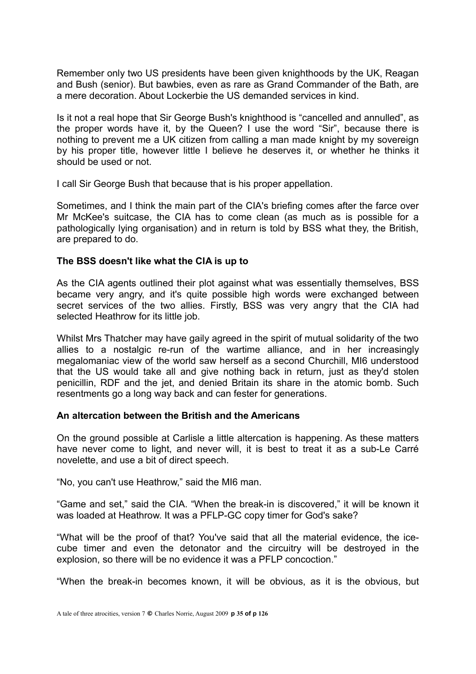Remember only two US presidents have been given knighthoods by the UK, Reagan and Bush (senior). But bawbies, even as rare as Grand Commander of the Bath, are a mere decoration. About Lockerbie the US demanded services in kind.

Is it not a real hope that Sir George Bush's knighthood is "cancelled and annulled", as the proper words have it, by the Queen? I use the word "Sir", because there is nothing to prevent me a UK citizen from calling a man made knight by my sovereign by his proper title, however little I believe he deserves it, or whether he thinks it should be used or not.

I call Sir George Bush that because that is his proper appellation.

Sometimes, and I think the main part of the CIA's briefing comes after the farce over Mr McKee's suitcase, the CIA has to come clean (as much as is possible for a pathologically lying organisation) and in return is told by BSS what they, the British, are prepared to do.

#### **The BSS doesn't like what the CIA is up to**

As the CIA agents outlined their plot against what was essentially themselves, BSS became very angry, and it's quite possible high words were exchanged between secret services of the two allies. Firstly, BSS was very angry that the CIA had selected Heathrow for its little job.

Whilst Mrs Thatcher may have gaily agreed in the spirit of mutual solidarity of the two allies to a nostalgic re-run of the wartime alliance, and in her increasingly megalomaniac view of the world saw herself as a second Churchill, MI6 understood that the US would take all and give nothing back in return, just as they'd stolen penicillin, RDF and the jet, and denied Britain its share in the atomic bomb. Such resentments go a long way back and can fester for generations.

#### **An altercation between the British and the Americans**

On the ground possible at Carlisle a little altercation is happening. As these matters have never come to light, and never will, it is best to treat it as a sub-Le Carré novelette, and use a bit of direct speech.

"No, you can't use Heathrow," said the MI6 man.

"Game and set," said the CIA. "When the break-in is discovered," it will be known it was loaded at Heathrow. It was a PFLP-GC copy timer for God's sake?

"What will be the proof of that? You've said that all the material evidence, the icecube timer and even the detonator and the circuitry will be destroyed in the explosion, so there will be no evidence it was a PFLP concoction."

"When the break-in becomes known, it will be obvious, as it is the obvious, but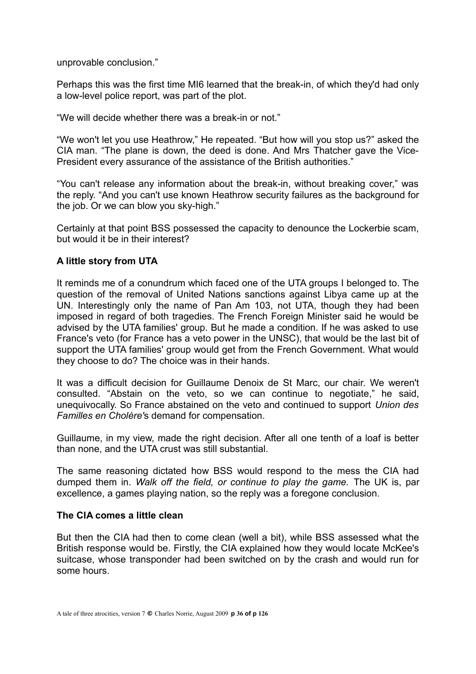unprovable conclusion."

Perhaps this was the first time MI6 learned that the break-in, of which they'd had only a low-level police report, was part of the plot.

"We will decide whether there was a break-in or not."

"We won't let you use Heathrow," He repeated. "But how will you stop us?" asked the CIA man. "The plane is down, the deed is done. And Mrs Thatcher gave the Vice-President every assurance of the assistance of the British authorities."

"You can't release any information about the break-in, without breaking cover," was the reply. "And you can't use known Heathrow security failures as the background for the job. Or we can blow you sky-high."

Certainly at that point BSS possessed the capacity to denounce the Lockerbie scam, but would it be in their interest?

# **A little story from UTA**

It reminds me of a conundrum which faced one of the UTA groups I belonged to. The question of the removal of United Nations sanctions against Libya came up at the UN. Interestingly only the name of Pan Am 103, not UTA, though they had been imposed in regard of both tragedies. The French Foreign Minister said he would be advised by the UTA families' group. But he made a condition. If he was asked to use France's veto (for France has a veto power in the UNSC), that would be the last bit of support the UTA families' group would get from the French Government. What would they choose to do? The choice was in their hands.

It was a difficult decision for Guillaume Denoix de St Marc, our chair. We weren't consulted. "Abstain on the veto, so we can continue to negotiate," he said, unequivocally. So France abstained on the veto and continued to support *Union des Familles en Cholère'*s demand for compensation.

Guillaume, in my view, made the right decision. After all one tenth of a loaf is better than none, and the UTA crust was still substantial.

The same reasoning dictated how BSS would respond to the mess the CIA had dumped them in. *Walk off the field, or continue to play the game.* The UK is, par excellence, a games playing nation, so the reply was a foregone conclusion.

#### **The CIA comes a little clean**

But then the CIA had then to come clean (well a bit), while BSS assessed what the British response would be. Firstly, the CIA explained how they would locate McKee's suitcase, whose transponder had been switched on by the crash and would run for some hours.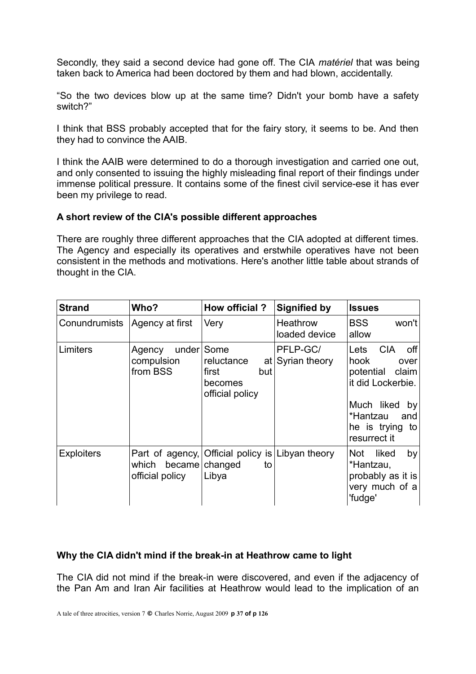Secondly, they said a second device had gone off. The CIA *matériel* that was being taken back to America had been doctored by them and had blown, accidentally.

"So the two devices blow up at the same time? Didn't your bomb have a safety switch?"

I think that BSS probably accepted that for the fairy story, it seems to be. And then they had to convince the AAIB.

I think the AAIB were determined to do a thorough investigation and carried one out, and only consented to issuing the highly misleading final report of their findings under immense political pressure. It contains some of the finest civil service-ese it has ever been my privilege to read.

## **A short review of the CIA's possible different approaches**

There are roughly three different approaches that the CIA adopted at different times. The Agency and especially its operatives and erstwhile operatives have not been consistent in the methods and motivations. Here's another little table about strands of thought in the CIA.

| <b>Strand</b>     | Who?                                                  | How official?                                                    | <b>Signified by</b>          | <b>Issues</b>                                                                                                                                                     |
|-------------------|-------------------------------------------------------|------------------------------------------------------------------|------------------------------|-------------------------------------------------------------------------------------------------------------------------------------------------------------------|
| Conundrumists     | Agency at first                                       | Very                                                             | Heathrow<br>loaded device    | <b>BSS</b><br>won't<br>allow                                                                                                                                      |
| Limiters          | under<br>Agency<br>compulsion<br>from BSS             | Some<br>reluctance<br>first<br>but<br>becomes<br>official policy | PFLP-GC/<br>at Syrian theory | <b>CIA</b><br>Lets<br>off<br>hook<br>over<br>potential<br>claim<br>it did Lockerbie.<br>Much liked<br>by<br>*Hantzau<br>and<br>he is trying<br>to<br>resurrect it |
| <b>Exploiters</b> | Part of agency,<br>which<br>became<br>official policy | Official policy is Libyan theory<br>changed<br>to<br>Libya       |                              | liked<br>Not<br>by<br>*Hantzau,<br>probably as it is<br>very much of a<br>'fudge'                                                                                 |

## **Why the CIA didn't mind if the break-in at Heathrow came to light**

The CIA did not mind if the break-in were discovered, and even if the adjacency of the Pan Am and Iran Air facilities at Heathrow would lead to the implication of an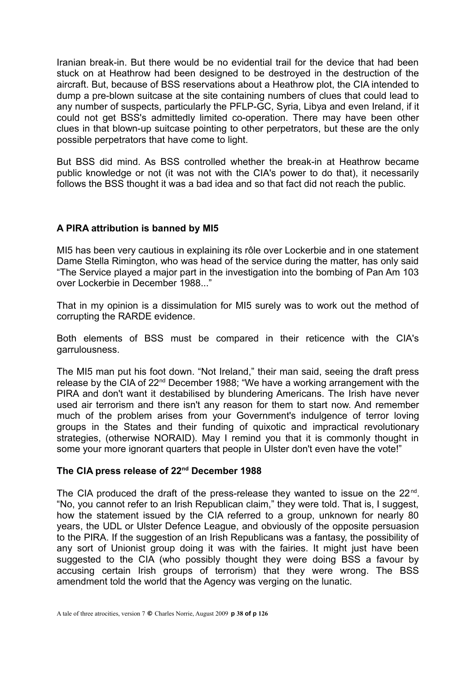Iranian break-in. But there would be no evidential trail for the device that had been stuck on at Heathrow had been designed to be destroyed in the destruction of the aircraft. But, because of BSS reservations about a Heathrow plot, the CIA intended to dump a pre-blown suitcase at the site containing numbers of clues that could lead to any number of suspects, particularly the PFLP-GC, Syria, Libya and even Ireland, if it could not get BSS's admittedly limited co-operation. There may have been other clues in that blown-up suitcase pointing to other perpetrators, but these are the only possible perpetrators that have come to light.

But BSS did mind. As BSS controlled whether the break-in at Heathrow became public knowledge or not (it was not with the CIA's power to do that), it necessarily follows the BSS thought it was a bad idea and so that fact did not reach the public.

# **A PIRA attribution is banned by MI5**

MI5 has been very cautious in explaining its rôle over Lockerbie and in one statement Dame Stella Rimington, who was head of the service during the matter, has only said "The Service played a major part in the investigation into the bombing of Pan Am 103 over Lockerbie in December 1988..."

That in my opinion is a dissimulation for MI5 surely was to work out the method of corrupting the RARDE evidence.

Both elements of BSS must be compared in their reticence with the CIA's garrulousness.

The MI5 man put his foot down. "Not Ireland," their man said, seeing the draft press release by the CIA of 22<sup>nd</sup> December 1988; "We have a working arrangement with the PIRA and don't want it destabilised by blundering Americans. The Irish have never used air terrorism and there isn't any reason for them to start now. And remember much of the problem arises from your Government's indulgence of terror loving groups in the States and their funding of quixotic and impractical revolutionary strategies, (otherwise NORAID). May I remind you that it is commonly thought in some your more ignorant quarters that people in Ulster don't even have the vote!"

# **The CIA press release of 22nd December 1988**

The CIA produced the draft of the press-release they wanted to issue on the  $22^{nd}$ . "No, you cannot refer to an Irish Republican claim," they were told. That is, I suggest, how the statement issued by the CIA referred to a group, unknown for nearly 80 years, the UDL or Ulster Defence League, and obviously of the opposite persuasion to the PIRA. If the suggestion of an Irish Republicans was a fantasy, the possibility of any sort of Unionist group doing it was with the fairies. It might just have been suggested to the CIA (who possibly thought they were doing BSS a favour by accusing certain Irish groups of terrorism) that they were wrong. The BSS amendment told the world that the Agency was verging on the lunatic.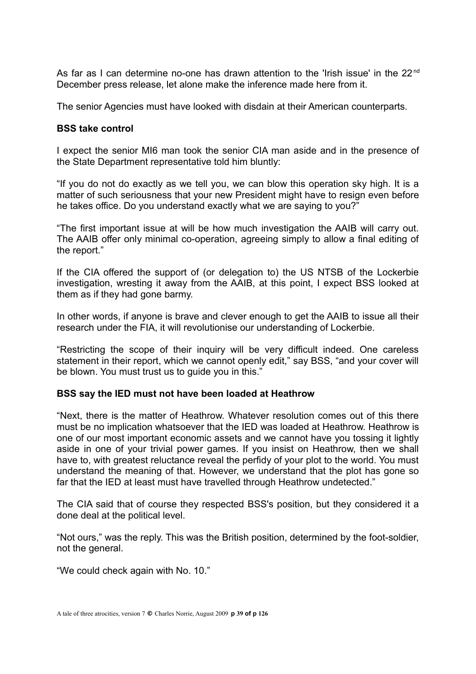As far as I can determine no-one has drawn attention to the 'Irish issue' in the  $22<sup>nd</sup>$ December press release, let alone make the inference made here from it.

The senior Agencies must have looked with disdain at their American counterparts.

#### **BSS take control**

I expect the senior MI6 man took the senior CIA man aside and in the presence of the State Department representative told him bluntly:

"If you do not do exactly as we tell you, we can blow this operation sky high. It is a matter of such seriousness that your new President might have to resign even before he takes office. Do you understand exactly what we are saying to you?"

"The first important issue at will be how much investigation the AAIB will carry out. The AAIB offer only minimal co-operation, agreeing simply to allow a final editing of the report."

If the CIA offered the support of (or delegation to) the US NTSB of the Lockerbie investigation, wresting it away from the AAIB, at this point, I expect BSS looked at them as if they had gone barmy.

In other words, if anyone is brave and clever enough to get the AAIB to issue all their research under the FIA, it will revolutionise our understanding of Lockerbie.

"Restricting the scope of their inquiry will be very difficult indeed. One careless statement in their report, which we cannot openly edit," say BSS, "and your cover will be blown. You must trust us to guide you in this."

#### **BSS say the IED must not have been loaded at Heathrow**

"Next, there is the matter of Heathrow. Whatever resolution comes out of this there must be no implication whatsoever that the IED was loaded at Heathrow. Heathrow is one of our most important economic assets and we cannot have you tossing it lightly aside in one of your trivial power games. If you insist on Heathrow, then we shall have to, with greatest reluctance reveal the perfidy of your plot to the world. You must understand the meaning of that. However, we understand that the plot has gone so far that the IED at least must have travelled through Heathrow undetected."

The CIA said that of course they respected BSS's position, but they considered it a done deal at the political level.

"Not ours," was the reply. This was the British position, determined by the foot-soldier, not the general.

"We could check again with No. 10."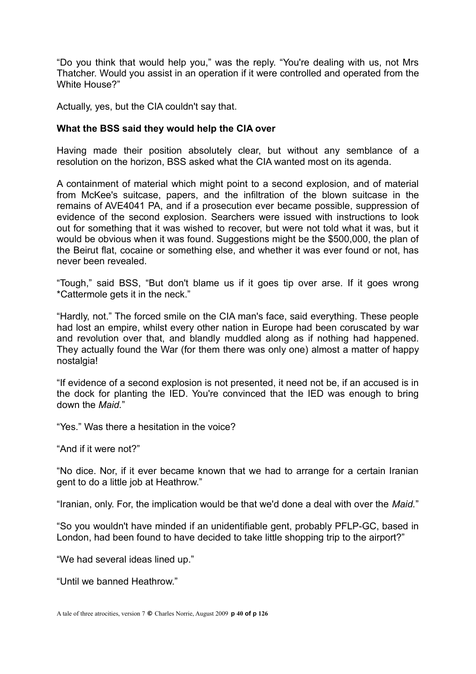"Do you think that would help you," was the reply. "You're dealing with us, not Mrs Thatcher. Would you assist in an operation if it were controlled and operated from the White House?"

Actually, yes, but the CIA couldn't say that.

#### **What the BSS said they would help the CIA over**

Having made their position absolutely clear, but without any semblance of a resolution on the horizon, BSS asked what the CIA wanted most on its agenda.

A containment of material which might point to a second explosion, and of material from McKee's suitcase, papers, and the infiltration of the blown suitcase in the remains of AVE4041 PA, and if a prosecution ever became possible, suppression of evidence of the second explosion. Searchers were issued with instructions to look out for something that it was wished to recover, but were not told what it was, but it would be obvious when it was found. Suggestions might be the \$500,000, the plan of the Beirut flat, cocaine or something else, and whether it was ever found or not, has never been revealed.

"Tough," said BSS, "But don't blame us if it goes tip over arse. If it goes wrong \*Cattermole gets it in the neck."

"Hardly, not." The forced smile on the CIA man's face, said everything. These people had lost an empire, whilst every other nation in Europe had been coruscated by war and revolution over that, and blandly muddled along as if nothing had happened. They actually found the War (for them there was only one) almost a matter of happy nostalgia!

"If evidence of a second explosion is not presented, it need not be, if an accused is in the dock for planting the IED. You're convinced that the IED was enough to bring down the *Maid.*"

"Yes." Was there a hesitation in the voice?

"And if it were not?"

"No dice. Nor, if it ever became known that we had to arrange for a certain Iranian gent to do a little job at Heathrow."

"Iranian, only. For, the implication would be that we'd done a deal with over the *Maid.*"

"So you wouldn't have minded if an unidentifiable gent, probably PFLP-GC, based in London, had been found to have decided to take little shopping trip to the airport?"

"We had several ideas lined up."

"Until we banned Heathrow."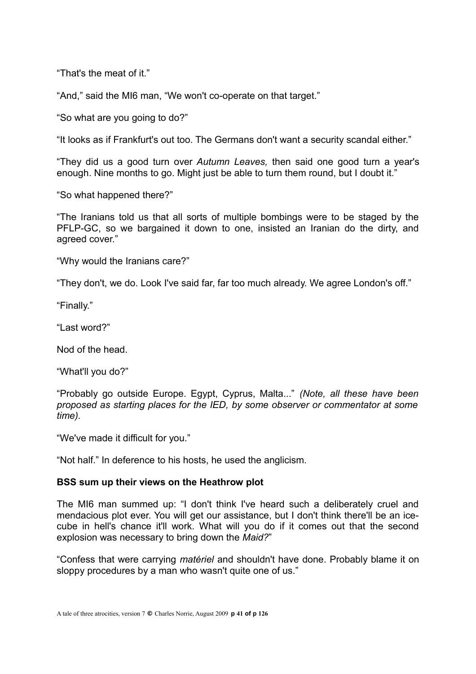"That's the meat of it."

"And," said the MI6 man, "We won't co-operate on that target."

"So what are you going to do?"

"It looks as if Frankfurt's out too. The Germans don't want a security scandal either."

"They did us a good turn over *Autumn Leaves,* then said one good turn a year's enough. Nine months to go. Might just be able to turn them round, but I doubt it."

"So what happened there?"

"The Iranians told us that all sorts of multiple bombings were to be staged by the PFLP-GC, so we bargained it down to one, insisted an Iranian do the dirty, and agreed cover."

"Why would the Iranians care?"

"They don't, we do. Look I've said far, far too much already. We agree London's off."

"Finally."

"Last word?"

Nod of the head.

"What'll you do?"

"Probably go outside Europe. Egypt, Cyprus, Malta..." *(Note, all these have been proposed as starting places for the IED, by some observer or commentator at some time).*

"We've made it difficult for you."

"Not half." In deference to his hosts, he used the anglicism.

## **BSS sum up their views on the Heathrow plot**

The MI6 man summed up: "I don't think I've heard such a deliberately cruel and mendacious plot ever. You will get our assistance, but I don't think there'll be an icecube in hell's chance it'll work. What will you do if it comes out that the second explosion was necessary to bring down the *Maid?*"

"Confess that were carrying *matériel* and shouldn't have done. Probably blame it on sloppy procedures by a man who wasn't quite one of us."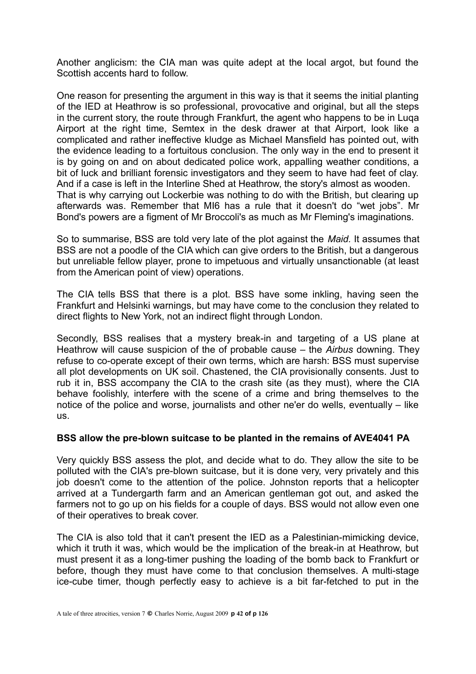Another anglicism: the CIA man was quite adept at the local argot, but found the Scottish accents hard to follow.

One reason for presenting the argument in this way is that it seems the initial planting of the IED at Heathrow is so professional, provocative and original, but all the steps in the current story, the route through Frankfurt, the agent who happens to be in Luqa Airport at the right time, Semtex in the desk drawer at that Airport, look like a complicated and rather ineffective kludge as Michael Mansfield has pointed out, with the evidence leading to a fortuitous conclusion. The only way in the end to present it is by going on and on about dedicated police work, appalling weather conditions, a bit of luck and brilliant forensic investigators and they seem to have had feet of clay. And if a case is left in the Interline Shed at Heathrow, the story's almost as wooden. That is why carrying out Lockerbie was nothing to do with the British, but clearing up afterwards was. Remember that MI6 has a rule that it doesn't do "wet jobs". Mr Bond's powers are a figment of Mr Broccoli's as much as Mr Fleming's imaginations.

So to summarise, BSS are told very late of the plot against the *Maid.* It assumes that BSS are not a poodle of the CIA which can give orders to the British, but a dangerous but unreliable fellow player, prone to impetuous and virtually unsanctionable (at least from the American point of view) operations.

The CIA tells BSS that there is a plot. BSS have some inkling, having seen the Frankfurt and Helsinki warnings, but may have come to the conclusion they related to direct flights to New York, not an indirect flight through London.

Secondly, BSS realises that a mystery break-in and targeting of a US plane at Heathrow will cause suspicion of the of probable cause – the *Airbus* downing. They refuse to co-operate except of their own terms, which are harsh: BSS must supervise all plot developments on UK soil. Chastened, the CIA provisionally consents. Just to rub it in, BSS accompany the CIA to the crash site (as they must), where the CIA behave foolishly, interfere with the scene of a crime and bring themselves to the notice of the police and worse, journalists and other ne'er do wells, eventually – like us.

## **BSS allow the pre-blown suitcase to be planted in the remains of AVE4041 PA**

Very quickly BSS assess the plot, and decide what to do. They allow the site to be polluted with the CIA's pre-blown suitcase, but it is done very, very privately and this job doesn't come to the attention of the police. Johnston reports that a helicopter arrived at a Tundergarth farm and an American gentleman got out, and asked the farmers not to go up on his fields for a couple of days. BSS would not allow even one of their operatives to break cover.

The CIA is also told that it can't present the IED as a Palestinian-mimicking device, which it truth it was, which would be the implication of the break-in at Heathrow, but must present it as a long-timer pushing the loading of the bomb back to Frankfurt or before, though they must have come to that conclusion themselves. A multi-stage ice-cube timer, though perfectly easy to achieve is a bit far-fetched to put in the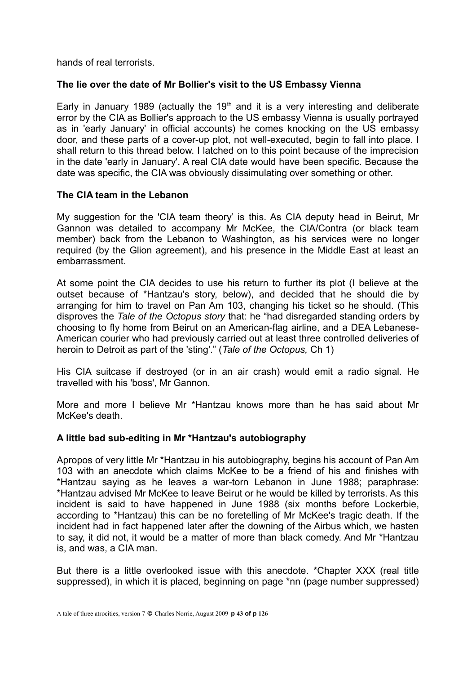hands of real terrorists.

## **The lie over the date of Mr Bollier's visit to the US Embassy Vienna**

Early in January 1989 (actually the  $19<sup>th</sup>$  and it is a very interesting and deliberate error by the CIA as Bollier's approach to the US embassy Vienna is usually portrayed as in 'early January' in official accounts) he comes knocking on the US embassy door, and these parts of a cover-up plot, not well-executed, begin to fall into place. I shall return to this thread below. I latched on to this point because of the imprecision in the date 'early in January'. A real CIA date would have been specific. Because the date was specific, the CIA was obviously dissimulating over something or other.

# **The CIA team in the Lebanon**

My suggestion for the 'CIA team theory' is this. As CIA deputy head in Beirut, Mr Gannon was detailed to accompany Mr McKee, the CIA/Contra (or black team member) back from the Lebanon to Washington, as his services were no longer required (by the Glion agreement), and his presence in the Middle East at least an embarrassment.

At some point the CIA decides to use his return to further its plot (I believe at the outset because of \*Hantzau's story, below), and decided that he should die by arranging for him to travel on Pan Am 103, changing his ticket so he should. (This disproves the *Tale of the Octopus story* that: he "had disregarded standing orders by choosing to fly home from Beirut on an American-flag airline, and a DEA Lebanese-American courier who had previously carried out at least three controlled deliveries of heroin to Detroit as part of the 'sting'." (*Tale of the Octopus,* Ch 1)

His CIA suitcase if destroyed (or in an air crash) would emit a radio signal. He travelled with his 'boss', Mr Gannon.

More and more I believe Mr \*Hantzau knows more than he has said about Mr McKee's death.

## **A little bad sub-editing in Mr \*Hantzau's autobiography**

Apropos of very little Mr \*Hantzau in his autobiography, begins his account of Pan Am 103 with an anecdote which claims McKee to be a friend of his and finishes with \*Hantzau saying as he leaves a war-torn Lebanon in June 1988; paraphrase: \*Hantzau advised Mr McKee to leave Beirut or he would be killed by terrorists. As this incident is said to have happened in June 1988 (six months before Lockerbie, according to \*Hantzau) this can be no foretelling of Mr McKee's tragic death. If the incident had in fact happened later after the downing of the Airbus which, we hasten to say, it did not, it would be a matter of more than black comedy. And Mr \*Hantzau is, and was, a CIA man.

But there is a little overlooked issue with this anecdote. \*Chapter XXX (real title suppressed), in which it is placed, beginning on page \*nn (page number suppressed)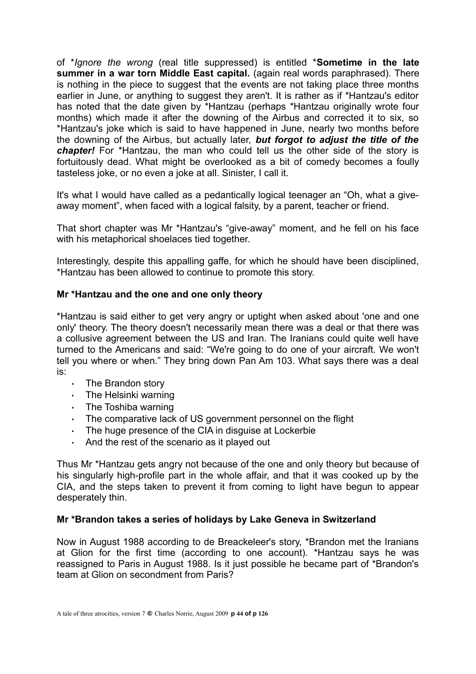of \**Ignore the wrong* (real title suppressed) is entitled \***Sometime in the late summer in a war torn Middle East capital.** (again real words paraphrased). There is nothing in the piece to suggest that the events are not taking place three months earlier in June, or anything to suggest they aren't. It is rather as if \*Hantzau's editor has noted that the date given by \*Hantzau (perhaps \*Hantzau originally wrote four months) which made it after the downing of the Airbus and corrected it to six, so \*Hantzau's joke which is said to have happened in June, nearly two months before the downing of the Airbus, but actually later, *but forgot to adjust the title of the chapter!* For \*Hantzau, the man who could tell us the other side of the story is fortuitously dead. What might be overlooked as a bit of comedy becomes a foully tasteless joke, or no even a joke at all. Sinister, I call it.

It's what I would have called as a pedantically logical teenager an "Oh, what a giveaway moment", when faced with a logical falsity, by a parent, teacher or friend.

That short chapter was Mr \*Hantzau's "give-away" moment, and he fell on his face with his metaphorical shoelaces tied together.

Interestingly, despite this appalling gaffe, for which he should have been disciplined, \*Hantzau has been allowed to continue to promote this story.

#### **Mr \*Hantzau and the one and one only theory**

\*Hantzau is said either to get very angry or uptight when asked about 'one and one only' theory. The theory doesn't necessarily mean there was a deal or that there was a collusive agreement between the US and Iran. The Iranians could quite well have turned to the Americans and said: "We're going to do one of your aircraft. We won't tell you where or when." They bring down Pan Am 103. What says there was a deal is:

- . The Brandon story
- . The Helsinki warning
- $\cdot$  The Toshiba warning
- The comparative lack of US government personnel on the flight
- The huge presence of the CIA in disguise at Lockerbie
- $\cdot$  And the rest of the scenario as it played out

Thus Mr \*Hantzau gets angry not because of the one and only theory but because of his singularly high-profile part in the whole affair, and that it was cooked up by the CIA, and the steps taken to prevent it from coming to light have begun to appear desperately thin.

#### **Mr \*Brandon takes a series of holidays by Lake Geneva in Switzerland**

Now in August 1988 according to de Breackeleer's story, \*Brandon met the Iranians at Glion for the first time (according to one account). \*Hantzau says he was reassigned to Paris in August 1988. Is it just possible he became part of \*Brandon's team at Glion on secondment from Paris?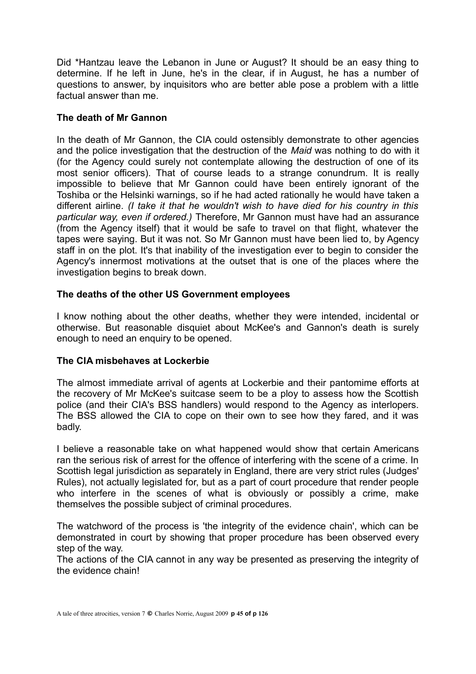Did \*Hantzau leave the Lebanon in June or August? It should be an easy thing to determine. If he left in June, he's in the clear, if in August, he has a number of questions to answer, by inquisitors who are better able pose a problem with a little factual answer than me.

#### **The death of Mr Gannon**

In the death of Mr Gannon, the CIA could ostensibly demonstrate to other agencies and the police investigation that the destruction of the *Maid* was nothing to do with it (for the Agency could surely not contemplate allowing the destruction of one of its most senior officers). That of course leads to a strange conundrum. It is really impossible to believe that Mr Gannon could have been entirely ignorant of the Toshiba or the Helsinki warnings, so if he had acted rationally he would have taken a different airline. *(I take it that he wouldn't wish to have died for his country in this particular way, even if ordered.)* Therefore, Mr Gannon must have had an assurance (from the Agency itself) that it would be safe to travel on that flight, whatever the tapes were saying. But it was not. So Mr Gannon must have been lied to, by Agency staff in on the plot. It's that inability of the investigation ever to begin to consider the Agency's innermost motivations at the outset that is one of the places where the investigation begins to break down.

## **The deaths of the other US Government employees**

I know nothing about the other deaths, whether they were intended, incidental or otherwise. But reasonable disquiet about McKee's and Gannon's death is surely enough to need an enquiry to be opened.

## **The CIA misbehaves at Lockerbie**

The almost immediate arrival of agents at Lockerbie and their pantomime efforts at the recovery of Mr McKee's suitcase seem to be a ploy to assess how the Scottish police (and their CIA's BSS handlers) would respond to the Agency as interlopers. The BSS allowed the CIA to cope on their own to see how they fared, and it was badly.

I believe a reasonable take on what happened would show that certain Americans ran the serious risk of arrest for the offence of interfering with the scene of a crime. In Scottish legal jurisdiction as separately in England, there are very strict rules (Judges' Rules), not actually legislated for, but as a part of court procedure that render people who interfere in the scenes of what is obviously or possibly a crime, make themselves the possible subject of criminal procedures.

The watchword of the process is 'the integrity of the evidence chain', which can be demonstrated in court by showing that proper procedure has been observed every step of the way.

The actions of the CIA cannot in any way be presented as preserving the integrity of the evidence chain!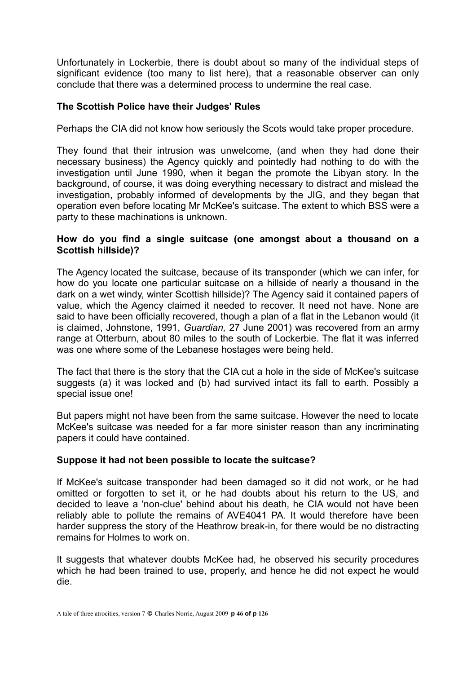Unfortunately in Lockerbie, there is doubt about so many of the individual steps of significant evidence (too many to list here), that a reasonable observer can only conclude that there was a determined process to undermine the real case.

#### **The Scottish Police have their Judges' Rules**

Perhaps the CIA did not know how seriously the Scots would take proper procedure.

They found that their intrusion was unwelcome, (and when they had done their necessary business) the Agency quickly and pointedly had nothing to do with the investigation until June 1990, when it began the promote the Libyan story. In the background, of course, it was doing everything necessary to distract and mislead the investigation, probably informed of developments by the JIG, and they began that operation even before locating Mr McKee's suitcase. The extent to which BSS were a party to these machinations is unknown.

#### **How do you find a single suitcase (one amongst about a thousand on a Scottish hillside)?**

The Agency located the suitcase, because of its transponder (which we can infer, for how do you locate one particular suitcase on a hillside of nearly a thousand in the dark on a wet windy, winter Scottish hillside)? The Agency said it contained papers of value, which the Agency claimed it needed to recover. It need not have. None are said to have been officially recovered, though a plan of a flat in the Lebanon would (it is claimed, Johnstone, 1991, *Guardian,* 27 June 2001) was recovered from an army range at Otterburn, about 80 miles to the south of Lockerbie. The flat it was inferred was one where some of the Lebanese hostages were being held.

The fact that there is the story that the CIA cut a hole in the side of McKee's suitcase suggests (a) it was locked and (b) had survived intact its fall to earth. Possibly a special issue one!

But papers might not have been from the same suitcase. However the need to locate McKee's suitcase was needed for a far more sinister reason than any incriminating papers it could have contained.

#### **Suppose it had not been possible to locate the suitcase?**

If McKee's suitcase transponder had been damaged so it did not work, or he had omitted or forgotten to set it, or he had doubts about his return to the US, and decided to leave a 'non-clue' behind about his death, he CIA would not have been reliably able to pollute the remains of AVE4041 PA. It would therefore have been harder suppress the story of the Heathrow break-in, for there would be no distracting remains for Holmes to work on.

It suggests that whatever doubts McKee had, he observed his security procedures which he had been trained to use, properly, and hence he did not expect he would die.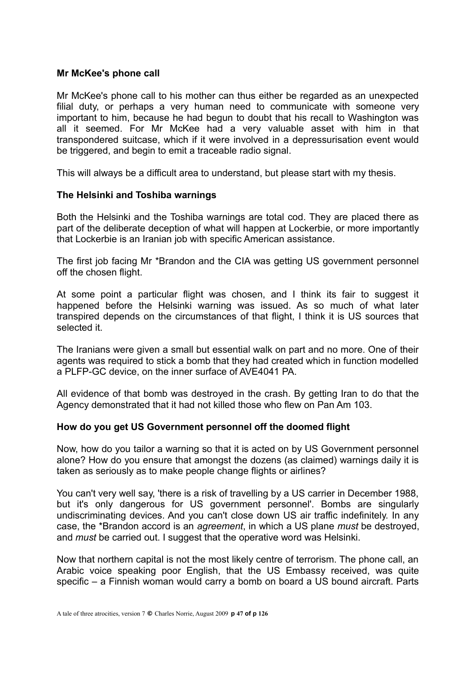#### **Mr McKee's phone call**

Mr McKee's phone call to his mother can thus either be regarded as an unexpected filial duty, or perhaps a very human need to communicate with someone very important to him, because he had begun to doubt that his recall to Washington was all it seemed. For Mr McKee had a very valuable asset with him in that transpondered suitcase, which if it were involved in a depressurisation event would be triggered, and begin to emit a traceable radio signal.

This will always be a difficult area to understand, but please start with my thesis.

#### **The Helsinki and Toshiba warnings**

Both the Helsinki and the Toshiba warnings are total cod. They are placed there as part of the deliberate deception of what will happen at Lockerbie, or more importantly that Lockerbie is an Iranian job with specific American assistance.

The first job facing Mr \*Brandon and the CIA was getting US government personnel off the chosen flight.

At some point a particular flight was chosen, and I think its fair to suggest it happened before the Helsinki warning was issued. As so much of what later transpired depends on the circumstances of that flight, I think it is US sources that selected it.

The Iranians were given a small but essential walk on part and no more. One of their agents was required to stick a bomb that they had created which in function modelled a PLFP-GC device, on the inner surface of AVE4041 PA.

All evidence of that bomb was destroyed in the crash. By getting Iran to do that the Agency demonstrated that it had not killed those who flew on Pan Am 103.

#### **How do you get US Government personnel off the doomed flight**

Now, how do you tailor a warning so that it is acted on by US Government personnel alone? How do you ensure that amongst the dozens (as claimed) warnings daily it is taken as seriously as to make people change flights or airlines?

You can't very well say, 'there is a risk of travelling by a US carrier in December 1988, but it's only dangerous for US government personnel'. Bombs are singularly undiscriminating devices. And you can't close down US air traffic indefinitely. In any case, the \*Brandon accord is an *agreement*, in which a US plane *must* be destroyed, and *must* be carried out. I suggest that the operative word was Helsinki.

Now that northern capital is not the most likely centre of terrorism. The phone call, an Arabic voice speaking poor English, that the US Embassy received, was quite specific – a Finnish woman would carry a bomb on board a US bound aircraft. Parts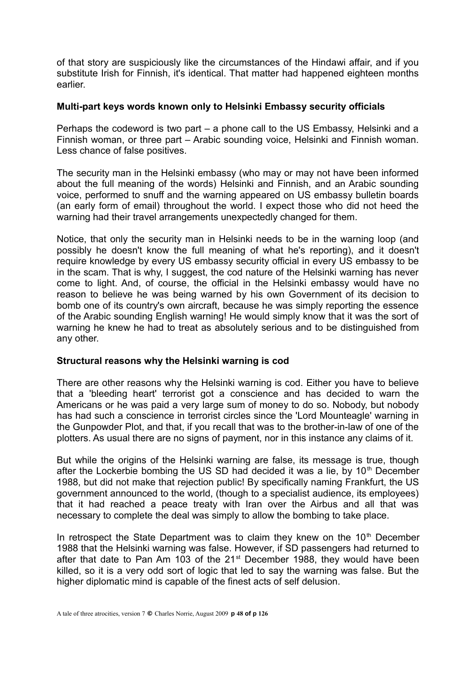of that story are suspiciously like the circumstances of the Hindawi affair, and if you substitute Irish for Finnish, it's identical. That matter had happened eighteen months earlier.

#### **Multi-part keys words known only to Helsinki Embassy security officials**

Perhaps the codeword is two part – a phone call to the US Embassy, Helsinki and a Finnish woman, or three part – Arabic sounding voice, Helsinki and Finnish woman. Less chance of false positives.

The security man in the Helsinki embassy (who may or may not have been informed about the full meaning of the words) Helsinki and Finnish, and an Arabic sounding voice, performed to snuff and the warning appeared on US embassy bulletin boards (an early form of email) throughout the world. I expect those who did not heed the warning had their travel arrangements unexpectedly changed for them.

Notice, that only the security man in Helsinki needs to be in the warning loop (and possibly he doesn't know the full meaning of what he's reporting), and it doesn't require knowledge by every US embassy security official in every US embassy to be in the scam. That is why, I suggest, the cod nature of the Helsinki warning has never come to light. And, of course, the official in the Helsinki embassy would have no reason to believe he was being warned by his own Government of its decision to bomb one of its country's own aircraft, because he was simply reporting the essence of the Arabic sounding English warning! He would simply know that it was the sort of warning he knew he had to treat as absolutely serious and to be distinguished from any other.

## **Structural reasons why the Helsinki warning is cod**

There are other reasons why the Helsinki warning is cod. Either you have to believe that a 'bleeding heart' terrorist got a conscience and has decided to warn the Americans or he was paid a very large sum of money to do so. Nobody, but nobody has had such a conscience in terrorist circles since the 'Lord Mounteagle' warning in the Gunpowder Plot, and that, if you recall that was to the brother-in-law of one of the plotters. As usual there are no signs of payment, nor in this instance any claims of it.

But while the origins of the Helsinki warning are false, its message is true, though after the Lockerbie bombing the US SD had decided it was a lie, by  $10<sup>th</sup>$  December 1988, but did not make that rejection public! By specifically naming Frankfurt, the US government announced to the world, (though to a specialist audience, its employees) that it had reached a peace treaty with Iran over the Airbus and all that was necessary to complete the deal was simply to allow the bombing to take place.

In retrospect the State Department was to claim they knew on the 10<sup>th</sup> December 1988 that the Helsinki warning was false. However, if SD passengers had returned to after that date to Pan Am 103 of the 21<sup>st</sup> December 1988, they would have been killed, so it is a very odd sort of logic that led to say the warning was false. But the higher diplomatic mind is capable of the finest acts of self delusion.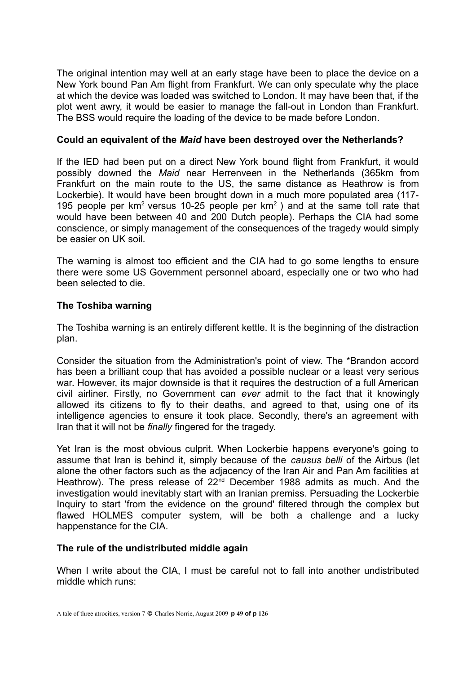The original intention may well at an early stage have been to place the device on a New York bound Pan Am flight from Frankfurt. We can only speculate why the place at which the device was loaded was switched to London. It may have been that, if the plot went awry, it would be easier to manage the fall-out in London than Frankfurt. The BSS would require the loading of the device to be made before London.

## **Could an equivalent of the** *Maid* **have been destroyed over the Netherlands?**

If the IED had been put on a direct New York bound flight from Frankfurt, it would possibly downed the *Maid* near Herrenveen in the Netherlands (365km from Frankfurt on the main route to the US, the same distance as Heathrow is from Lockerbie). It would have been brought down in a much more populated area (117- 195 people per  $km^2$  versus 10-25 people per  $km^2$ ) and at the same toll rate that would have been between 40 and 200 Dutch people). Perhaps the CIA had some conscience, or simply management of the consequences of the tragedy would simply be easier on UK soil.

The warning is almost too efficient and the CIA had to go some lengths to ensure there were some US Government personnel aboard, especially one or two who had been selected to die.

## **The Toshiba warning**

The Toshiba warning is an entirely different kettle. It is the beginning of the distraction plan.

Consider the situation from the Administration's point of view. The \*Brandon accord has been a brilliant coup that has avoided a possible nuclear or a least very serious war. However, its major downside is that it requires the destruction of a full American civil airliner. Firstly, no Government can *ever* admit to the fact that it knowingly allowed its citizens to fly to their deaths, and agreed to that, using one of its intelligence agencies to ensure it took place. Secondly, there's an agreement with Iran that it will not be *finally* fingered for the tragedy.

Yet Iran is the most obvious culprit. When Lockerbie happens everyone's going to assume that Iran is behind it, simply because of the *causus belli* of the Airbus (let alone the other factors such as the adjacency of the Iran Air and Pan Am facilities at Heathrow). The press release of  $22<sup>nd</sup>$  December 1988 admits as much. And the investigation would inevitably start with an Iranian premiss. Persuading the Lockerbie Inquiry to start 'from the evidence on the ground' filtered through the complex but flawed HOLMES computer system, will be both a challenge and a lucky happenstance for the CIA.

## **The rule of the undistributed middle again**

When I write about the CIA, I must be careful not to fall into another undistributed middle which runs: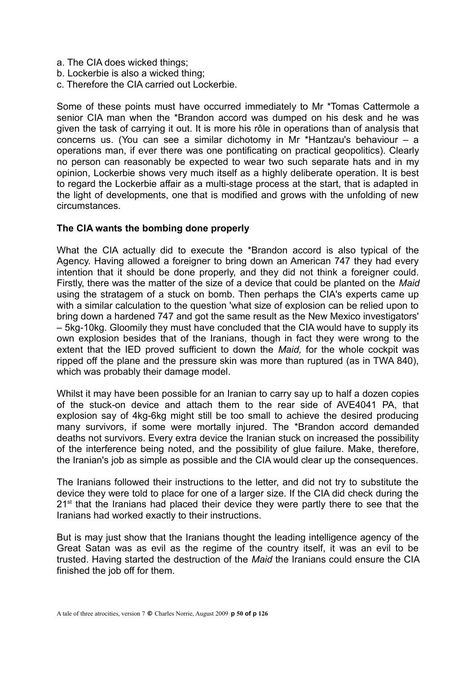- a. The CIA does wicked things;
- b. Lockerbie is also a wicked thing;
- c. Therefore the CIA carried out Lockerbie.

Some of these points must have occurred immediately to Mr \*Tomas Cattermole a senior CIA man when the \*Brandon accord was dumped on his desk and he was given the task of carrying it out. It is more his rôle in operations than of analysis that concerns us. (You can see a similar dichotomy in Mr \*Hantzau's behaviour – a operations man, if ever there was one pontificating on practical geopolitics). Clearly no person can reasonably be expected to wear two such separate hats and in my opinion, Lockerbie shows very much itself as a highly deliberate operation. It is best to regard the Lockerbie affair as a multi-stage process at the start, that is adapted in the light of developments, one that is modified and grows with the unfolding of new circumstances.

## **The CIA wants the bombing done properly**

What the CIA actually did to execute the \*Brandon accord is also typical of the Agency. Having allowed a foreigner to bring down an American 747 they had every intention that it should be done properly, and they did not think a foreigner could. Firstly, there was the matter of the size of a device that could be planted on the *Maid* using the stratagem of a stuck on bomb. Then perhaps the CIA's experts came up with a similar calculation to the question 'what size of explosion can be relied upon to bring down a hardened 747 and got the same result as the New Mexico investigators' – 5kg-10kg. Gloomily they must have concluded that the CIA would have to supply its own explosion besides that of the Iranians, though in fact they were wrong to the extent that the IED proved sufficient to down the *Maid,* for the whole cockpit was ripped off the plane and the pressure skin was more than ruptured (as in TWA 840), which was probably their damage model.

Whilst it may have been possible for an Iranian to carry say up to half a dozen copies of the stuck-on device and attach them to the rear side of AVE4041 PA, that explosion say of 4kg-6kg might still be too small to achieve the desired producing many survivors, if some were mortally injured. The \*Brandon accord demanded deaths not survivors. Every extra device the Iranian stuck on increased the possibility of the interference being noted, and the possibility of glue failure. Make, therefore, the Iranian's job as simple as possible and the CIA would clear up the consequences.

The Iranians followed their instructions to the letter, and did not try to substitute the device they were told to place for one of a larger size. If the CIA did check during the 21<sup>st</sup> that the Iranians had placed their device they were partly there to see that the Iranians had worked exactly to their instructions.

But is may just show that the Iranians thought the leading intelligence agency of the Great Satan was as evil as the regime of the country itself, it was an evil to be trusted. Having started the destruction of the *Maid* the Iranians could ensure the CIA finished the job off for them.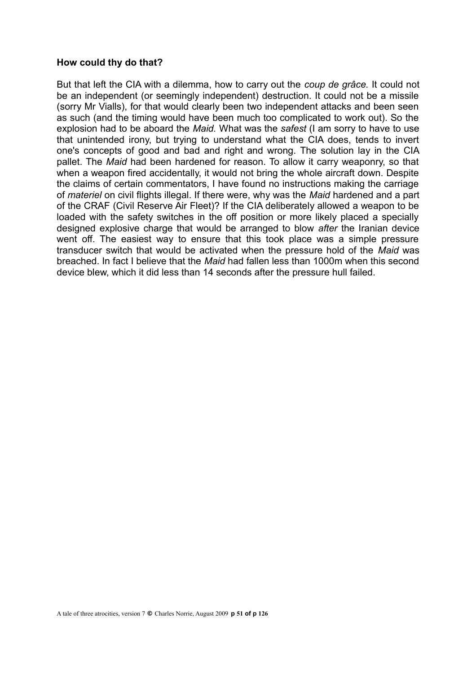#### **How could thy do that?**

But that left the CIA with a dilemma, how to carry out the *coup de grâce.* It could not be an independent (or seemingly independent) destruction. It could not be a missile (sorry Mr Vialls), for that would clearly been two independent attacks and been seen as such (and the timing would have been much too complicated to work out). So the explosion had to be aboard the *Maid.* What was the *safest* (I am sorry to have to use that unintended irony, but trying to understand what the CIA does, tends to invert one's concepts of good and bad and right and wrong. The solution lay in the CIA pallet. The *Maid* had been hardened for reason. To allow it carry weaponry, so that when a weapon fired accidentally, it would not bring the whole aircraft down. Despite the claims of certain commentators, I have found no instructions making the carriage of *materiel* on civil flights illegal. If there were, why was the *Maid* hardened and a part of the CRAF (Civil Reserve Air Fleet)? If the CIA deliberately allowed a weapon to be loaded with the safety switches in the off position or more likely placed a specially designed explosive charge that would be arranged to blow *after* the Iranian device went off. The easiest way to ensure that this took place was a simple pressure transducer switch that would be activated when the pressure hold of the *Maid* was breached. In fact I believe that the *Maid* had fallen less than 1000m when this second device blew, which it did less than 14 seconds after the pressure hull failed.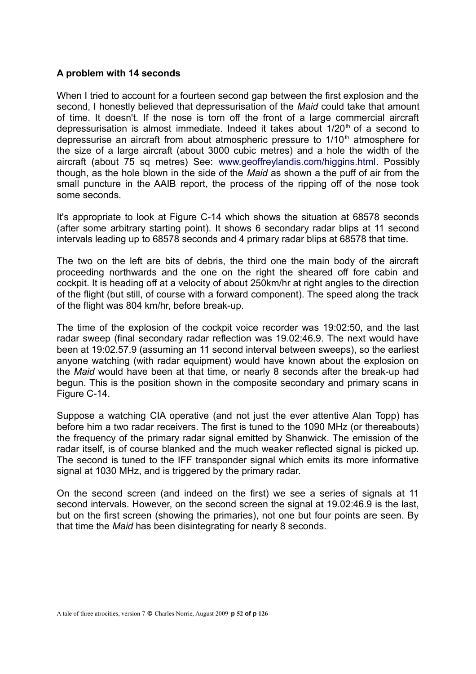## **A problem with 14 seconds**

When I tried to account for a fourteen second gap between the first explosion and the second, I honestly believed that depressurisation of the *Maid* could take that amount of time. It doesn't. If the nose is torn off the front of a large commercial aircraft depressurisation is almost immediate. Indeed it takes about  $1/20<sup>th</sup>$  of a second to depressurise an aircraft from about atmospheric pressure to  $1/10<sup>th</sup>$  atmosphere for the size of a large aircraft (about 3000 cubic metres) and a hole the width of the aircraft (about 75 sq metres) See: [www.geoffreylandis.com/higgins.html.](http://www.geoffreylandis.com/higgins.html) Possibly though, as the hole blown in the side of the *Maid* as shown a the puff of air from the small puncture in the AAIB report, the process of the ripping off of the nose took some seconds.

It's appropriate to look at Figure C-14 which shows the situation at 68578 seconds (after some arbitrary starting point). It shows 6 secondary radar blips at 11 second intervals leading up to 68578 seconds and 4 primary radar blips at 68578 that time.

The two on the left are bits of debris, the third one the main body of the aircraft proceeding northwards and the one on the right the sheared off fore cabin and cockpit. It is heading off at a velocity of about 250km/hr at right angles to the direction of the flight (but still, of course with a forward component). The speed along the track of the flight was 804 km/hr, before break-up.

The time of the explosion of the cockpit voice recorder was 19:02:50, and the last radar sweep (final secondary radar reflection was 19.02:46.9. The next would have been at 19:02.57.9 (assuming an 11 second interval between sweeps), so the earliest anyone watching (with radar equipment) would have known about the explosion on the *Maid* would have been at that time, or nearly 8 seconds after the break-up had begun. This is the position shown in the composite secondary and primary scans in Figure C-14.

Suppose a watching CIA operative (and not just the ever attentive Alan Topp) has before him a two radar receivers. The first is tuned to the 1090 MHz (or thereabouts) the frequency of the primary radar signal emitted by Shanwick. The emission of the radar itself, is of course blanked and the much weaker reflected signal is picked up. The second is tuned to the IFF transponder signal which emits its more informative signal at 1030 MHz, and is triggered by the primary radar.

On the second screen (and indeed on the first) we see a series of signals at 11 second intervals. However, on the second screen the signal at 19.02:46.9 is the last, but on the first screen (showing the primaries), not one but four points are seen. By that time the *Maid* has been disintegrating for nearly 8 seconds.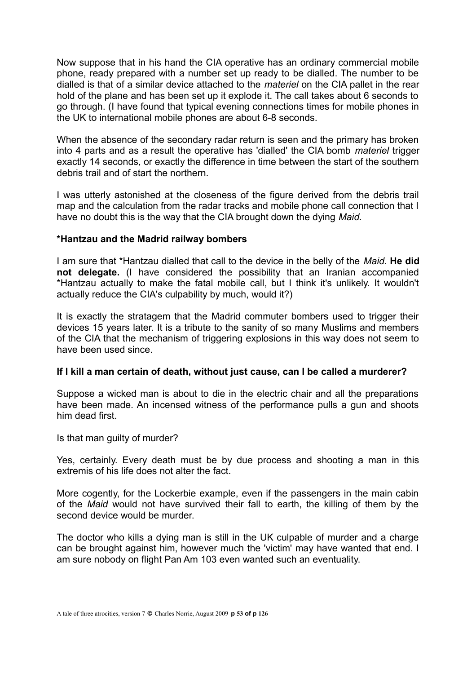Now suppose that in his hand the CIA operative has an ordinary commercial mobile phone, ready prepared with a number set up ready to be dialled. The number to be dialled is that of a similar device attached to the *materiel* on the CIA pallet in the rear hold of the plane and has been set up it explode it. The call takes about 6 seconds to go through. (I have found that typical evening connections times for mobile phones in the UK to international mobile phones are about 6-8 seconds.

When the absence of the secondary radar return is seen and the primary has broken into 4 parts and as a result the operative has 'dialled' the CIA bomb *materiel* trigger exactly 14 seconds, or exactly the difference in time between the start of the southern debris trail and of start the northern.

I was utterly astonished at the closeness of the figure derived from the debris trail map and the calculation from the radar tracks and mobile phone call connection that I have no doubt this is the way that the CIA brought down the dying *Maid.*

#### **\*Hantzau and the Madrid railway bombers**

I am sure that \*Hantzau dialled that call to the device in the belly of the *Maid.* **He did not delegate.** (I have considered the possibility that an Iranian accompanied \*Hantzau actually to make the fatal mobile call, but I think it's unlikely. It wouldn't actually reduce the CIA's culpability by much, would it?)

It is exactly the stratagem that the Madrid commuter bombers used to trigger their devices 15 years later. It is a tribute to the sanity of so many Muslims and members of the CIA that the mechanism of triggering explosions in this way does not seem to have been used since.

#### **If I kill a man certain of death, without just cause, can I be called a murderer?**

Suppose a wicked man is about to die in the electric chair and all the preparations have been made. An incensed witness of the performance pulls a gun and shoots him dead first.

Is that man guilty of murder?

Yes, certainly. Every death must be by due process and shooting a man in this extremis of his life does not alter the fact.

More cogently, for the Lockerbie example, even if the passengers in the main cabin of the *Maid* would not have survived their fall to earth, the killing of them by the second device would be murder.

The doctor who kills a dying man is still in the UK culpable of murder and a charge can be brought against him, however much the 'victim' may have wanted that end. I am sure nobody on flight Pan Am 103 even wanted such an eventuality.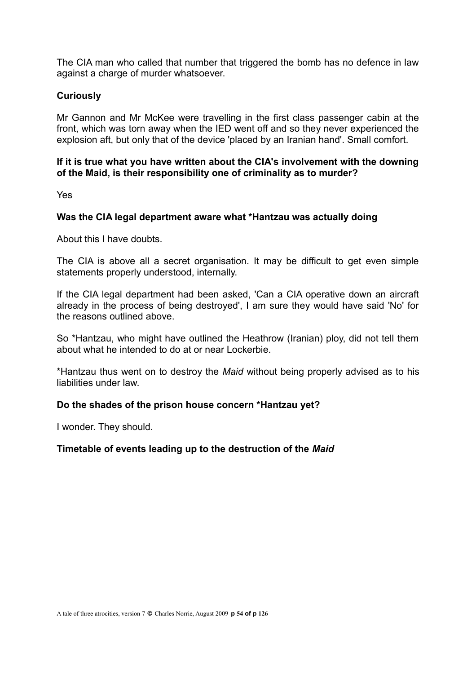The CIA man who called that number that triggered the bomb has no defence in law against a charge of murder whatsoever.

## **Curiously**

Mr Gannon and Mr McKee were travelling in the first class passenger cabin at the front, which was torn away when the IED went off and so they never experienced the explosion aft, but only that of the device 'placed by an Iranian hand'. Small comfort.

## **If it is true what you have written about the CIA's involvement with the downing of the Maid, is their responsibility one of criminality as to murder?**

Yes

## **Was the CIA legal department aware what \*Hantzau was actually doing**

About this I have doubts.

The CIA is above all a secret organisation. It may be difficult to get even simple statements properly understood, internally.

If the CIA legal department had been asked, 'Can a CIA operative down an aircraft already in the process of being destroyed', I am sure they would have said 'No' for the reasons outlined above.

So \*Hantzau, who might have outlined the Heathrow (Iranian) ploy, did not tell them about what he intended to do at or near Lockerbie.

\*Hantzau thus went on to destroy the *Maid* without being properly advised as to his liabilities under law.

## **Do the shades of the prison house concern \*Hantzau yet?**

I wonder. They should.

## **Timetable of events leading up to the destruction of the** *Maid*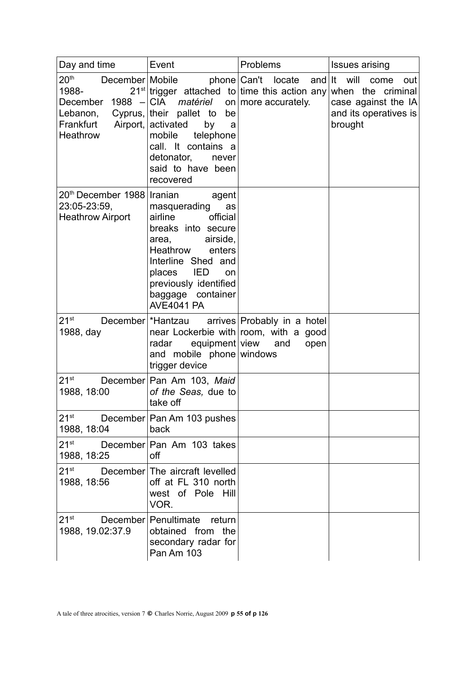| Day and time                                                                                               | Event                                                                                                                                                                                                                                      | Problems                                                                                           | <b>Issues arising</b>                                                                          |
|------------------------------------------------------------------------------------------------------------|--------------------------------------------------------------------------------------------------------------------------------------------------------------------------------------------------------------------------------------------|----------------------------------------------------------------------------------------------------|------------------------------------------------------------------------------------------------|
| 20 <sup>th</sup><br>December Mobile<br>1988-<br>December $1988$ - CIA<br>Lebanon,<br>Frankfurt<br>Heathrow | $21^{st}$ trigger attached to time this action any<br>matériel<br>Cyprus, their pallet to<br>be<br>Airport, activated<br>by<br>a<br>mobile<br>telephone<br>call. It contains a<br>detonator,<br>never<br>said to have been<br>recovered    | phone Can't locate and It will<br>on more accurately.                                              | come<br>out<br>when the criminal<br>case against the $ A $<br>and its operatives is<br>brought |
| 20 <sup>th</sup> December 1988 Iranian<br>23:05-23:59,<br><b>Heathrow Airport</b>                          | agent<br>masquerading<br>as<br>official<br>airline<br>breaks into secure<br>airside,<br>area,<br>Heathrow<br>enters<br>Interline Shed and<br><b>IED</b><br>places<br>on<br>previously identified<br>baggage container<br><b>AVE4041 PA</b> |                                                                                                    |                                                                                                |
| $21^{st}$<br>1988, day                                                                                     | December   * Hantzau<br>radar<br>and mobile phone windows<br>trigger device                                                                                                                                                                | arrives Probably in a hotel<br>near Lockerbie with room, with a good<br>equipment view and<br>open |                                                                                                |
| $21^{st}$<br>1988, 18:00                                                                                   | December Pan Am 103, Maid<br>of the Seas, due to<br>take off                                                                                                                                                                               |                                                                                                    |                                                                                                |
| $21^{st}$<br>1988, 18:04                                                                                   | December Pan Am 103 pushes<br>back                                                                                                                                                                                                         |                                                                                                    |                                                                                                |
| $21^{st}$<br>1988, 18:25                                                                                   | December Pan Am 103 takes<br>off                                                                                                                                                                                                           |                                                                                                    |                                                                                                |
| 21 <sup>st</sup><br>1988, 18:56                                                                            | December The aircraft levelled<br>off at FL 310 north<br>west of Pole Hill<br>VOR.                                                                                                                                                         |                                                                                                    |                                                                                                |
| $21^{st}$<br>1988, 19.02:37.9                                                                              | December Penultimate<br>return<br>obtained from the<br>secondary radar for<br>Pan Am 103                                                                                                                                                   |                                                                                                    |                                                                                                |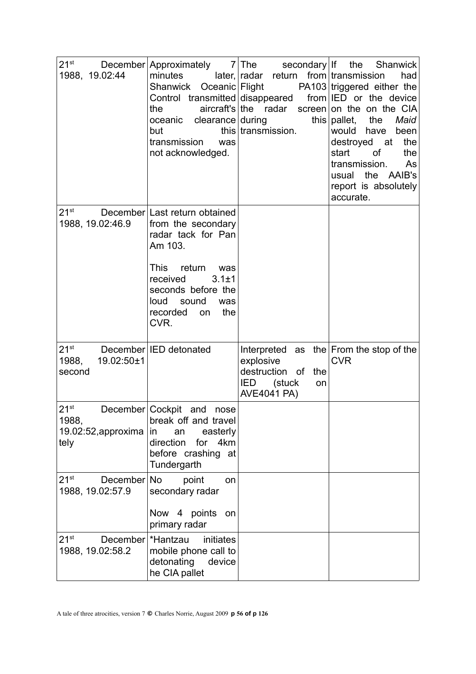| 1988, 19.02:44                                        | minutes<br>Oceanic Flight<br>Shanwick<br>Control transmitted disappeared<br>the<br>oceanic clearance during<br>but<br>transmission<br>was<br>not acknowledged.                                                                 | $21^{st}$ December Approximately 7 The secondary If the Shanwick<br>$later,   radar$ return from transmission<br>$aircraft's   the$ radar<br>this transmission. | had<br>PA103 triggered either the<br>from <b>IED</b> or the device<br>screen on the on the CIA<br>this $ {\sf{pallet}} $<br>Maid<br>the<br>would have<br>been<br>the<br>destroyed at<br>start<br>0f<br>the<br>transmission.<br>As<br>usual the AAIB's<br>report is absolutely<br>accurate. |
|-------------------------------------------------------|--------------------------------------------------------------------------------------------------------------------------------------------------------------------------------------------------------------------------------|-----------------------------------------------------------------------------------------------------------------------------------------------------------------|--------------------------------------------------------------------------------------------------------------------------------------------------------------------------------------------------------------------------------------------------------------------------------------------|
| $21^{\rm st}$<br>1988, 19.02:46.9                     | December Last return obtained<br>from the secondary<br>radar tack for Pan<br>Am 103.<br><b>This</b><br>return<br>was<br>received<br>$3.1 \pm 1$<br>seconds before the<br>loud<br>sound<br>was<br>recorded<br>the<br>on<br>CVR. |                                                                                                                                                                 |                                                                                                                                                                                                                                                                                            |
| $21^{st}$<br>19.02:50±1<br>1988,<br>second            | December <b>IED</b> detonated                                                                                                                                                                                                  | explosive<br>destruction of<br>the<br><b>IED</b><br>(stuck<br>on<br><b>AVE4041 PA)</b>                                                                          | Interpreted as the $ From the stop of the$<br><b>CVR</b>                                                                                                                                                                                                                                   |
| $21^{st}$<br>1988,<br>19.02:52, approxima<br>tely     | December Cockpit and<br>nose<br>break off and travel<br>easterly<br>in<br>an<br>for 4km<br>direction<br>before crashing at<br>Tundergarth                                                                                      |                                                                                                                                                                 |                                                                                                                                                                                                                                                                                            |
| 21 <sup>st</sup><br>December No<br>1988, 19.02:57.9   | point<br>on<br>secondary radar<br>Now 4 points<br>on<br>primary radar                                                                                                                                                          |                                                                                                                                                                 |                                                                                                                                                                                                                                                                                            |
| $21^{st}$<br>December   * Hantzau<br>1988, 19.02:58.2 | initiates<br>mobile phone call to<br>detonating<br>device<br>he CIA pallet                                                                                                                                                     |                                                                                                                                                                 |                                                                                                                                                                                                                                                                                            |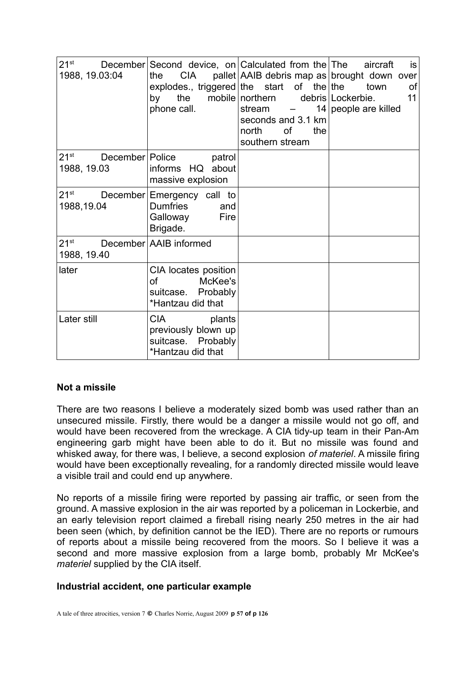| 1988, 19.03:04                                | the<br>by<br>phone call.                                                                              | 21 <sup>st</sup> December Second device, on Calculated from the The aircraft<br>the $CIA$ pallet AAIB debris map as brought down over<br>explodes., triggered the start of the the town<br>mobile northern debris Lockerbie.<br>stream -<br>seconds and 3.1 km<br>north<br>0f<br>the<br>southern stream | is<br>οf<br>11<br>14 people are killed |
|-----------------------------------------------|-------------------------------------------------------------------------------------------------------|---------------------------------------------------------------------------------------------------------------------------------------------------------------------------------------------------------------------------------------------------------------------------------------------------------|----------------------------------------|
| $21^{st}$<br>December   Police<br>1988, 19.03 | patrol<br>informs HQ about<br>massive explosion                                                       |                                                                                                                                                                                                                                                                                                         |                                        |
| 1988,19.04                                    | 21 <sup>st</sup> December Emergency call to<br><b>Dumfries</b><br>and<br>Fire<br>Galloway<br>Brigade. |                                                                                                                                                                                                                                                                                                         |                                        |
| $21^{st}$<br>1988, 19.40                      | December AAIB informed                                                                                |                                                                                                                                                                                                                                                                                                         |                                        |
| later                                         | CIA locates position<br>McKee's<br>of<br>suitcase. Probably<br>*Hantzau did that                      |                                                                                                                                                                                                                                                                                                         |                                        |
| Later still                                   | <b>CIA</b><br>plants<br>previously blown up<br>suitcase. Probably<br>*Hantzau did that                |                                                                                                                                                                                                                                                                                                         |                                        |

## **Not a missile**

There are two reasons I believe a moderately sized bomb was used rather than an unsecured missile. Firstly, there would be a danger a missile would not go off, and would have been recovered from the wreckage. A CIA tidy-up team in their Pan-Am engineering garb might have been able to do it. But no missile was found and whisked away, for there was, I believe, a second explosion *of materiel*. A missile firing would have been exceptionally revealing, for a randomly directed missile would leave a visible trail and could end up anywhere.

No reports of a missile firing were reported by passing air traffic, or seen from the ground. A massive explosion in the air was reported by a policeman in Lockerbie, and an early television report claimed a fireball rising nearly 250 metres in the air had been seen (which, by definition cannot be the IED). There are no reports or rumours of reports about a missile being recovered from the moors. So I believe it was a second and more massive explosion from a large bomb, probably Mr McKee's *materiel* supplied by the CIA itself.

## **Industrial accident, one particular example**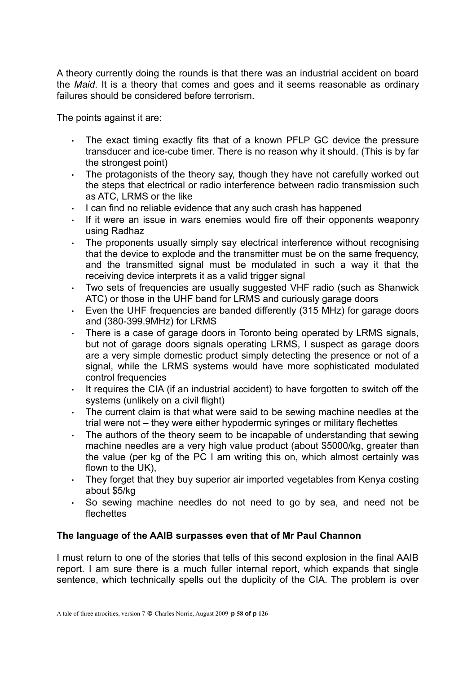A theory currently doing the rounds is that there was an industrial accident on board the *Maid*. It is a theory that comes and goes and it seems reasonable as ordinary failures should be considered before terrorism.

The points against it are:

- The exact timing exactly fits that of a known PFLP GC device the pressure transducer and ice-cube timer. There is no reason why it should. (This is by far the strongest point)
- The protagonists of the theory say, though they have not carefully worked out the steps that electrical or radio interference between radio transmission such as ATC, LRMS or the like
- $\cdot$  I can find no reliable evidence that any such crash has happened
- If it were an issue in wars enemies would fire off their opponents weaponry using Radhaz
- The proponents usually simply say electrical interference without recognising that the device to explode and the transmitter must be on the same frequency, and the transmitted signal must be modulated in such a way it that the receiving device interprets it as a valid trigger signal
- Two sets of frequencies are usually suggested VHF radio (such as Shanwick ATC) or those in the UHF band for LRMS and curiously garage doors
- Even the UHF frequencies are banded differently (315 MHz) for garage doors and (380-399.9MHz) for LRMS
- There is a case of garage doors in Toronto being operated by LRMS signals, but not of garage doors signals operating LRMS, I suspect as garage doors are a very simple domestic product simply detecting the presence or not of a signal, while the LRMS systems would have more sophisticated modulated control frequencies
- $\cdot$  It requires the CIA (if an industrial accident) to have forgotten to switch off the systems (unlikely on a civil flight)
- The current claim is that what were said to be sewing machine needles at the trial were not – they were either hypodermic syringes or military flechettes
- The authors of the theory seem to be incapable of understanding that sewing machine needles are a very high value product (about \$5000/kg, greater than the value (per kg of the PC I am writing this on, which almost certainly was flown to the UK),
- They forget that they buy superior air imported vegetables from Kenya costing about \$5/kg
- So sewing machine needles do not need to go by sea, and need not be flechettes

## **The language of the AAIB surpasses even that of Mr Paul Channon**

I must return to one of the stories that tells of this second explosion in the final AAIB report. I am sure there is a much fuller internal report, which expands that single sentence, which technically spells out the duplicity of the CIA. The problem is over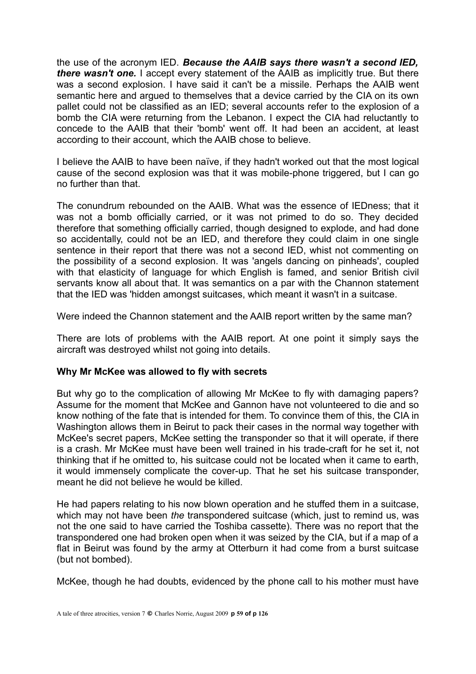the use of the acronym IED. *Because the AAIB says there wasn't a second IED, there wasn't one.* I accept every statement of the AAIB as implicitly true. But there was a second explosion. I have said it can't be a missile. Perhaps the AAIB went semantic here and argued to themselves that a device carried by the CIA on its own pallet could not be classified as an IED; several accounts refer to the explosion of a bomb the CIA were returning from the Lebanon. I expect the CIA had reluctantly to concede to the AAIB that their 'bomb' went off. It had been an accident, at least according to their account, which the AAIB chose to believe.

I believe the AAIB to have been naïve, if they hadn't worked out that the most logical cause of the second explosion was that it was mobile-phone triggered, but I can go no further than that.

The conundrum rebounded on the AAIB. What was the essence of IEDness; that it was not a bomb officially carried, or it was not primed to do so. They decided therefore that something officially carried, though designed to explode, and had done so accidentally, could not be an IED, and therefore they could claim in one single sentence in their report that there was not a second IED, whist not commenting on the possibility of a second explosion. It was 'angels dancing on pinheads', coupled with that elasticity of language for which English is famed, and senior British civil servants know all about that. It was semantics on a par with the Channon statement that the IED was 'hidden amongst suitcases, which meant it wasn't in a suitcase.

Were indeed the Channon statement and the AAIB report written by the same man?

There are lots of problems with the AAIB report. At one point it simply says the aircraft was destroyed whilst not going into details.

#### **Why Mr McKee was allowed to fly with secrets**

But why go to the complication of allowing Mr McKee to fly with damaging papers? Assume for the moment that McKee and Gannon have not volunteered to die and so know nothing of the fate that is intended for them. To convince them of this, the CIA in Washington allows them in Beirut to pack their cases in the normal way together with McKee's secret papers, McKee setting the transponder so that it will operate, if there is a crash. Mr McKee must have been well trained in his trade-craft for he set it, not thinking that if he omitted to, his suitcase could not be located when it came to earth, it would immensely complicate the cover-up. That he set his suitcase transponder, meant he did not believe he would be killed.

He had papers relating to his now blown operation and he stuffed them in a suitcase, which may not have been *the* transpondered suitcase (which, just to remind us, was not the one said to have carried the Toshiba cassette). There was no report that the transpondered one had broken open when it was seized by the CIA, but if a map of a flat in Beirut was found by the army at Otterburn it had come from a burst suitcase (but not bombed).

McKee, though he had doubts, evidenced by the phone call to his mother must have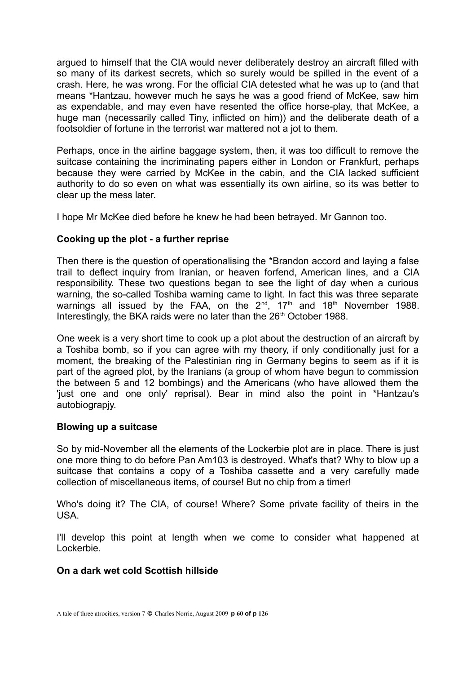argued to himself that the CIA would never deliberately destroy an aircraft filled with so many of its darkest secrets, which so surely would be spilled in the event of a crash. Here, he was wrong. For the official CIA detested what he was up to (and that means \*Hantzau, however much he says he was a good friend of McKee, saw him as expendable, and may even have resented the office horse-play, that McKee, a huge man (necessarily called Tiny, inflicted on him)) and the deliberate death of a footsoldier of fortune in the terrorist war mattered not a jot to them.

Perhaps, once in the airline baggage system, then, it was too difficult to remove the suitcase containing the incriminating papers either in London or Frankfurt, perhaps because they were carried by McKee in the cabin, and the CIA lacked sufficient authority to do so even on what was essentially its own airline, so its was better to clear up the mess later.

I hope Mr McKee died before he knew he had been betrayed. Mr Gannon too.

## **Cooking up the plot - a further reprise**

Then there is the question of operationalising the \*Brandon accord and laying a false trail to deflect inquiry from Iranian, or heaven forfend, American lines, and a CIA responsibility. These two questions began to see the light of day when a curious warning, the so-called Toshiba warning came to light. In fact this was three separate warnings all issued by the FAA, on the  $2^{nd}$ ,  $17<sup>th</sup>$  and  $18<sup>th</sup>$  November 1988. Interestingly, the BKA raids were no later than the 26<sup>th</sup> October 1988.

One week is a very short time to cook up a plot about the destruction of an aircraft by a Toshiba bomb, so if you can agree with my theory, if only conditionally just for a moment, the breaking of the Palestinian ring in Germany begins to seem as if it is part of the agreed plot, by the Iranians (a group of whom have begun to commission the between 5 and 12 bombings) and the Americans (who have allowed them the 'just one and one only' reprisal). Bear in mind also the point in \*Hantzau's autobiograpjy.

#### **Blowing up a suitcase**

So by mid-November all the elements of the Lockerbie plot are in place. There is just one more thing to do before Pan Am103 is destroyed. What's that? Why to blow up a suitcase that contains a copy of a Toshiba cassette and a very carefully made collection of miscellaneous items, of course! But no chip from a timer!

Who's doing it? The CIA, of course! Where? Some private facility of theirs in the USA.

I'll develop this point at length when we come to consider what happened at Lockerbie.

## **On a dark wet cold Scottish hillside**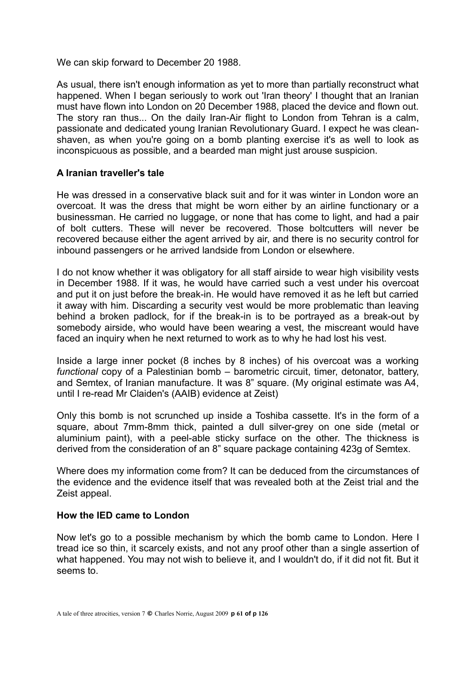We can skip forward to December 20 1988.

As usual, there isn't enough information as yet to more than partially reconstruct what happened. When I began seriously to work out 'Iran theory' I thought that an Iranian must have flown into London on 20 December 1988, placed the device and flown out. The story ran thus... On the daily Iran-Air flight to London from Tehran is a calm, passionate and dedicated young Iranian Revolutionary Guard. I expect he was cleanshaven, as when you're going on a bomb planting exercise it's as well to look as inconspicuous as possible, and a bearded man might just arouse suspicion.

## **A Iranian traveller's tale**

He was dressed in a conservative black suit and for it was winter in London wore an overcoat. It was the dress that might be worn either by an airline functionary or a businessman. He carried no luggage, or none that has come to light, and had a pair of bolt cutters. These will never be recovered. Those boltcutters will never be recovered because either the agent arrived by air, and there is no security control for inbound passengers or he arrived landside from London or elsewhere.

I do not know whether it was obligatory for all staff airside to wear high visibility vests in December 1988. If it was, he would have carried such a vest under his overcoat and put it on just before the break-in. He would have removed it as he left but carried it away with him. Discarding a security vest would be more problematic than leaving behind a broken padlock, for if the break-in is to be portrayed as a break-out by somebody airside, who would have been wearing a vest, the miscreant would have faced an inquiry when he next returned to work as to why he had lost his vest.

Inside a large inner pocket (8 inches by 8 inches) of his overcoat was a working *functional* copy of a Palestinian bomb – barometric circuit, timer, detonator, battery, and Semtex, of Iranian manufacture. It was 8" square. (My original estimate was A4, until I re-read Mr Claiden's (AAIB) evidence at Zeist)

Only this bomb is not scrunched up inside a Toshiba cassette. It's in the form of a square, about 7mm-8mm thick, painted a dull silver-grey on one side (metal or aluminium paint), with a peel-able sticky surface on the other. The thickness is derived from the consideration of an 8" square package containing 423g of Semtex.

Where does my information come from? It can be deduced from the circumstances of the evidence and the evidence itself that was revealed both at the Zeist trial and the Zeist appeal.

## **How the IED came to London**

Now let's go to a possible mechanism by which the bomb came to London. Here I tread ice so thin, it scarcely exists, and not any proof other than a single assertion of what happened. You may not wish to believe it, and I wouldn't do, if it did not fit. But it seems to.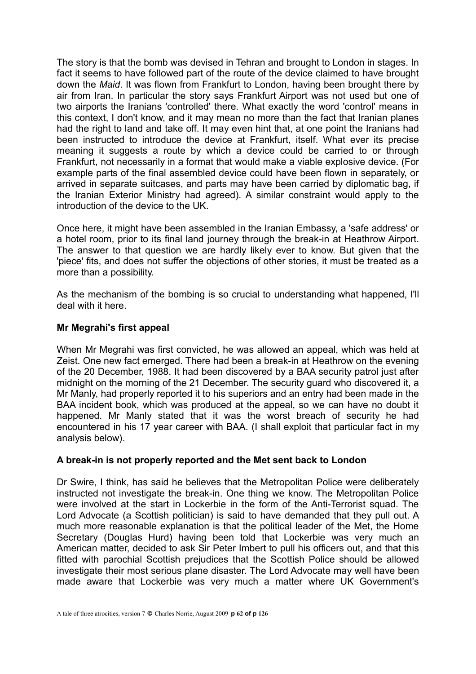The story is that the bomb was devised in Tehran and brought to London in stages. In fact it seems to have followed part of the route of the device claimed to have brought down the *Maid*. It was flown from Frankfurt to London, having been brought there by air from Iran. In particular the story says Frankfurt Airport was not used but one of two airports the Iranians 'controlled' there. What exactly the word 'control' means in this context, I don't know, and it may mean no more than the fact that Iranian planes had the right to land and take off. It may even hint that, at one point the Iranians had been instructed to introduce the device at Frankfurt, itself. What ever its precise meaning it suggests a route by which a device could be carried to or through Frankfurt, not necessarily in a format that would make a viable explosive device. (For example parts of the final assembled device could have been flown in separately, or arrived in separate suitcases, and parts may have been carried by diplomatic bag, if the Iranian Exterior Ministry had agreed). A similar constraint would apply to the introduction of the device to the UK.

Once here, it might have been assembled in the Iranian Embassy, a 'safe address' or a hotel room, prior to its final land journey through the break-in at Heathrow Airport. The answer to that question we are hardly likely ever to know. But given that the 'piece' fits, and does not suffer the objections of other stories, it must be treated as a more than a possibility.

As the mechanism of the bombing is so crucial to understanding what happened, I'll deal with it here.

#### **Mr Megrahi's first appeal**

When Mr Megrahi was first convicted, he was allowed an appeal, which was held at Zeist. One new fact emerged. There had been a break-in at Heathrow on the evening of the 20 December, 1988. It had been discovered by a BAA security patrol just after midnight on the morning of the 21 December. The security guard who discovered it, a Mr Manly, had properly reported it to his superiors and an entry had been made in the BAA incident book, which was produced at the appeal, so we can have no doubt it happened. Mr Manly stated that it was the worst breach of security he had encountered in his 17 year career with BAA. (I shall exploit that particular fact in my analysis below).

## **A break-in is not properly reported and the Met sent back to London**

Dr Swire, I think, has said he believes that the Metropolitan Police were deliberately instructed not investigate the break-in. One thing we know. The Metropolitan Police were involved at the start in Lockerbie in the form of the Anti-Terrorist squad. The Lord Advocate (a Scottish politician) is said to have demanded that they pull out. A much more reasonable explanation is that the political leader of the Met, the Home Secretary (Douglas Hurd) having been told that Lockerbie was very much an American matter, decided to ask Sir Peter Imbert to pull his officers out, and that this fitted with parochial Scottish prejudices that the Scottish Police should be allowed investigate their most serious plane disaster. The Lord Advocate may well have been made aware that Lockerbie was very much a matter where UK Government's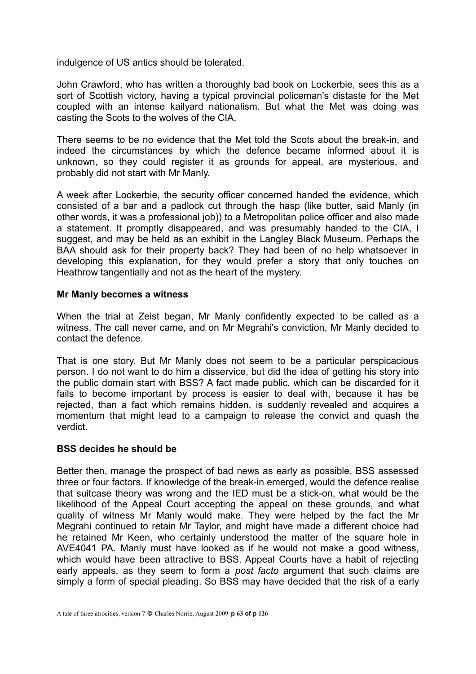indulgence of US antics should be tolerated.

John Crawford, who has written a thoroughly bad book on Lockerbie, sees this as a sort of Scottish victory, having a typical provincial policeman's distaste for the Met coupled with an intense kailyard nationalism. But what the Met was doing was casting the Scots to the wolves of the CIA.

There seems to be no evidence that the Met told the Scots about the break-in, and indeed the circumstances by which the defence became informed about it is unknown, so they could register it as grounds for appeal, are mysterious, and probably did not start with Mr Manly.

A week after Lockerbie, the security officer concerned handed the evidence, which consisted of a bar and a padlock cut through the hasp (like butter, said Manly (in other words, it was a professional job)) to a Metropolitan police officer and also made a statement. It promptly disappeared, and was presumably handed to the CIA, I suggest, and may be held as an exhibit in the Langley Black Museum. Perhaps the BAA should ask for their property back? They had been of no help whatsoever in developing this explanation, for they would prefer a story that only touches on Heathrow tangentially and not as the heart of the mystery.

#### **Mr Manly becomes a witness**

When the trial at Zeist began, Mr Manly confidently expected to be called as a witness. The call never came, and on Mr Megrahi's conviction, Mr Manly decided to contact the defence.

That is one story. But Mr Manly does not seem to be a particular perspicacious person. I do not want to do him a disservice, but did the idea of getting his story into the public domain start with BSS? A fact made public, which can be discarded for it fails to become important by process is easier to deal with, because it has be rejected, than a fact which remains hidden, is suddenly revealed and acquires a momentum that might lead to a campaign to release the convict and quash the verdict.

## **BSS decides he should be**

Better then, manage the prospect of bad news as early as possible. BSS assessed three or four factors. If knowledge of the break-in emerged, would the defence realise that suitcase theory was wrong and the IED must be a stick-on, what would be the likelihood of the Appeal Court accepting the appeal on these grounds, and what quality of witness Mr Manly would make. They were helped by the fact the Mr Megrahi continued to retain Mr Taylor, and might have made a different choice had he retained Mr Keen, who certainly understood the matter of the square hole in AVE4041 PA. Manly must have looked as if he would not make a good witness, which would have been attractive to BSS. Appeal Courts have a habit of rejecting early appeals, as they seem to form a *post facto* argument that such claims are simply a form of special pleading. So BSS may have decided that the risk of a early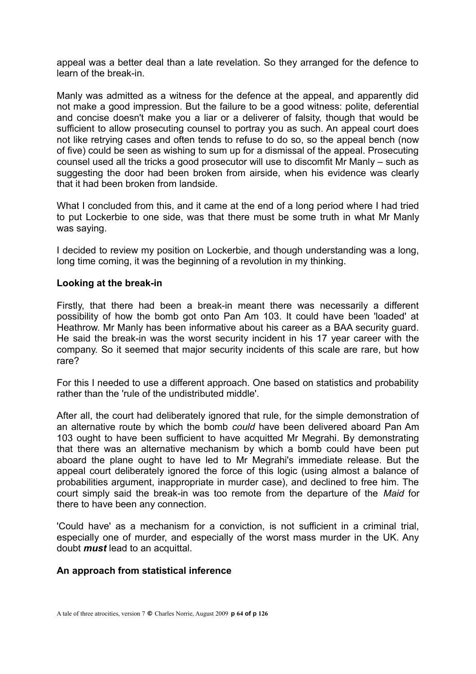appeal was a better deal than a late revelation. So they arranged for the defence to learn of the break-in.

Manly was admitted as a witness for the defence at the appeal, and apparently did not make a good impression. But the failure to be a good witness: polite, deferential and concise doesn't make you a liar or a deliverer of falsity, though that would be sufficient to allow prosecuting counsel to portray you as such. An appeal court does not like retrying cases and often tends to refuse to do so, so the appeal bench (now of five) could be seen as wishing to sum up for a dismissal of the appeal. Prosecuting counsel used all the tricks a good prosecutor will use to discomfit Mr Manly – such as suggesting the door had been broken from airside, when his evidence was clearly that it had been broken from landside.

What I concluded from this, and it came at the end of a long period where I had tried to put Lockerbie to one side, was that there must be some truth in what Mr Manly was saying.

I decided to review my position on Lockerbie, and though understanding was a long, long time coming, it was the beginning of a revolution in my thinking.

#### **Looking at the break-in**

Firstly, that there had been a break-in meant there was necessarily a different possibility of how the bomb got onto Pan Am 103. It could have been 'loaded' at Heathrow. Mr Manly has been informative about his career as a BAA security guard. He said the break-in was the worst security incident in his 17 year career with the company. So it seemed that major security incidents of this scale are rare, but how rare?

For this I needed to use a different approach. One based on statistics and probability rather than the 'rule of the undistributed middle'.

After all, the court had deliberately ignored that rule, for the simple demonstration of an alternative route by which the bomb *could* have been delivered aboard Pan Am 103 ought to have been sufficient to have acquitted Mr Megrahi. By demonstrating that there was an alternative mechanism by which a bomb could have been put aboard the plane ought to have led to Mr Megrahi's immediate release. But the appeal court deliberately ignored the force of this logic (using almost a balance of probabilities argument, inappropriate in murder case), and declined to free him. The court simply said the break-in was too remote from the departure of the *Maid* for there to have been any connection.

'Could have' as a mechanism for a conviction, is not sufficient in a criminal trial, especially one of murder, and especially of the worst mass murder in the UK. Any doubt *must* lead to an acquittal.

## **An approach from statistical inference**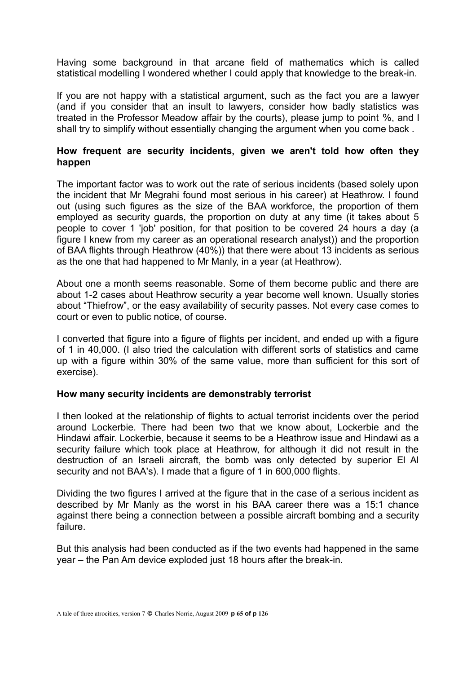Having some background in that arcane field of mathematics which is called statistical modelling I wondered whether I could apply that knowledge to the break-in.

If you are not happy with a statistical argument, such as the fact you are a lawyer (and if you consider that an insult to lawyers, consider how badly statistics was treated in the Professor Meadow affair by the courts), please jump to point %, and I shall try to simplify without essentially changing the argument when you come back .

# **How frequent are security incidents, given we aren't told how often they happen**

The important factor was to work out the rate of serious incidents (based solely upon the incident that Mr Megrahi found most serious in his career) at Heathrow. I found out (using such figures as the size of the BAA workforce, the proportion of them employed as security guards, the proportion on duty at any time (it takes about 5 people to cover 1 'job' position, for that position to be covered 24 hours a day (a figure I knew from my career as an operational research analyst)) and the proportion of BAA flights through Heathrow (40%)) that there were about 13 incidents as serious as the one that had happened to Mr Manly, in a year (at Heathrow).

About one a month seems reasonable. Some of them become public and there are about 1-2 cases about Heathrow security a year become well known. Usually stories about "Thiefrow", or the easy availability of security passes. Not every case comes to court or even to public notice, of course.

I converted that figure into a figure of flights per incident, and ended up with a figure of 1 in 40,000. (I also tried the calculation with different sorts of statistics and came up with a figure within 30% of the same value, more than sufficient for this sort of exercise).

## **How many security incidents are demonstrably terrorist**

I then looked at the relationship of flights to actual terrorist incidents over the period around Lockerbie. There had been two that we know about, Lockerbie and the Hindawi affair. Lockerbie, because it seems to be a Heathrow issue and Hindawi as a security failure which took place at Heathrow, for although it did not result in the destruction of an Israeli aircraft, the bomb was only detected by superior El Al security and not BAA's). I made that a figure of 1 in 600,000 flights.

Dividing the two figures I arrived at the figure that in the case of a serious incident as described by Mr Manly as the worst in his BAA career there was a 15:1 chance against there being a connection between a possible aircraft bombing and a security failure.

But this analysis had been conducted as if the two events had happened in the same year – the Pan Am device exploded just 18 hours after the break-in.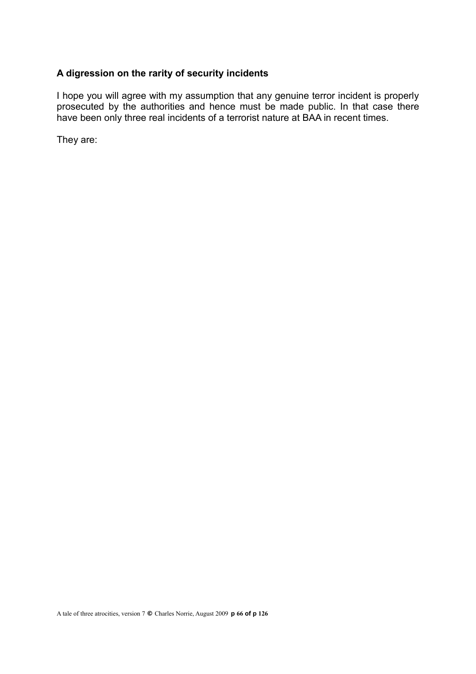# **A digression on the rarity of security incidents**

I hope you will agree with my assumption that any genuine terror incident is properly prosecuted by the authorities and hence must be made public. In that case there have been only three real incidents of a terrorist nature at BAA in recent times.

They are: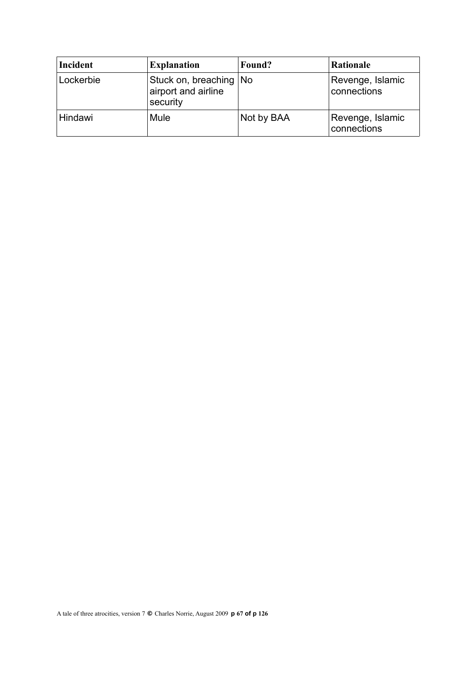| Incident  | <b>Explanation</b>                                          | Found?     | <b>Rationale</b>                |
|-----------|-------------------------------------------------------------|------------|---------------------------------|
| Lockerbie | Stuck on, breaching   No<br>airport and airline<br>security |            | Revenge, Islamic<br>connections |
| Hindawi   | Mule                                                        | Not by BAA | Revenge, Islamic<br>connections |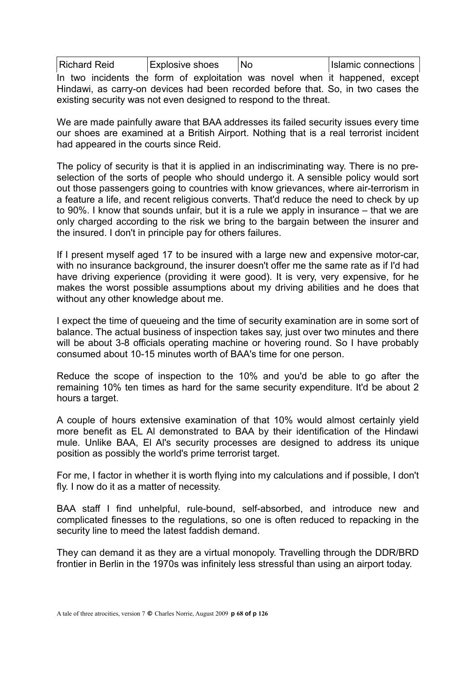| Richard Reid<br>Explosive shoes | No | Islamic connections |
|---------------------------------|----|---------------------|
|---------------------------------|----|---------------------|

In two incidents the form of exploitation was novel when it happened, except Hindawi, as carry-on devices had been recorded before that. So, in two cases the existing security was not even designed to respond to the threat.

We are made painfully aware that BAA addresses its failed security issues every time our shoes are examined at a British Airport. Nothing that is a real terrorist incident had appeared in the courts since Reid.

The policy of security is that it is applied in an indiscriminating way. There is no preselection of the sorts of people who should undergo it. A sensible policy would sort out those passengers going to countries with know grievances, where air-terrorism in a feature a life, and recent religious converts. That'd reduce the need to check by up to 90%. I know that sounds unfair, but it is a rule we apply in insurance – that we are only charged according to the risk we bring to the bargain between the insurer and the insured. I don't in principle pay for others failures.

If I present myself aged 17 to be insured with a large new and expensive motor-car, with no insurance background, the insurer doesn't offer me the same rate as if I'd had have driving experience (providing it were good). It is very, very expensive, for he makes the worst possible assumptions about my driving abilities and he does that without any other knowledge about me.

I expect the time of queueing and the time of security examination are in some sort of balance. The actual business of inspection takes say, just over two minutes and there will be about 3-8 officials operating machine or hovering round. So I have probably consumed about 10-15 minutes worth of BAA's time for one person.

Reduce the scope of inspection to the 10% and you'd be able to go after the remaining 10% ten times as hard for the same security expenditure. It'd be about 2 hours a target.

A couple of hours extensive examination of that 10% would almost certainly yield more benefit as EL Al demonstrated to BAA by their identification of the Hindawi mule. Unlike BAA, El Al's security processes are designed to address its unique position as possibly the world's prime terrorist target.

For me, I factor in whether it is worth flying into my calculations and if possible, I don't fly. I now do it as a matter of necessity.

BAA staff I find unhelpful, rule-bound, self-absorbed, and introduce new and complicated finesses to the regulations, so one is often reduced to repacking in the security line to meed the latest faddish demand.

They can demand it as they are a virtual monopoly. Travelling through the DDR/BRD frontier in Berlin in the 1970s was infinitely less stressful than using an airport today.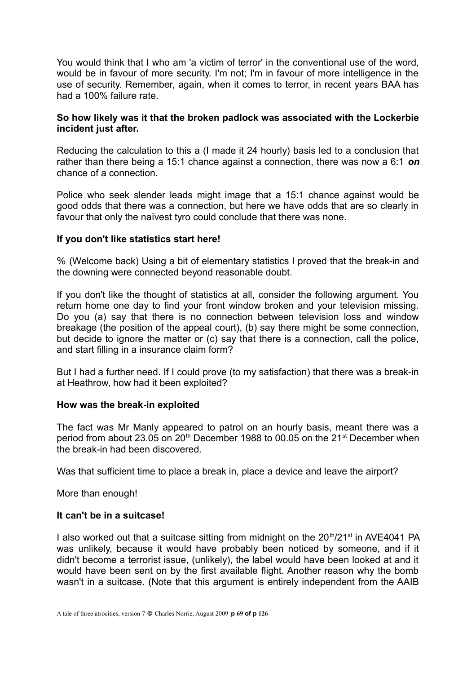You would think that I who am 'a victim of terror' in the conventional use of the word, would be in favour of more security. I'm not; I'm in favour of more intelligence in the use of security. Remember, again, when it comes to terror, in recent years BAA has had a 100% failure rate.

#### **So how likely was it that the broken padlock was associated with the Lockerbie incident just after.**

Reducing the calculation to this a (I made it 24 hourly) basis led to a conclusion that rather than there being a 15:1 chance against a connection, there was now a 6:1 *on* chance of a connection.

Police who seek slender leads might image that a 15:1 chance against would be good odds that there was a connection, but here we have odds that are so clearly in favour that only the naïvest tyro could conclude that there was none.

#### **If you don't like statistics start here!**

% (Welcome back) Using a bit of elementary statistics I proved that the break-in and the downing were connected beyond reasonable doubt.

If you don't like the thought of statistics at all, consider the following argument. You return home one day to find your front window broken and your television missing. Do you (a) say that there is no connection between television loss and window breakage (the position of the appeal court), (b) say there might be some connection, but decide to ignore the matter or (c) say that there is a connection, call the police, and start filling in a insurance claim form?

But I had a further need. If I could prove (to my satisfaction) that there was a break-in at Heathrow, how had it been exploited?

#### **How was the break-in exploited**

The fact was Mr Manly appeared to patrol on an hourly basis, meant there was a period from about 23.05 on 20<sup>th</sup> December 1988 to 00.05 on the 21<sup>st</sup> December when the break-in had been discovered.

Was that sufficient time to place a break in, place a device and leave the airport?

More than enough!

## **It can't be in a suitcase!**

I also worked out that a suitcase sitting from midnight on the  $20<sup>th</sup>/21<sup>st</sup>$  in AVE4041 PA was unlikely, because it would have probably been noticed by someone, and if it didn't become a terrorist issue, (unlikely), the label would have been looked at and it would have been sent on by the first available flight. Another reason why the bomb wasn't in a suitcase. (Note that this argument is entirely independent from the AAIB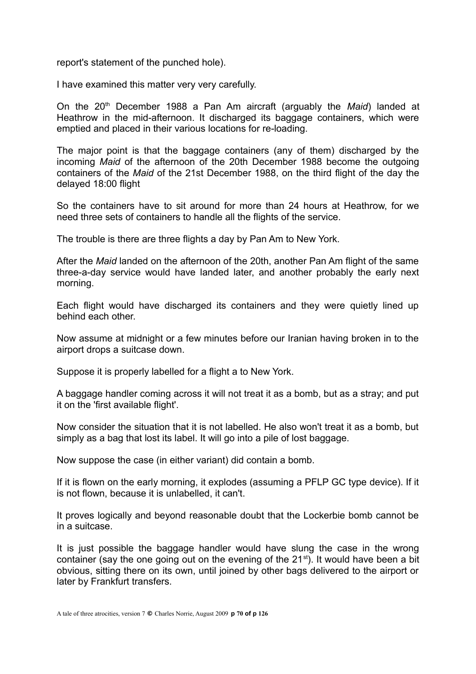report's statement of the punched hole).

I have examined this matter very very carefully.

On the 20th December 1988 a Pan Am aircraft (arguably the *Maid*) landed at Heathrow in the mid-afternoon. It discharged its baggage containers, which were emptied and placed in their various locations for re-loading.

The major point is that the baggage containers (any of them) discharged by the incoming *Maid* of the afternoon of the 20th December 1988 become the outgoing containers of the *Maid* of the 21st December 1988, on the third flight of the day the delayed 18:00 flight

So the containers have to sit around for more than 24 hours at Heathrow, for we need three sets of containers to handle all the flights of the service.

The trouble is there are three flights a day by Pan Am to New York.

After the *Maid* landed on the afternoon of the 20th, another Pan Am flight of the same three-a-day service would have landed later, and another probably the early next morning.

Each flight would have discharged its containers and they were quietly lined up behind each other.

Now assume at midnight or a few minutes before our Iranian having broken in to the airport drops a suitcase down.

Suppose it is properly labelled for a flight a to New York.

A baggage handler coming across it will not treat it as a bomb, but as a stray; and put it on the 'first available flight'.

Now consider the situation that it is not labelled. He also won't treat it as a bomb, but simply as a bag that lost its label. It will go into a pile of lost baggage.

Now suppose the case (in either variant) did contain a bomb.

If it is flown on the early morning, it explodes (assuming a PFLP GC type device). If it is not flown, because it is unlabelled, it can't.

It proves logically and beyond reasonable doubt that the Lockerbie bomb cannot be in a suitcase.

It is just possible the baggage handler would have slung the case in the wrong container (say the one going out on the evening of the  $21<sup>st</sup>$ ). It would have been a bit obvious, sitting there on its own, until joined by other bags delivered to the airport or later by Frankfurt transfers.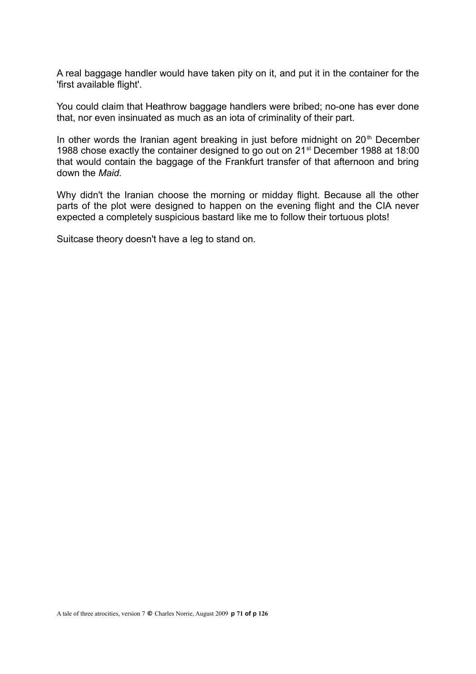A real baggage handler would have taken pity on it, and put it in the container for the 'first available flight'.

You could claim that Heathrow baggage handlers were bribed; no-one has ever done that, nor even insinuated as much as an iota of criminality of their part.

In other words the Iranian agent breaking in just before midnight on  $20<sup>th</sup>$  December 1988 chose exactly the container designed to go out on 21st December 1988 at 18:00 that would contain the baggage of the Frankfurt transfer of that afternoon and bring down the *Maid.*

Why didn't the Iranian choose the morning or midday flight. Because all the other parts of the plot were designed to happen on the evening flight and the CIA never expected a completely suspicious bastard like me to follow their tortuous plots!

Suitcase theory doesn't have a leg to stand on.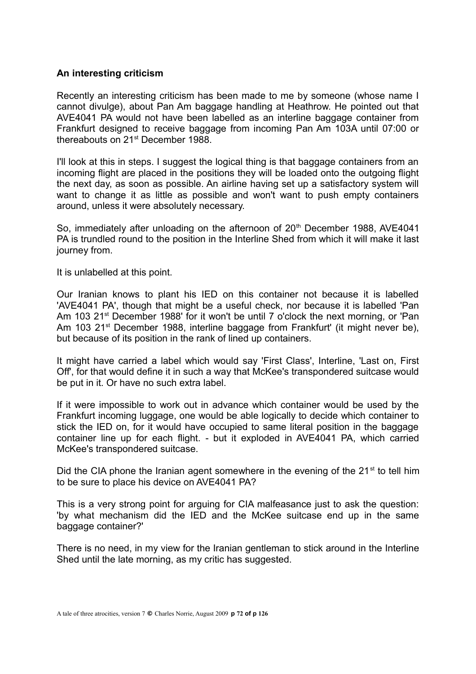#### **An interesting criticism**

Recently an interesting criticism has been made to me by someone (whose name I cannot divulge), about Pan Am baggage handling at Heathrow. He pointed out that AVE4041 PA would not have been labelled as an interline baggage container from Frankfurt designed to receive baggage from incoming Pan Am 103A until 07:00 or thereabouts on 21<sup>st</sup> December 1988

I'll look at this in steps. I suggest the logical thing is that baggage containers from an incoming flight are placed in the positions they will be loaded onto the outgoing flight the next day, as soon as possible. An airline having set up a satisfactory system will want to change it as little as possible and won't want to push empty containers around, unless it were absolutely necessary.

So, immediately after unloading on the afternoon of 20<sup>th</sup> December 1988, AVE4041 PA is trundled round to the position in the Interline Shed from which it will make it last journey from.

It is unlabelled at this point.

Our Iranian knows to plant his IED on this container not because it is labelled 'AVE4041 PA', though that might be a useful check, nor because it is labelled 'Pan Am 103 21<sup>st</sup> December 1988' for it won't be until 7 o'clock the next morning, or 'Pan Am 103 21<sup>st</sup> December 1988, interline baggage from Frankfurt' (it might never be), but because of its position in the rank of lined up containers.

It might have carried a label which would say 'First Class', Interline, 'Last on, First Off', for that would define it in such a way that McKee's transpondered suitcase would be put in it. Or have no such extra label.

If it were impossible to work out in advance which container would be used by the Frankfurt incoming luggage, one would be able logically to decide which container to stick the IED on, for it would have occupied to same literal position in the baggage container line up for each flight. - but it exploded in AVE4041 PA, which carried McKee's transpondered suitcase.

Did the CIA phone the Iranian agent somewhere in the evening of the  $21<sup>st</sup>$  to tell him to be sure to place his device on AVE4041 PA?

This is a very strong point for arguing for CIA malfeasance just to ask the question: 'by what mechanism did the IED and the McKee suitcase end up in the same baggage container?'

There is no need, in my view for the Iranian gentleman to stick around in the Interline Shed until the late morning, as my critic has suggested.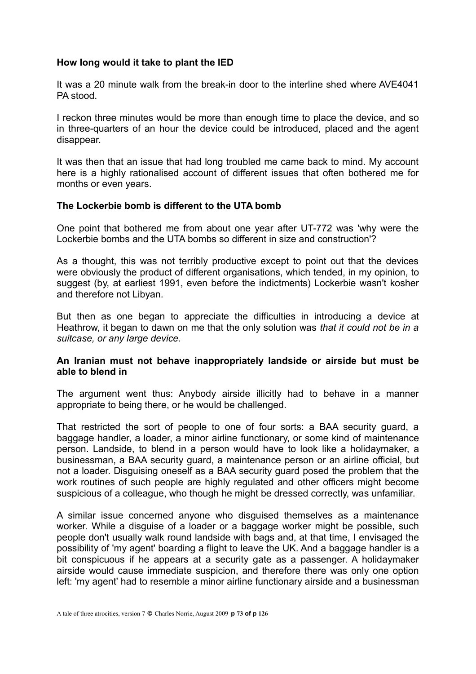# **How long would it take to plant the IED**

It was a 20 minute walk from the break-in door to the interline shed where AVE4041 PA stood.

I reckon three minutes would be more than enough time to place the device, and so in three-quarters of an hour the device could be introduced, placed and the agent disappear.

It was then that an issue that had long troubled me came back to mind. My account here is a highly rationalised account of different issues that often bothered me for months or even years.

## **The Lockerbie bomb is different to the UTA bomb**

One point that bothered me from about one year after UT-772 was 'why were the Lockerbie bombs and the UTA bombs so different in size and construction'?

As a thought, this was not terribly productive except to point out that the devices were obviously the product of different organisations, which tended, in my opinion, to suggest (by, at earliest 1991, even before the indictments) Lockerbie wasn't kosher and therefore not Libyan.

But then as one began to appreciate the difficulties in introducing a device at Heathrow, it began to dawn on me that the only solution was *that it could not be in a suitcase, or any large device.*

## **An Iranian must not behave inappropriately landside or airside but must be able to blend in**

The argument went thus: Anybody airside illicitly had to behave in a manner appropriate to being there, or he would be challenged.

That restricted the sort of people to one of four sorts: a BAA security guard, a baggage handler, a loader, a minor airline functionary, or some kind of maintenance person. Landside, to blend in a person would have to look like a holidaymaker, a businessman, a BAA security guard, a maintenance person or an airline official, but not a loader. Disguising oneself as a BAA security guard posed the problem that the work routines of such people are highly regulated and other officers might become suspicious of a colleague, who though he might be dressed correctly, was unfamiliar.

A similar issue concerned anyone who disguised themselves as a maintenance worker. While a disguise of a loader or a baggage worker might be possible, such people don't usually walk round landside with bags and, at that time, I envisaged the possibility of 'my agent' boarding a flight to leave the UK. And a baggage handler is a bit conspicuous if he appears at a security gate as a passenger. A holidaymaker airside would cause immediate suspicion, and therefore there was only one option left: 'my agent' had to resemble a minor airline functionary airside and a businessman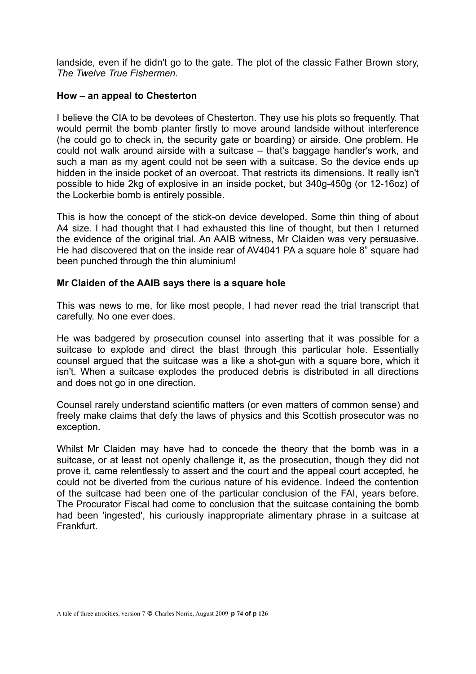landside, even if he didn't go to the gate. The plot of the classic Father Brown story, *The Twelve True Fishermen.*

## **How – an appeal to Chesterton**

I believe the CIA to be devotees of Chesterton. They use his plots so frequently. That would permit the bomb planter firstly to move around landside without interference (he could go to check in, the security gate or boarding) or airside. One problem. He could not walk around airside with a suitcase – that's baggage handler's work, and such a man as my agent could not be seen with a suitcase. So the device ends up hidden in the inside pocket of an overcoat. That restricts its dimensions. It really isn't possible to hide 2kg of explosive in an inside pocket, but 340g-450g (or 12-16oz) of the Lockerbie bomb is entirely possible.

This is how the concept of the stick-on device developed. Some thin thing of about A4 size. I had thought that I had exhausted this line of thought, but then I returned the evidence of the original trial. An AAIB witness, Mr Claiden was very persuasive. He had discovered that on the inside rear of AV4041 PA a square hole 8" square had been punched through the thin aluminium!

## **Mr Claiden of the AAIB says there is a square hole**

This was news to me, for like most people, I had never read the trial transcript that carefully. No one ever does.

He was badgered by prosecution counsel into asserting that it was possible for a suitcase to explode and direct the blast through this particular hole. Essentially counsel argued that the suitcase was a like a shot-gun with a square bore, which it isn't. When a suitcase explodes the produced debris is distributed in all directions and does not go in one direction.

Counsel rarely understand scientific matters (or even matters of common sense) and freely make claims that defy the laws of physics and this Scottish prosecutor was no exception.

Whilst Mr Claiden may have had to concede the theory that the bomb was in a suitcase, or at least not openly challenge it, as the prosecution, though they did not prove it, came relentlessly to assert and the court and the appeal court accepted, he could not be diverted from the curious nature of his evidence. Indeed the contention of the suitcase had been one of the particular conclusion of the FAI, years before. The Procurator Fiscal had come to conclusion that the suitcase containing the bomb had been 'ingested', his curiously inappropriate alimentary phrase in a suitcase at Frankfurt.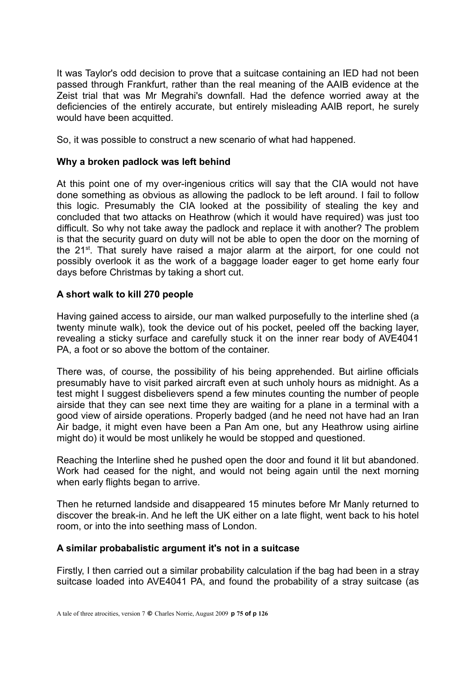It was Taylor's odd decision to prove that a suitcase containing an IED had not been passed through Frankfurt, rather than the real meaning of the AAIB evidence at the Zeist trial that was Mr Megrahi's downfall. Had the defence worried away at the deficiencies of the entirely accurate, but entirely misleading AAIB report, he surely would have been acquitted.

So, it was possible to construct a new scenario of what had happened.

## **Why a broken padlock was left behind**

At this point one of my over-ingenious critics will say that the CIA would not have done something as obvious as allowing the padlock to be left around. I fail to follow this logic. Presumably the CIA looked at the possibility of stealing the key and concluded that two attacks on Heathrow (which it would have required) was just too difficult. So why not take away the padlock and replace it with another? The problem is that the security guard on duty will not be able to open the door on the morning of the 21st. That surely have raised a major alarm at the airport, for one could not possibly overlook it as the work of a baggage loader eager to get home early four days before Christmas by taking a short cut.

# **A short walk to kill 270 people**

Having gained access to airside, our man walked purposefully to the interline shed (a twenty minute walk), took the device out of his pocket, peeled off the backing layer, revealing a sticky surface and carefully stuck it on the inner rear body of AVE4041 PA, a foot or so above the bottom of the container.

There was, of course, the possibility of his being apprehended. But airline officials presumably have to visit parked aircraft even at such unholy hours as midnight. As a test might I suggest disbelievers spend a few minutes counting the number of people airside that they can see next time they are waiting for a plane in a terminal with a good view of airside operations. Properly badged (and he need not have had an Iran Air badge, it might even have been a Pan Am one, but any Heathrow using airline might do) it would be most unlikely he would be stopped and questioned.

Reaching the Interline shed he pushed open the door and found it lit but abandoned. Work had ceased for the night, and would not being again until the next morning when early flights began to arrive.

Then he returned landside and disappeared 15 minutes before Mr Manly returned to discover the break-in. And he left the UK either on a late flight, went back to his hotel room, or into the into seething mass of London.

#### **A similar probabalistic argument it's not in a suitcase**

Firstly, I then carried out a similar probability calculation if the bag had been in a stray suitcase loaded into AVE4041 PA, and found the probability of a stray suitcase (as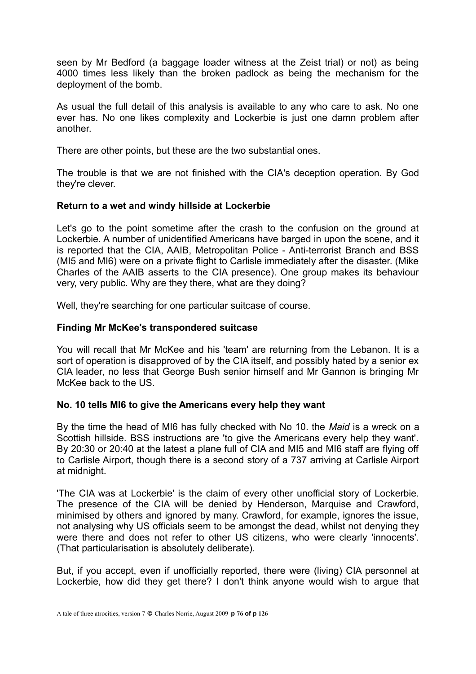seen by Mr Bedford (a baggage loader witness at the Zeist trial) or not) as being 4000 times less likely than the broken padlock as being the mechanism for the deployment of the bomb.

As usual the full detail of this analysis is available to any who care to ask. No one ever has. No one likes complexity and Lockerbie is just one damn problem after another.

There are other points, but these are the two substantial ones.

The trouble is that we are not finished with the CIA's deception operation. By God they're clever.

# **Return to a wet and windy hillside at Lockerbie**

Let's go to the point sometime after the crash to the confusion on the ground at Lockerbie. A number of unidentified Americans have barged in upon the scene, and it is reported that the CIA, AAIB, Metropolitan Police - Anti-terrorist Branch and BSS (MI5 and MI6) were on a private flight to Carlisle immediately after the disaster. (Mike Charles of the AAIB asserts to the CIA presence). One group makes its behaviour very, very public. Why are they there, what are they doing?

Well, they're searching for one particular suitcase of course.

## **Finding Mr McKee's transpondered suitcase**

You will recall that Mr McKee and his 'team' are returning from the Lebanon. It is a sort of operation is disapproved of by the CIA itself, and possibly hated by a senior ex CIA leader, no less that George Bush senior himself and Mr Gannon is bringing Mr McKee back to the US.

# **No. 10 tells MI6 to give the Americans every help they want**

By the time the head of MI6 has fully checked with No 10. the *Maid* is a wreck on a Scottish hillside. BSS instructions are 'to give the Americans every help they want'. By 20:30 or 20:40 at the latest a plane full of CIA and MI5 and MI6 staff are flying off to Carlisle Airport, though there is a second story of a 737 arriving at Carlisle Airport at midnight.

'The CIA was at Lockerbie' is the claim of every other unofficial story of Lockerbie. The presence of the CIA will be denied by Henderson, Marquise and Crawford, minimised by others and ignored by many. Crawford, for example, ignores the issue, not analysing why US officials seem to be amongst the dead, whilst not denying they were there and does not refer to other US citizens, who were clearly 'innocents'. (That particularisation is absolutely deliberate).

But, if you accept, even if unofficially reported, there were (living) CIA personnel at Lockerbie, how did they get there? I don't think anyone would wish to argue that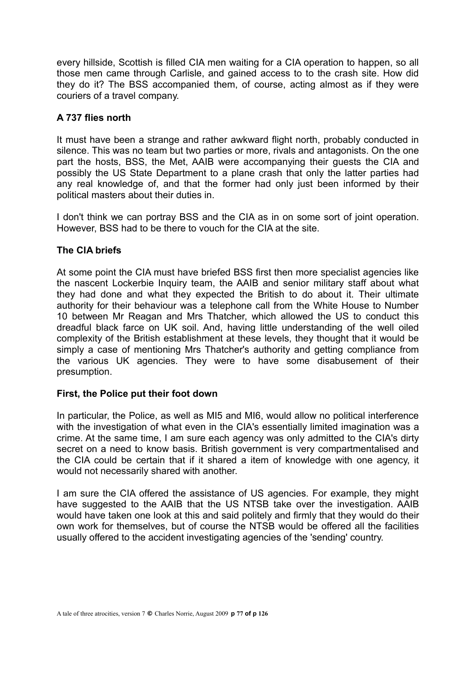every hillside, Scottish is filled CIA men waiting for a CIA operation to happen, so all those men came through Carlisle, and gained access to to the crash site. How did they do it? The BSS accompanied them, of course, acting almost as if they were couriers of a travel company.

# **A 737 flies north**

It must have been a strange and rather awkward flight north, probably conducted in silence. This was no team but two parties or more, rivals and antagonists. On the one part the hosts, BSS, the Met, AAIB were accompanying their guests the CIA and possibly the US State Department to a plane crash that only the latter parties had any real knowledge of, and that the former had only just been informed by their political masters about their duties in.

I don't think we can portray BSS and the CIA as in on some sort of joint operation. However, BSS had to be there to vouch for the CIA at the site.

# **The CIA briefs**

At some point the CIA must have briefed BSS first then more specialist agencies like the nascent Lockerbie Inquiry team, the AAIB and senior military staff about what they had done and what they expected the British to do about it. Their ultimate authority for their behaviour was a telephone call from the White House to Number 10 between Mr Reagan and Mrs Thatcher, which allowed the US to conduct this dreadful black farce on UK soil. And, having little understanding of the well oiled complexity of the British establishment at these levels, they thought that it would be simply a case of mentioning Mrs Thatcher's authority and getting compliance from the various UK agencies. They were to have some disabusement of their presumption.

# **First, the Police put their foot down**

In particular, the Police, as well as MI5 and MI6, would allow no political interference with the investigation of what even in the CIA's essentially limited imagination was a crime. At the same time, I am sure each agency was only admitted to the CIA's dirty secret on a need to know basis. British government is very compartmentalised and the CIA could be certain that if it shared a item of knowledge with one agency, it would not necessarily shared with another.

I am sure the CIA offered the assistance of US agencies. For example, they might have suggested to the AAIB that the US NTSB take over the investigation. AAIB would have taken one look at this and said politely and firmly that they would do their own work for themselves, but of course the NTSB would be offered all the facilities usually offered to the accident investigating agencies of the 'sending' country.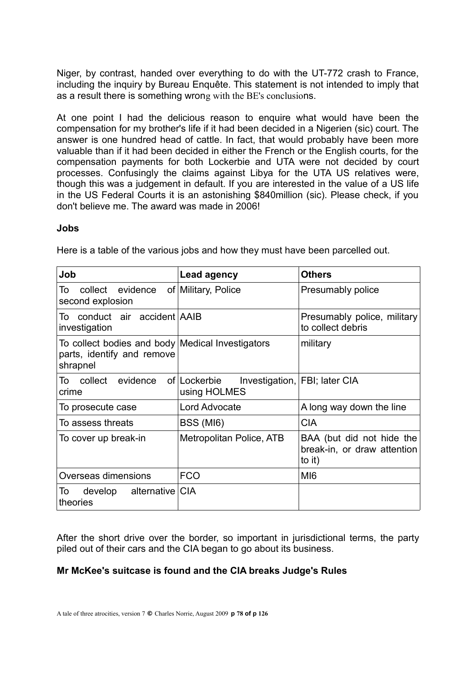Niger, by contrast, handed over everything to do with the UT-772 crash to France, including the inquiry by Bureau Enquête. This statement is not intended to imply that as a result there is something wrong with the BE's conclusions.

At one point I had the delicious reason to enquire what would have been the compensation for my brother's life if it had been decided in a Nigerien (sic) court. The answer is one hundred head of cattle. In fact, that would probably have been more valuable than if it had been decided in either the French or the English courts, for the compensation payments for both Lockerbie and UTA were not decided by court processes. Confusingly the claims against Libya for the UTA US relatives were, though this was a judgement in default. If you are interested in the value of a US life in the US Federal Courts it is an astonishing \$840million (sic). Please check, if you don't believe me. The award was made in 2006!

#### **Jobs**

| Job                                                                                        | Lead agency                  | <b>Others</b>                                                      |
|--------------------------------------------------------------------------------------------|------------------------------|--------------------------------------------------------------------|
| collect evidence<br>Τo<br>second explosion                                                 | of Military, Police          | Presumably police                                                  |
| To conduct air accident AAIB<br>investigation                                              |                              | Presumably police, military<br>to collect debris                   |
| To collect bodies and body Medical Investigators<br>parts, identify and remove<br>shrapnel |                              | military                                                           |
| collect<br>evidence<br>To<br>crime                                                         | of Lockerbie<br>using HOLMES | Investigation, FBI; later CIA                                      |
| To prosecute case                                                                          | Lord Advocate                | A long way down the line                                           |
| To assess threats                                                                          | BSS (MI6)                    | <b>CIA</b>                                                         |
| To cover up break-in                                                                       | Metropolitan Police, ATB     | BAA (but did not hide the<br>break-in, or draw attention<br>to it) |
| Overseas dimensions                                                                        | <b>FCO</b>                   | MI <sub>6</sub>                                                    |
| develop alternative CIA<br>To<br>theories                                                  |                              |                                                                    |

Here is a table of the various jobs and how they must have been parcelled out.

After the short drive over the border, so important in jurisdictional terms, the party piled out of their cars and the CIA began to go about its business.

# **Mr McKee's suitcase is found and the CIA breaks Judge's Rules**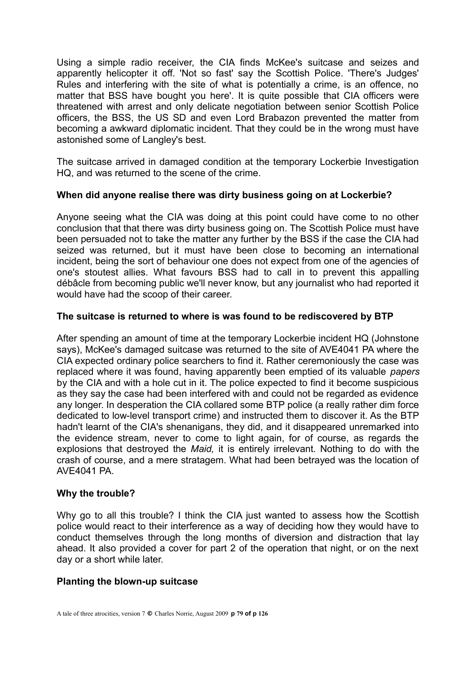Using a simple radio receiver, the CIA finds McKee's suitcase and seizes and apparently helicopter it off. 'Not so fast' say the Scottish Police. 'There's Judges' Rules and interfering with the site of what is potentially a crime, is an offence, no matter that BSS have bought you here'. It is quite possible that CIA officers were threatened with arrest and only delicate negotiation between senior Scottish Police officers, the BSS, the US SD and even Lord Brabazon prevented the matter from becoming a awkward diplomatic incident. That they could be in the wrong must have astonished some of Langley's best.

The suitcase arrived in damaged condition at the temporary Lockerbie Investigation HQ, and was returned to the scene of the crime.

# **When did anyone realise there was dirty business going on at Lockerbie?**

Anyone seeing what the CIA was doing at this point could have come to no other conclusion that that there was dirty business going on. The Scottish Police must have been persuaded not to take the matter any further by the BSS if the case the CIA had seized was returned, but it must have been close to becoming an international incident, being the sort of behaviour one does not expect from one of the agencies of one's stoutest allies. What favours BSS had to call in to prevent this appalling débâcle from becoming public we'll never know, but any journalist who had reported it would have had the scoop of their career.

# **The suitcase is returned to where is was found to be rediscovered by BTP**

After spending an amount of time at the temporary Lockerbie incident HQ (Johnstone says), McKee's damaged suitcase was returned to the site of AVE4041 PA where the CIA expected ordinary police searchers to find it. Rather ceremoniously the case was replaced where it was found, having apparently been emptied of its valuable *papers* by the CIA and with a hole cut in it. The police expected to find it become suspicious as they say the case had been interfered with and could not be regarded as evidence any longer. In desperation the CIA collared some BTP police (a really rather dim force dedicated to low-level transport crime) and instructed them to discover it. As the BTP hadn't learnt of the CIA's shenanigans, they did, and it disappeared unremarked into the evidence stream, never to come to light again, for of course, as regards the explosions that destroyed the *Maid,* it is entirely irrelevant. Nothing to do with the crash of course, and a mere stratagem. What had been betrayed was the location of AVE4041 PA.

# **Why the trouble?**

Why go to all this trouble? I think the CIA just wanted to assess how the Scottish police would react to their interference as a way of deciding how they would have to conduct themselves through the long months of diversion and distraction that lay ahead. It also provided a cover for part 2 of the operation that night, or on the next day or a short while later.

# **Planting the blown-up suitcase**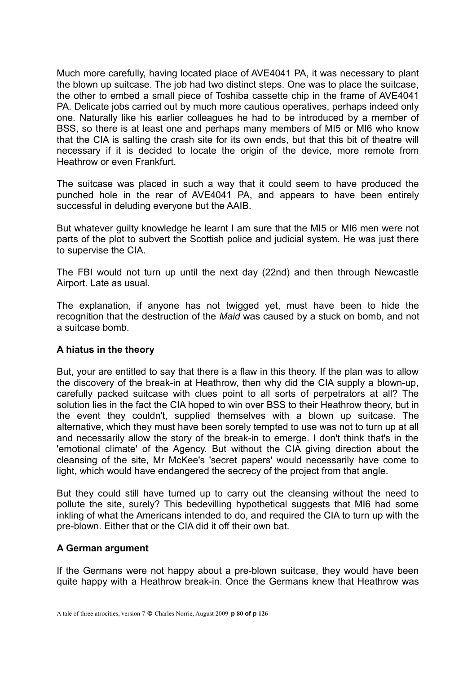Much more carefully, having located place of AVE4041 PA, it was necessary to plant the blown up suitcase. The job had two distinct steps. One was to place the suitcase, the other to embed a small piece of Toshiba cassette chip in the frame of AVE4041 PA. Delicate jobs carried out by much more cautious operatives, perhaps indeed only one. Naturally like his earlier colleagues he had to be introduced by a member of BSS, so there is at least one and perhaps many members of MI5 or MI6 who know that the CIA is salting the crash site for its own ends, but that this bit of theatre will necessary if it is decided to locate the origin of the device, more remote from Heathrow or even Frankfurt.

The suitcase was placed in such a way that it could seem to have produced the punched hole in the rear of AVE4041 PA, and appears to have been entirely successful in deluding everyone but the AAIB.

But whatever guilty knowledge he learnt I am sure that the MI5 or MI6 men were not parts of the plot to subvert the Scottish police and judicial system. He was just there to supervise the CIA.

The FBI would not turn up until the next day (22nd) and then through Newcastle Airport. Late as usual.

The explanation, if anyone has not twigged yet, must have been to hide the recognition that the destruction of the *Maid* was caused by a stuck on bomb, and not a suitcase bomb.

# **A hiatus in the theory**

But, your are entitled to say that there is a flaw in this theory. If the plan was to allow the discovery of the break-in at Heathrow, then why did the CIA supply a blown-up, carefully packed suitcase with clues point to all sorts of perpetrators at all? The solution lies in the fact the CIA hoped to win over BSS to their Heathrow theory, but in the event they couldn't, supplied themselves with a blown up suitcase. The alternative, which they must have been sorely tempted to use was not to turn up at all and necessarily allow the story of the break-in to emerge. I don't think that's in the 'emotional climate' of the Agency. But without the CIA giving direction about the cleansing of the site, Mr McKee's 'secret papers' would necessarily have come to light, which would have endangered the secrecy of the project from that angle.

But they could still have turned up to carry out the cleansing without the need to pollute the site, surely? This bedevilling hypothetical suggests that MI6 had some inkling of what the Americans intended to do, and required the CIA to turn up with the pre-blown. Either that or the CIA did it off their own bat.

# **A German argument**

If the Germans were not happy about a pre-blown suitcase, they would have been quite happy with a Heathrow break-in. Once the Germans knew that Heathrow was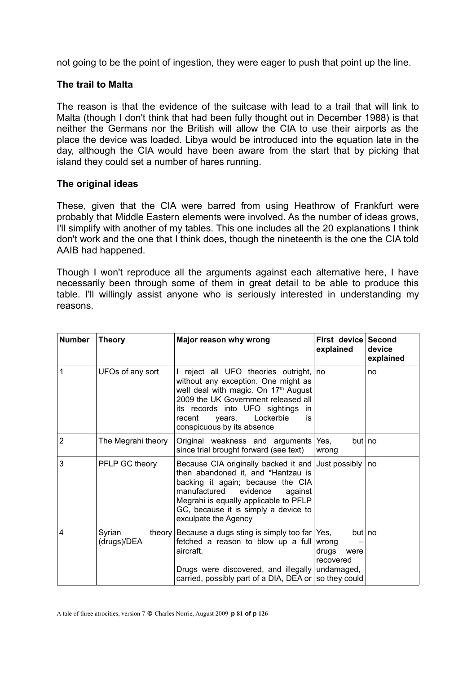not going to be the point of ingestion, they were eager to push that point up the line.

## **The trail to Malta**

The reason is that the evidence of the suitcase with lead to a trail that will link to Malta (though I don't think that had been fully thought out in December 1988) is that neither the Germans nor the British will allow the CIA to use their airports as the place the device was loaded. Libya would be introduced into the equation late in the day, although the CIA would have been aware from the start that by picking that island they could set a number of hares running.

## **The original ideas**

These, given that the CIA were barred from using Heathrow of Frankfurt were probably that Middle Eastern elements were involved. As the number of ideas grows, I'll simplify with another of my tables. This one includes all the 20 explanations I think don't work and the one that I think does, though the nineteenth is the one the CIA told AAIB had happened.

Though I won't reproduce all the arguments against each alternative here, I have necessarily been through some of them in great detail to be able to produce this table. I'll willingly assist anyone who is seriously interested in understanding my reasons.

| <b>Number</b>  | <b>Theory</b>                   | Major reason why wrong                                                                                                                                                                                                                                                                 | First device Second<br>explained                            | device<br>explained |
|----------------|---------------------------------|----------------------------------------------------------------------------------------------------------------------------------------------------------------------------------------------------------------------------------------------------------------------------------------|-------------------------------------------------------------|---------------------|
| 1              | UFOs of any sort                | I reject all UFO theories outright, no<br>without any exception. One might as<br>well deal with magic. On 17 <sup>th</sup> August<br>2009 the UK Government released all<br>its records into UFO sightings<br>in.<br>Lockerbie<br>recent<br>vears.<br>is<br>conspicuous by its absence |                                                             | no                  |
| $\overline{2}$ | The Megrahi theory              | Original weakness and arguments<br>since trial brought forward (see text)                                                                                                                                                                                                              | Yes,<br>but   no<br>wrong                                   |                     |
| 3              | PFLP GC theory                  | Because CIA originally backed it and<br>then abandoned it, and *Hantzau is<br>backing it again; because the CIA<br>manufactured<br>evidence<br>against<br>Megrahi is equally applicable to PFLP<br>GC, because it is simply a device to<br>exculpate the Agency                        | Just possibly                                               | no                  |
| 4              | Syrian<br>theory<br>(drugs)/DEA | Because a dugs sting is simply too far $\text{Yes},$<br>fetched a reason to blow up a full<br>aircraft.<br>Drugs were discovered, and illegally<br>carried, possibly part of a DIA, DEA or $ $ so they could                                                                           | but no<br>wrong<br>drugs<br>were<br>recovered<br>undamaged, |                     |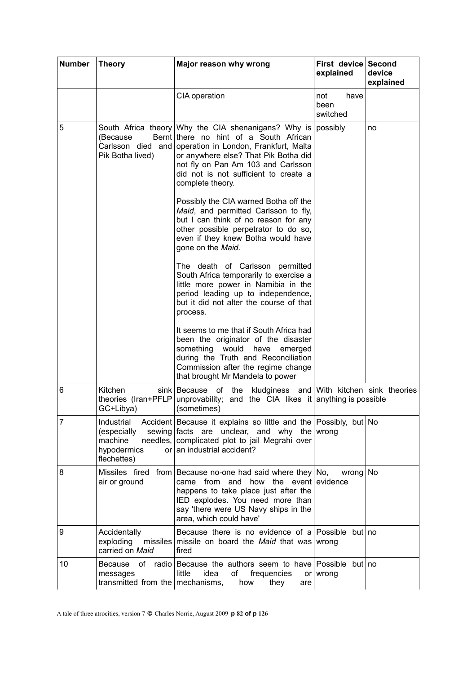| <b>Number</b> | <b>Theory</b>                                                                   | Major reason why wrong                                                                                                                                                                                                                                                                              | First device<br>explained       | <b>Second</b><br>device<br>explained |
|---------------|---------------------------------------------------------------------------------|-----------------------------------------------------------------------------------------------------------------------------------------------------------------------------------------------------------------------------------------------------------------------------------------------------|---------------------------------|--------------------------------------|
|               |                                                                                 | CIA operation                                                                                                                                                                                                                                                                                       | have<br>not<br>been<br>switched |                                      |
| 5             | (Because)<br>Pik Botha lived)                                                   | South Africa theory Why the CIA shenanigans? Why is<br>Bernt there no hint of a South African<br>Carlsson died and operation in London, Frankfurt, Malta<br>or anywhere else? That Pik Botha did<br>not fly on Pan Am 103 and Carlsson<br>did not is not sufficient to create a<br>complete theory. | possibly                        | no                                   |
|               |                                                                                 | Possibly the CIA warned Botha off the<br>Maid, and permitted Carlsson to fly,<br>but I can think of no reason for any<br>other possible perpetrator to do so,<br>even if they knew Botha would have<br>gone on the Maid.                                                                            |                                 |                                      |
|               |                                                                                 | The death of Carlsson permitted<br>South Africa temporarily to exercise a<br>little more power in Namibia in the<br>period leading up to independence,<br>but it did not alter the course of that<br>process.                                                                                       |                                 |                                      |
|               |                                                                                 | It seems to me that if South Africa had<br>been the originator of the disaster<br>something would<br>have<br>emerged<br>during the Truth and Reconciliation<br>Commission after the regime change<br>that brought Mr Mandela to power                                                               |                                 |                                      |
| 6             | Kitchen<br>theories (Iran+PFLP<br>GC+Libya)                                     | of<br>the<br>kludginess and With kitchen sink theories<br>sink   Because<br>unprovability; and the CIA likes it anything is possible<br>(sometimes)                                                                                                                                                 |                                 |                                      |
| 7             | Industrial<br>(especially<br>machine<br>hypodermics<br><b>or</b><br>flechettes) | Accident Because it explains so little and the Possibly, but No<br>sewing facts are unclear, and why the wrong<br>needles, complicated plot to jail Megrahi over<br>an industrial accident?                                                                                                         |                                 |                                      |
| 8             | air or ground                                                                   | Missiles fired from Because no-one had said where they $No$ ,<br>came from and how the event evidence<br>happens to take place just after the<br>IED explodes. You need more than<br>say 'there were US Navy ships in the<br>area, which could have'                                                | wrong   No                      |                                      |
| 9             | Accidentally<br>exploding<br>missiles<br>carried on Maid                        | Because there is no evidence of a Possible but no<br>missile on board the Maid that was wrong<br>fired                                                                                                                                                                                              |                                 |                                      |
| 10            | Because<br>messages<br>transmitted from the mechanisms,                         | of radio Because the authors seem to have Possible but no<br>little<br>idea<br>of<br>frequencies<br>they<br>how<br>are                                                                                                                                                                              | or $vert$ wrong                 |                                      |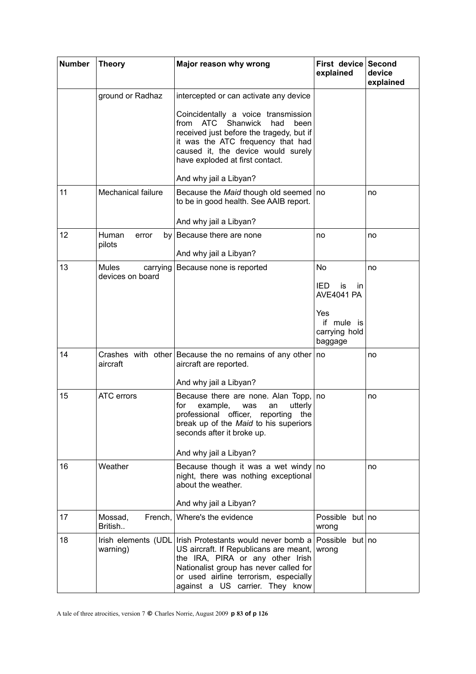| <b>Number</b> | <b>Theory</b>                                | Major reason why wrong                                                                                                                                                                                                                   | First device<br>explained                     | Second<br>device<br>explained |
|---------------|----------------------------------------------|------------------------------------------------------------------------------------------------------------------------------------------------------------------------------------------------------------------------------------------|-----------------------------------------------|-------------------------------|
|               | ground or Radhaz                             | intercepted or can activate any device                                                                                                                                                                                                   |                                               |                               |
|               |                                              | Coincidentally a voice transmission<br>from ATC<br>Shanwick<br>had<br>been<br>received just before the tragedy, but if<br>it was the ATC frequency that had<br>caused it, the device would surely<br>have exploded at first contact.     |                                               |                               |
|               |                                              | And why jail a Libyan?                                                                                                                                                                                                                   |                                               |                               |
| 11            | <b>Mechanical failure</b>                    | Because the Maid though old seemed<br>to be in good health. See AAIB report.                                                                                                                                                             | no                                            | no                            |
|               |                                              | And why jail a Libyan?                                                                                                                                                                                                                   |                                               |                               |
| 12            | Human<br>error<br>pilots                     | by Because there are none                                                                                                                                                                                                                | no                                            | no                            |
|               |                                              | And why jail a Libyan?                                                                                                                                                                                                                   |                                               |                               |
| 13            | <b>Mules</b><br>carrying<br>devices on board | Because none is reported                                                                                                                                                                                                                 | No                                            | no                            |
|               |                                              |                                                                                                                                                                                                                                          | IED.<br>is<br>in.<br><b>AVE4041 PA</b>        |                               |
|               |                                              |                                                                                                                                                                                                                                          | Yes<br>if mule is<br>carrying hold<br>baggage |                               |
| 14            | aircraft                                     | Crashes with other Because the no remains of any other<br>aircraft are reported.                                                                                                                                                         | no                                            | no                            |
| 15            | ATC errors                                   | And why jail a Libyan?                                                                                                                                                                                                                   |                                               |                               |
|               |                                              | Because there are none. Alan Topp,<br>example,<br>for<br>was<br>an<br>utterly<br>professional officer, reporting the<br>break up of the Maid to his superiors<br>seconds after it broke up.                                              | no                                            | no                            |
|               |                                              | And why jail a Libyan?                                                                                                                                                                                                                   |                                               |                               |
| 16            | Weather                                      | Because though it was a wet windy<br>night, there was nothing exceptional<br>about the weather.<br>And why jail a Libyan?                                                                                                                | no                                            | no                            |
| 17            | French,<br>Mossad,<br>British                | Where's the evidence                                                                                                                                                                                                                     | Possible but no<br>wrong                      |                               |
| 18            | Irish elements (UDL<br>warning)              | Irish Protestants would never bomb a<br>US aircraft. If Republicans are meant,<br>the IRA, PIRA or any other Irish<br>Nationalist group has never called for<br>or used airline terrorism, especially<br>against a US carrier. They know | Possible but no<br>wrong                      |                               |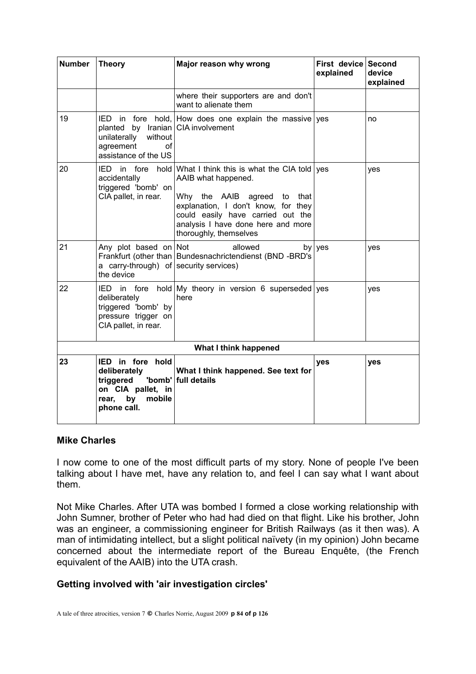| <b>Number</b>         | <b>Theory</b>                                                                                                        | Major reason why wrong                                                                                                                                                                                                                          | First device Second<br>explained | device<br>explained |
|-----------------------|----------------------------------------------------------------------------------------------------------------------|-------------------------------------------------------------------------------------------------------------------------------------------------------------------------------------------------------------------------------------------------|----------------------------------|---------------------|
|                       |                                                                                                                      | where their supporters are and don't<br>want to alienate them                                                                                                                                                                                   |                                  |                     |
| 19                    | planted by Iranian CIA involvement<br>unilaterally<br>without<br>agreement<br>οf<br>assistance of the US             | IED in fore hold, How does one explain the massive yes                                                                                                                                                                                          |                                  | no                  |
| 20                    | IED in fore<br>hold<br>accidentally<br>triggered 'bomb' on<br>CIA pallet, in rear.                                   | What I think this is what the CIA told yes<br>AAIB what happened.<br>Why the AAIB agreed to<br>that<br>explanation, I don't know, for they<br>could easily have carried out the<br>analysis I have done here and more<br>thoroughly, themselves |                                  | yes                 |
| 21                    | Any plot based on Not<br>a carry-through) of security services)<br>the device                                        | allowed<br>Frankfurt (other than   Bundesnachrictendienst (BND -BRD's                                                                                                                                                                           | by $ yes$                        | yes                 |
| 22                    | in fore<br>IED-<br>deliberately<br>triggered 'bomb' by<br>pressure trigger on<br>CIA pallet, in rear.                | hold $\vert$ My theory in version 6 superseded yes<br>here                                                                                                                                                                                      |                                  | yes                 |
| What I think happened |                                                                                                                      |                                                                                                                                                                                                                                                 |                                  |                     |
| 23                    | IED in fore hold<br>deliberately<br>'bomb'<br>triggered<br>on CIA pallet, in<br>by<br>mobile<br>rear,<br>phone call. | What I think happened. See text for<br>full details                                                                                                                                                                                             | yes                              | yes                 |

#### **Mike Charles**

I now come to one of the most difficult parts of my story. None of people I've been talking about I have met, have any relation to, and feel I can say what I want about them.

Not Mike Charles. After UTA was bombed I formed a close working relationship with John Sumner, brother of Peter who had had died on that flight. Like his brother, John was an engineer, a commissioning engineer for British Railways (as it then was). A man of intimidating intellect, but a slight political naïvety (in my opinion) John became concerned about the intermediate report of the Bureau Enquête, (the French equivalent of the AAIB) into the UTA crash.

# **Getting involved with 'air investigation circles'**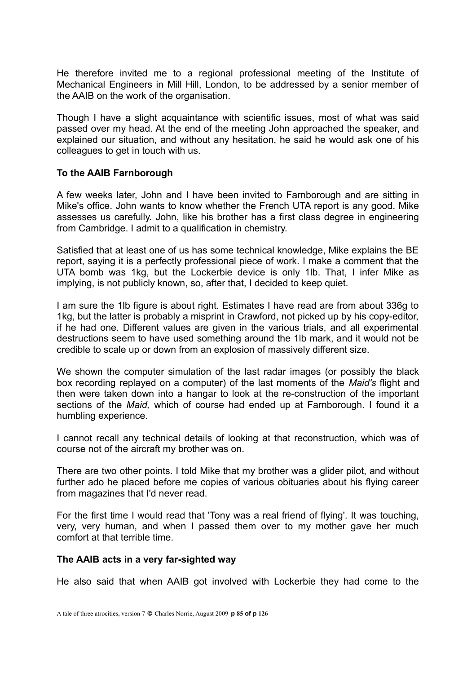He therefore invited me to a regional professional meeting of the Institute of Mechanical Engineers in Mill Hill, London, to be addressed by a senior member of the AAIB on the work of the organisation.

Though I have a slight acquaintance with scientific issues, most of what was said passed over my head. At the end of the meeting John approached the speaker, and explained our situation, and without any hesitation, he said he would ask one of his colleagues to get in touch with us.

## **To the AAIB Farnborough**

A few weeks later, John and I have been invited to Farnborough and are sitting in Mike's office. John wants to know whether the French UTA report is any good. Mike assesses us carefully. John, like his brother has a first class degree in engineering from Cambridge. I admit to a qualification in chemistry.

Satisfied that at least one of us has some technical knowledge, Mike explains the BE report, saying it is a perfectly professional piece of work. I make a comment that the UTA bomb was 1kg, but the Lockerbie device is only 1lb. That, I infer Mike as implying, is not publicly known, so, after that, I decided to keep quiet.

I am sure the 1lb figure is about right. Estimates I have read are from about 336g to 1kg, but the latter is probably a misprint in Crawford, not picked up by his copy-editor, if he had one. Different values are given in the various trials, and all experimental destructions seem to have used something around the 1lb mark, and it would not be credible to scale up or down from an explosion of massively different size.

We shown the computer simulation of the last radar images (or possibly the black box recording replayed on a computer) of the last moments of the *Maid's* flight and then were taken down into a hangar to look at the re-construction of the important sections of the *Maid,* which of course had ended up at Farnborough. I found it a humbling experience.

I cannot recall any technical details of looking at that reconstruction, which was of course not of the aircraft my brother was on.

There are two other points. I told Mike that my brother was a glider pilot, and without further ado he placed before me copies of various obituaries about his flying career from magazines that I'd never read.

For the first time I would read that 'Tony was a real friend of flying'. It was touching, very, very human, and when I passed them over to my mother gave her much comfort at that terrible time.

#### **The AAIB acts in a very far-sighted way**

He also said that when AAIB got involved with Lockerbie they had come to the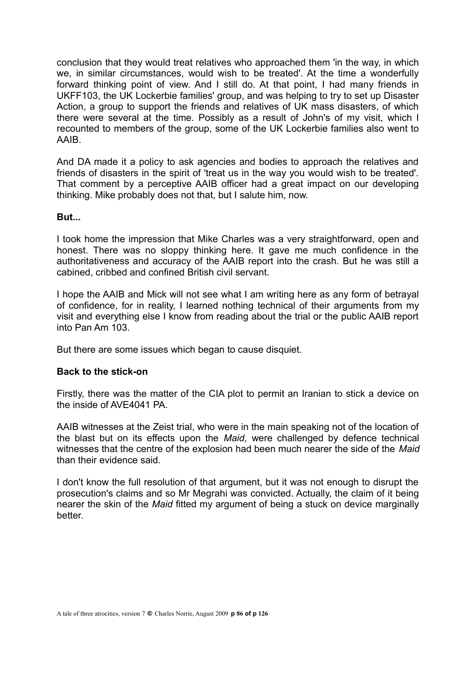conclusion that they would treat relatives who approached them 'in the way, in which we, in similar circumstances, would wish to be treated'. At the time a wonderfully forward thinking point of view. And I still do. At that point, I had many friends in UKFF103, the UK Lockerbie families' group, and was helping to try to set up Disaster Action, a group to support the friends and relatives of UK mass disasters, of which there were several at the time. Possibly as a result of John's of my visit, which I recounted to members of the group, some of the UK Lockerbie families also went to AAIB.

And DA made it a policy to ask agencies and bodies to approach the relatives and friends of disasters in the spirit of 'treat us in the way you would wish to be treated'. That comment by a perceptive AAIB officer had a great impact on our developing thinking. Mike probably does not that, but I salute him, now.

## **But...**

I took home the impression that Mike Charles was a very straightforward, open and honest. There was no sloppy thinking here. It gave me much confidence in the authoritativeness and accuracy of the AAIB report into the crash. But he was still a cabined, cribbed and confined British civil servant.

I hope the AAIB and Mick will not see what I am writing here as any form of betrayal of confidence, for in reality, I learned nothing technical of their arguments from my visit and everything else I know from reading about the trial or the public AAIB report into Pan Am 103.

But there are some issues which began to cause disquiet.

# **Back to the stick-on**

Firstly, there was the matter of the CIA plot to permit an Iranian to stick a device on the inside of AVF4041 PA

AAIB witnesses at the Zeist trial, who were in the main speaking not of the location of the blast but on its effects upon the *Maid,* were challenged by defence technical witnesses that the centre of the explosion had been much nearer the side of the *Maid* than their evidence said.

I don't know the full resolution of that argument, but it was not enough to disrupt the prosecution's claims and so Mr Megrahi was convicted. Actually, the claim of it being nearer the skin of the *Maid* fitted my argument of being a stuck on device marginally better.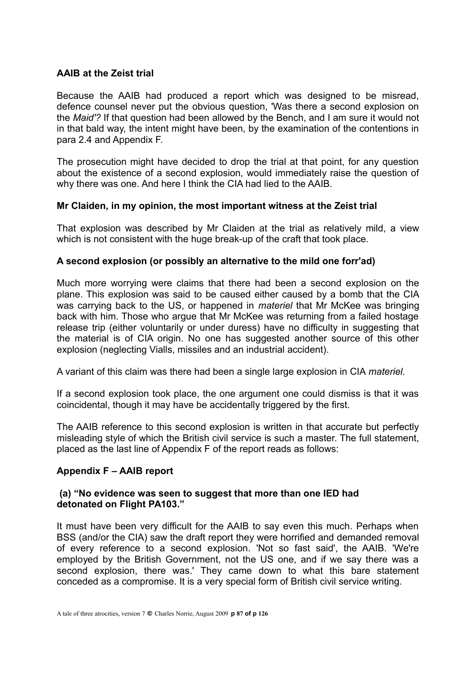# **AAIB at the Zeist trial**

Because the AAIB had produced a report which was designed to be misread, defence counsel never put the obvious question, 'Was there a second explosion on the *Maid'?* If that question had been allowed by the Bench, and I am sure it would not in that bald way, the intent might have been, by the examination of the contentions in para 2.4 and Appendix F.

The prosecution might have decided to drop the trial at that point, for any question about the existence of a second explosion, would immediately raise the question of why there was one. And here I think the CIA had lied to the AAIB.

# **Mr Claiden, in my opinion, the most important witness at the Zeist trial**

That explosion was described by Mr Claiden at the trial as relatively mild, a view which is not consistent with the huge break-up of the craft that took place.

# **A second explosion (or possibly an alternative to the mild one forr'ad)**

Much more worrying were claims that there had been a second explosion on the plane. This explosion was said to be caused either caused by a bomb that the CIA was carrying back to the US, or happened in *materiel* that Mr McKee was bringing back with him. Those who argue that Mr McKee was returning from a failed hostage release trip (either voluntarily or under duress) have no difficulty in suggesting that the material is of CIA origin. No one has suggested another source of this other explosion (neglecting Vialls, missiles and an industrial accident).

A variant of this claim was there had been a single large explosion in CIA *materiel.* 

If a second explosion took place, the one argument one could dismiss is that it was coincidental, though it may have be accidentally triggered by the first.

The AAIB reference to this second explosion is written in that accurate but perfectly misleading style of which the British civil service is such a master. The full statement, placed as the last line of Appendix F of the report reads as follows:

# **Appendix F – AAIB report**

## **(a) "No evidence was seen to suggest that more than one IED had detonated on Flight PA103."**

It must have been very difficult for the AAIB to say even this much. Perhaps when BSS (and/or the CIA) saw the draft report they were horrified and demanded removal of every reference to a second explosion. 'Not so fast said', the AAIB. 'We're employed by the British Government, not the US one, and if we say there was a second explosion, there was.' They came down to what this bare statement conceded as a compromise. It is a very special form of British civil service writing.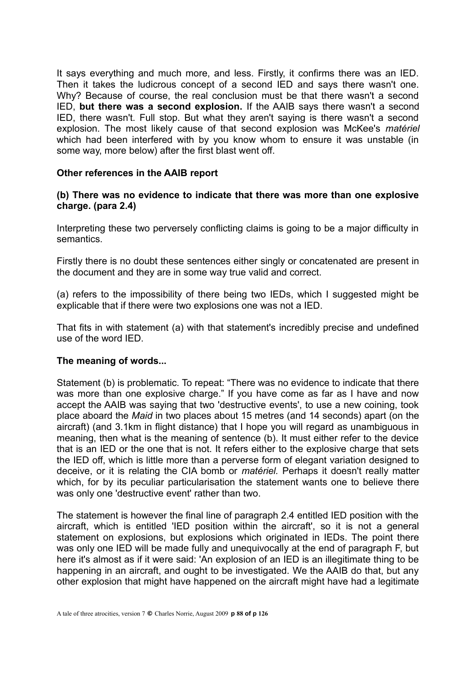It says everything and much more, and less. Firstly, it confirms there was an IED. Then it takes the ludicrous concept of a second IED and says there wasn't one. Why? Because of course, the real conclusion must be that there wasn't a second IED, **but there was a second explosion.** If the AAIB says there wasn't a second IED, there wasn't. Full stop. But what they aren't saying is there wasn't a second explosion. The most likely cause of that second explosion was McKee's *matériel* which had been interfered with by you know whom to ensure it was unstable (in some way, more below) after the first blast went off.

## **Other references in the AAIB report**

# **(b) There was no evidence to indicate that there was more than one explosive charge. (para 2.4)**

Interpreting these two perversely conflicting claims is going to be a major difficulty in semantics.

Firstly there is no doubt these sentences either singly or concatenated are present in the document and they are in some way true valid and correct.

(a) refers to the impossibility of there being two IEDs, which I suggested might be explicable that if there were two explosions one was not a IED.

That fits in with statement (a) with that statement's incredibly precise and undefined use of the word IED.

# **The meaning of words...**

Statement (b) is problematic. To repeat: "There was no evidence to indicate that there was more than one explosive charge." If you have come as far as I have and now accept the AAIB was saying that two 'destructive events', to use a new coining, took place aboard the *Maid* in two places about 15 metres (and 14 seconds) apart (on the aircraft) (and 3.1km in flight distance) that I hope you will regard as unambiguous in meaning, then what is the meaning of sentence (b). It must either refer to the device that is an IED or the one that is not. It refers either to the explosive charge that sets the IED off, which is little more than a perverse form of elegant variation designed to deceive, or it is relating the CIA bomb or *matériel.* Perhaps it doesn't really matter which, for by its peculiar particularisation the statement wants one to believe there was only one 'destructive event' rather than two.

The statement is however the final line of paragraph 2.4 entitled IED position with the aircraft, which is entitled 'IED position within the aircraft', so it is not a general statement on explosions, but explosions which originated in IEDs. The point there was only one IED will be made fully and unequivocally at the end of paragraph F, but here it's almost as if it were said: 'An explosion of an IED is an illegitimate thing to be happening in an aircraft, and ought to be investigated. We the AAIB do that, but any other explosion that might have happened on the aircraft might have had a legitimate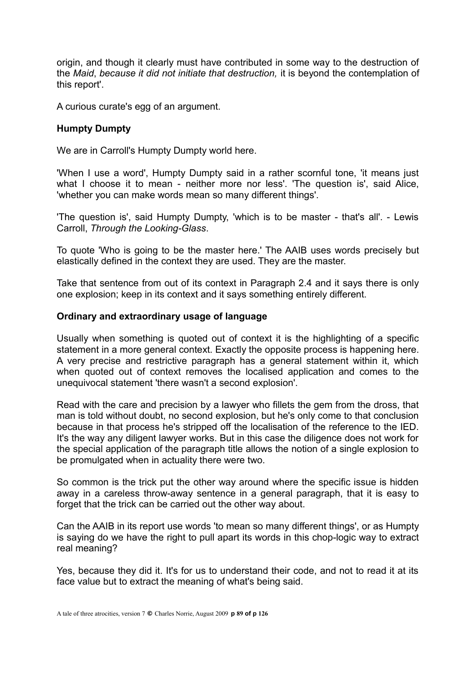origin, and though it clearly must have contributed in some way to the destruction of the *Maid*, *because it did not initiate that destruction,* it is beyond the contemplation of this report'.

A curious curate's egg of an argument.

# **Humpty Dumpty**

We are in Carroll's Humpty Dumpty world here.

'When I use a word', Humpty Dumpty said in a rather scornful tone, 'it means just what I choose it to mean - neither more nor less'. 'The question is', said Alice, 'whether you can make words mean so many different things'.

'The question is', said Humpty Dumpty, 'which is to be master - that's all'. - Lewis Carroll, *Through the Looking-Glass*.

To quote 'Who is going to be the master here.' The AAIB uses words precisely but elastically defined in the context they are used. They are the master.

Take that sentence from out of its context in Paragraph 2.4 and it says there is only one explosion; keep in its context and it says something entirely different.

## **Ordinary and extraordinary usage of language**

Usually when something is quoted out of context it is the highlighting of a specific statement in a more general context. Exactly the opposite process is happening here. A very precise and restrictive paragraph has a general statement within it, which when quoted out of context removes the localised application and comes to the unequivocal statement 'there wasn't a second explosion'.

Read with the care and precision by a lawyer who fillets the gem from the dross, that man is told without doubt, no second explosion, but he's only come to that conclusion because in that process he's stripped off the localisation of the reference to the IED. It's the way any diligent lawyer works. But in this case the diligence does not work for the special application of the paragraph title allows the notion of a single explosion to be promulgated when in actuality there were two.

So common is the trick put the other way around where the specific issue is hidden away in a careless throw-away sentence in a general paragraph, that it is easy to forget that the trick can be carried out the other way about.

Can the AAIB in its report use words 'to mean so many different things', or as Humpty is saying do we have the right to pull apart its words in this chop-logic way to extract real meaning?

Yes, because they did it. It's for us to understand their code, and not to read it at its face value but to extract the meaning of what's being said.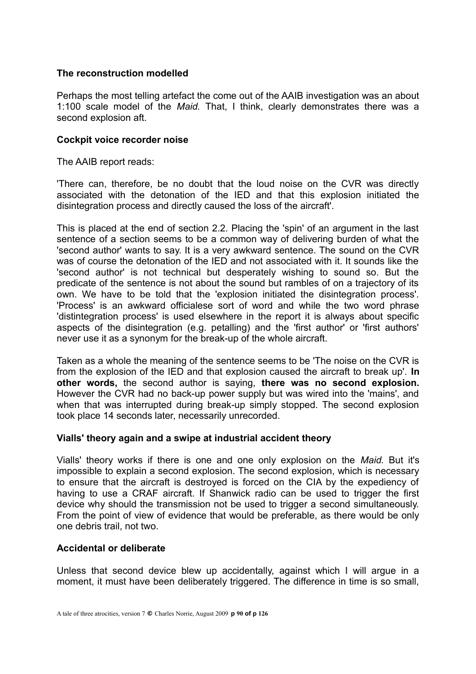# **The reconstruction modelled**

Perhaps the most telling artefact the come out of the AAIB investigation was an about 1:100 scale model of the *Maid.* That, I think, clearly demonstrates there was a second explosion aft.

## **Cockpit voice recorder noise**

The AAIB report reads:

'There can, therefore, be no doubt that the loud noise on the CVR was directly associated with the detonation of the IED and that this explosion initiated the disintegration process and directly caused the loss of the aircraft'.

This is placed at the end of section 2.2. Placing the 'spin' of an argument in the last sentence of a section seems to be a common way of delivering burden of what the 'second author' wants to say. It is a very awkward sentence. The sound on the CVR was of course the detonation of the IED and not associated with it. It sounds like the 'second author' is not technical but desperately wishing to sound so. But the predicate of the sentence is not about the sound but rambles of on a trajectory of its own. We have to be told that the 'explosion initiated the disintegration process'. 'Process' is an awkward officialese sort of word and while the two word phrase 'distintegration process' is used elsewhere in the report it is always about specific aspects of the disintegration (e.g. petalling) and the 'first author' or 'first authors' never use it as a synonym for the break-up of the whole aircraft.

Taken as a whole the meaning of the sentence seems to be 'The noise on the CVR is from the explosion of the IED and that explosion caused the aircraft to break up'. **In other words,** the second author is saying, **there was no second explosion.** However the CVR had no back-up power supply but was wired into the 'mains', and when that was interrupted during break-up simply stopped. The second explosion took place 14 seconds later, necessarily unrecorded.

# **Vialls' theory again and a swipe at industrial accident theory**

Vialls' theory works if there is one and one only explosion on the *Maid.* But it's impossible to explain a second explosion. The second explosion, which is necessary to ensure that the aircraft is destroyed is forced on the CIA by the expediency of having to use a CRAF aircraft. If Shanwick radio can be used to trigger the first device why should the transmission not be used to trigger a second simultaneously. From the point of view of evidence that would be preferable, as there would be only one debris trail, not two.

# **Accidental or deliberate**

Unless that second device blew up accidentally, against which I will argue in a moment, it must have been deliberately triggered. The difference in time is so small,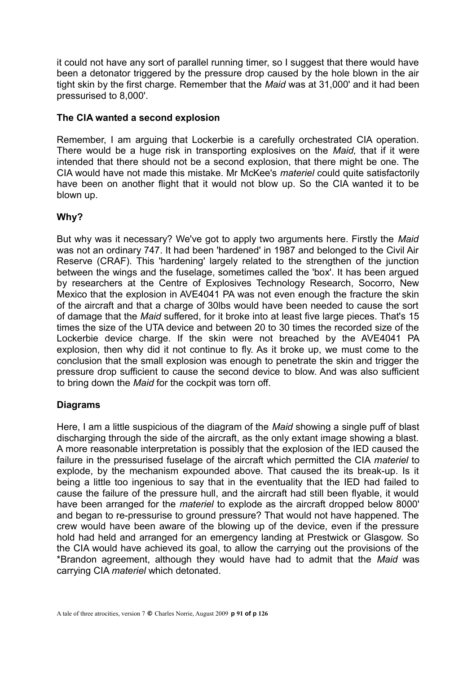it could not have any sort of parallel running timer, so I suggest that there would have been a detonator triggered by the pressure drop caused by the hole blown in the air tight skin by the first charge. Remember that the *Maid* was at 31,000' and it had been pressurised to 8,000'.

# **The CIA wanted a second explosion**

Remember, I am arguing that Lockerbie is a carefully orchestrated CIA operation. There would be a huge risk in transporting explosives on the *Maid,* that if it were intended that there should not be a second explosion, that there might be one. The CIA would have not made this mistake. Mr McKee's *materiel* could quite satisfactorily have been on another flight that it would not blow up. So the CIA wanted it to be blown up.

# **Why?**

But why was it necessary? We've got to apply two arguments here. Firstly the *Maid* was not an ordinary 747. It had been 'hardened' in 1987 and belonged to the Civil Air Reserve (CRAF). This 'hardening' largely related to the strengthen of the junction between the wings and the fuselage, sometimes called the 'box'. It has been argued by researchers at the Centre of Explosives Technology Research, Socorro, New Mexico that the explosion in AVE4041 PA was not even enough the fracture the skin of the aircraft and that a charge of 30lbs would have been needed to cause the sort of damage that the *Maid* suffered, for it broke into at least five large pieces. That's 15 times the size of the UTA device and between 20 to 30 times the recorded size of the Lockerbie device charge. If the skin were not breached by the AVE4041 PA explosion, then why did it not continue to fly. As it broke up, we must come to the conclusion that the small explosion was enough to penetrate the skin and trigger the pressure drop sufficient to cause the second device to blow. And was also sufficient to bring down the *Maid* for the cockpit was torn off.

# **Diagrams**

Here, I am a little suspicious of the diagram of the *Maid* showing a single puff of blast discharging through the side of the aircraft, as the only extant image showing a blast. A more reasonable interpretation is possibly that the explosion of the IED caused the failure in the pressurised fuselage of the aircraft which permitted the CIA *materiel* to explode, by the mechanism expounded above. That caused the its break-up. Is it being a little too ingenious to say that in the eventuality that the IED had failed to cause the failure of the pressure hull, and the aircraft had still been flyable, it would have been arranged for the *materiel* to explode as the aircraft dropped below 8000' and began to re-pressurise to ground pressure? That would not have happened. The crew would have been aware of the blowing up of the device, even if the pressure hold had held and arranged for an emergency landing at Prestwick or Glasgow. So the CIA would have achieved its goal, to allow the carrying out the provisions of the \*Brandon agreement, although they would have had to admit that the *Maid* was carrying CIA *materiel* which detonated.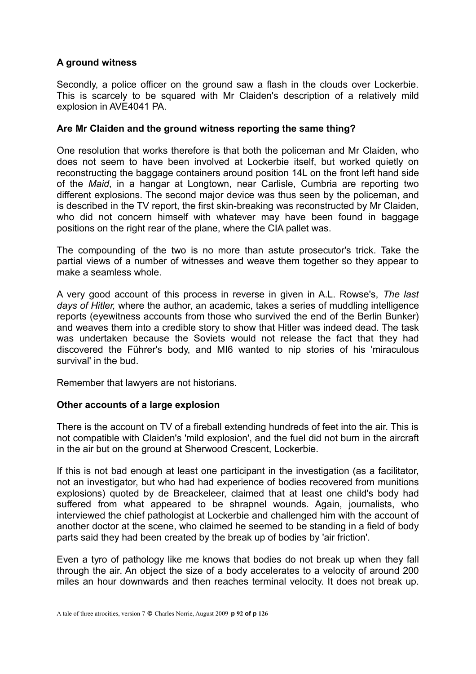# **A ground witness**

Secondly, a police officer on the ground saw a flash in the clouds over Lockerbie. This is scarcely to be squared with Mr Claiden's description of a relatively mild explosion in AVE4041 PA.

## **Are Mr Claiden and the ground witness reporting the same thing?**

One resolution that works therefore is that both the policeman and Mr Claiden, who does not seem to have been involved at Lockerbie itself, but worked quietly on reconstructing the baggage containers around position 14L on the front left hand side of the *Maid*, in a hangar at Longtown, near Carlisle, Cumbria are reporting two different explosions. The second major device was thus seen by the policeman, and is described in the TV report, the first skin-breaking was reconstructed by Mr Claiden, who did not concern himself with whatever may have been found in baggage positions on the right rear of the plane, where the CIA pallet was.

The compounding of the two is no more than astute prosecutor's trick. Take the partial views of a number of witnesses and weave them together so they appear to make a seamless whole.

A very good account of this process in reverse in given in A.L. Rowse's, *The last days of Hitler,* where the author, an academic, takes a series of muddling intelligence reports (eyewitness accounts from those who survived the end of the Berlin Bunker) and weaves them into a credible story to show that Hitler was indeed dead. The task was undertaken because the Soviets would not release the fact that they had discovered the Führer's body, and MI6 wanted to nip stories of his 'miraculous survival' in the bud.

Remember that lawyers are not historians.

# **Other accounts of a large explosion**

There is the account on TV of a fireball extending hundreds of feet into the air. This is not compatible with Claiden's 'mild explosion', and the fuel did not burn in the aircraft in the air but on the ground at Sherwood Crescent, Lockerbie.

If this is not bad enough at least one participant in the investigation (as a facilitator, not an investigator, but who had had experience of bodies recovered from munitions explosions) quoted by de Breackeleer, claimed that at least one child's body had suffered from what appeared to be shrapnel wounds. Again, journalists, who interviewed the chief pathologist at Lockerbie and challenged him with the account of another doctor at the scene, who claimed he seemed to be standing in a field of body parts said they had been created by the break up of bodies by 'air friction'.

Even a tyro of pathology like me knows that bodies do not break up when they fall through the air. An object the size of a body accelerates to a velocity of around 200 miles an hour downwards and then reaches terminal velocity. It does not break up.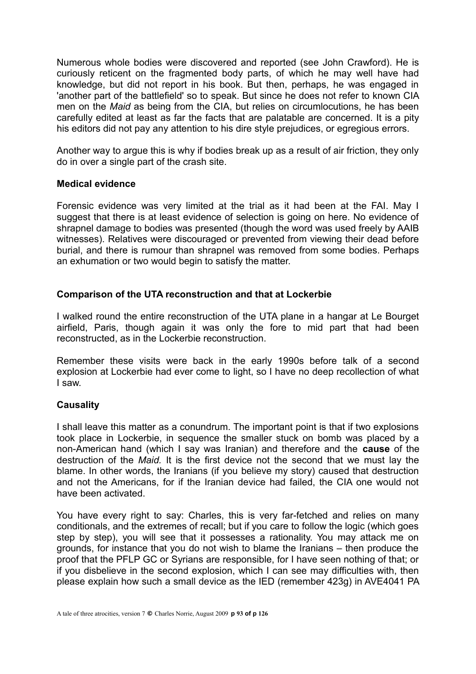Numerous whole bodies were discovered and reported (see John Crawford). He is curiously reticent on the fragmented body parts, of which he may well have had knowledge, but did not report in his book. But then, perhaps, he was engaged in 'another part of the battlefield' so to speak. But since he does not refer to known CIA men on the *Maid* as being from the CIA, but relies on circumlocutions, he has been carefully edited at least as far the facts that are palatable are concerned. It is a pity his editors did not pay any attention to his dire style prejudices, or egregious errors.

Another way to argue this is why if bodies break up as a result of air friction, they only do in over a single part of the crash site.

## **Medical evidence**

Forensic evidence was very limited at the trial as it had been at the FAI. May I suggest that there is at least evidence of selection is going on here. No evidence of shrapnel damage to bodies was presented (though the word was used freely by AAIB witnesses). Relatives were discouraged or prevented from viewing their dead before burial, and there is rumour than shrapnel was removed from some bodies. Perhaps an exhumation or two would begin to satisfy the matter.

# **Comparison of the UTA reconstruction and that at Lockerbie**

I walked round the entire reconstruction of the UTA plane in a hangar at Le Bourget airfield, Paris, though again it was only the fore to mid part that had been reconstructed, as in the Lockerbie reconstruction.

Remember these visits were back in the early 1990s before talk of a second explosion at Lockerbie had ever come to light, so I have no deep recollection of what I saw.

# **Causality**

I shall leave this matter as a conundrum. The important point is that if two explosions took place in Lockerbie, in sequence the smaller stuck on bomb was placed by a non-American hand (which I say was Iranian) and therefore and the **cause** of the destruction of the *Maid.* It is the first device not the second that we must lay the blame. In other words, the Iranians (if you believe my story) caused that destruction and not the Americans, for if the Iranian device had failed, the CIA one would not have been activated.

You have every right to say: Charles, this is very far-fetched and relies on many conditionals, and the extremes of recall; but if you care to follow the logic (which goes step by step), you will see that it possesses a rationality. You may attack me on grounds, for instance that you do not wish to blame the Iranians – then produce the proof that the PFLP GC or Syrians are responsible, for I have seen nothing of that; or if you disbelieve in the second explosion, which I can see may difficulties with, then please explain how such a small device as the IED (remember 423g) in AVE4041 PA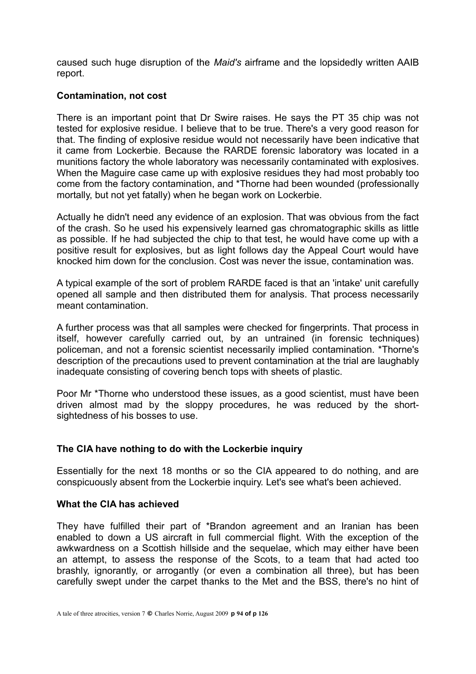caused such huge disruption of the *Maid's* airframe and the lopsidedly written AAIB report.

# **Contamination, not cost**

There is an important point that Dr Swire raises. He says the PT 35 chip was not tested for explosive residue. I believe that to be true. There's a very good reason for that. The finding of explosive residue would not necessarily have been indicative that it came from Lockerbie. Because the RARDE forensic laboratory was located in a munitions factory the whole laboratory was necessarily contaminated with explosives. When the Maguire case came up with explosive residues they had most probably too come from the factory contamination, and \*Thorne had been wounded (professionally mortally, but not yet fatally) when he began work on Lockerbie.

Actually he didn't need any evidence of an explosion. That was obvious from the fact of the crash. So he used his expensively learned gas chromatographic skills as little as possible. If he had subjected the chip to that test, he would have come up with a positive result for explosives, but as light follows day the Appeal Court would have knocked him down for the conclusion. Cost was never the issue, contamination was.

A typical example of the sort of problem RARDE faced is that an 'intake' unit carefully opened all sample and then distributed them for analysis. That process necessarily meant contamination.

A further process was that all samples were checked for fingerprints. That process in itself, however carefully carried out, by an untrained (in forensic techniques) policeman, and not a forensic scientist necessarily implied contamination. \*Thorne's description of the precautions used to prevent contamination at the trial are laughably inadequate consisting of covering bench tops with sheets of plastic.

Poor Mr \*Thorne who understood these issues, as a good scientist, must have been driven almost mad by the sloppy procedures, he was reduced by the shortsightedness of his bosses to use.

# **The CIA have nothing to do with the Lockerbie inquiry**

Essentially for the next 18 months or so the CIA appeared to do nothing, and are conspicuously absent from the Lockerbie inquiry. Let's see what's been achieved.

# **What the CIA has achieved**

They have fulfilled their part of \*Brandon agreement and an Iranian has been enabled to down a US aircraft in full commercial flight. With the exception of the awkwardness on a Scottish hillside and the sequelae, which may either have been an attempt, to assess the response of the Scots, to a team that had acted too brashly, ignorantly, or arrogantly (or even a combination all three), but has been carefully swept under the carpet thanks to the Met and the BSS, there's no hint of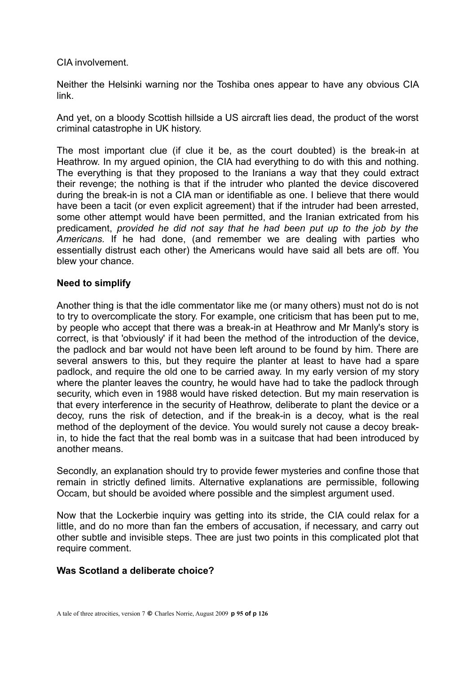## CIA involvement.

Neither the Helsinki warning nor the Toshiba ones appear to have any obvious CIA link.

And yet, on a bloody Scottish hillside a US aircraft lies dead, the product of the worst criminal catastrophe in UK history.

The most important clue (if clue it be, as the court doubted) is the break-in at Heathrow. In my argued opinion, the CIA had everything to do with this and nothing. The everything is that they proposed to the Iranians a way that they could extract their revenge; the nothing is that if the intruder who planted the device discovered during the break-in is not a CIA man or identifiable as one. I believe that there would have been a tacit (or even explicit agreement) that if the intruder had been arrested, some other attempt would have been permitted, and the Iranian extricated from his predicament, *provided he did not say that he had been put up to the job by the Americans.* If he had done, (and remember we are dealing with parties who essentially distrust each other) the Americans would have said all bets are off. You blew your chance.

# **Need to simplify**

Another thing is that the idle commentator like me (or many others) must not do is not to try to overcomplicate the story. For example, one criticism that has been put to me, by people who accept that there was a break-in at Heathrow and Mr Manly's story is correct, is that 'obviously' if it had been the method of the introduction of the device, the padlock and bar would not have been left around to be found by him. There are several answers to this, but they require the planter at least to have had a spare padlock, and require the old one to be carried away. In my early version of my story where the planter leaves the country, he would have had to take the padlock through security, which even in 1988 would have risked detection. But my main reservation is that every interference in the security of Heathrow, deliberate to plant the device or a decoy, runs the risk of detection, and if the break-in is a decoy, what is the real method of the deployment of the device. You would surely not cause a decoy breakin, to hide the fact that the real bomb was in a suitcase that had been introduced by another means.

Secondly, an explanation should try to provide fewer mysteries and confine those that remain in strictly defined limits. Alternative explanations are permissible, following Occam, but should be avoided where possible and the simplest argument used.

Now that the Lockerbie inquiry was getting into its stride, the CIA could relax for a little, and do no more than fan the embers of accusation, if necessary, and carry out other subtle and invisible steps. Thee are just two points in this complicated plot that require comment.

# **Was Scotland a deliberate choice?**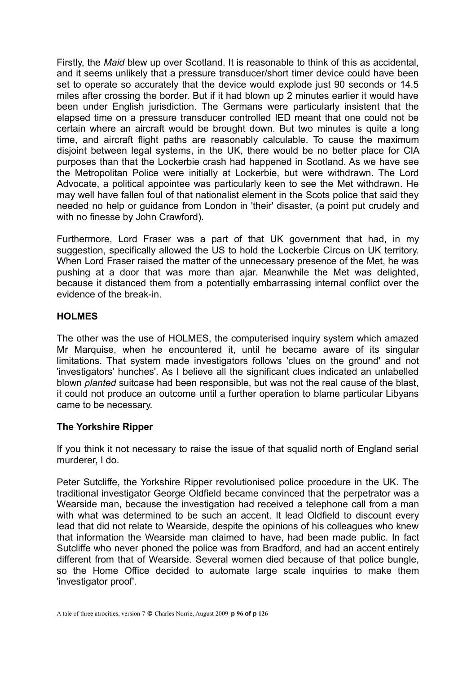Firstly, the *Maid* blew up over Scotland. It is reasonable to think of this as accidental, and it seems unlikely that a pressure transducer/short timer device could have been set to operate so accurately that the device would explode just 90 seconds or 14.5 miles after crossing the border. But if it had blown up 2 minutes earlier it would have been under English jurisdiction. The Germans were particularly insistent that the elapsed time on a pressure transducer controlled IED meant that one could not be certain where an aircraft would be brought down. But two minutes is quite a long time, and aircraft flight paths are reasonably calculable. To cause the maximum disjoint between legal systems, in the UK, there would be no better place for CIA purposes than that the Lockerbie crash had happened in Scotland. As we have see the Metropolitan Police were initially at Lockerbie, but were withdrawn. The Lord Advocate, a political appointee was particularly keen to see the Met withdrawn. He may well have fallen foul of that nationalist element in the Scots police that said they needed no help or guidance from London in 'their' disaster, (a point put crudely and with no finesse by John Crawford).

Furthermore, Lord Fraser was a part of that UK government that had, in my suggestion, specifically allowed the US to hold the Lockerbie Circus on UK territory. When Lord Fraser raised the matter of the unnecessary presence of the Met, he was pushing at a door that was more than ajar. Meanwhile the Met was delighted, because it distanced them from a potentially embarrassing internal conflict over the evidence of the break-in.

# **HOLMES**

The other was the use of HOLMES, the computerised inquiry system which amazed Mr Marquise, when he encountered it, until he became aware of its singular limitations. That system made investigators follows 'clues on the ground' and not 'investigators' hunches'. As I believe all the significant clues indicated an unlabelled blown *planted* suitcase had been responsible, but was not the real cause of the blast, it could not produce an outcome until a further operation to blame particular Libyans came to be necessary.

# **The Yorkshire Ripper**

If you think it not necessary to raise the issue of that squalid north of England serial murderer, I do.

Peter Sutcliffe, the Yorkshire Ripper revolutionised police procedure in the UK. The traditional investigator George Oldfield became convinced that the perpetrator was a Wearside man, because the investigation had received a telephone call from a man with what was determined to be such an accent. It lead Oldfield to discount every lead that did not relate to Wearside, despite the opinions of his colleagues who knew that information the Wearside man claimed to have, had been made public. In fact Sutcliffe who never phoned the police was from Bradford, and had an accent entirely different from that of Wearside. Several women died because of that police bungle, so the Home Office decided to automate large scale inquiries to make them 'investigator proof'.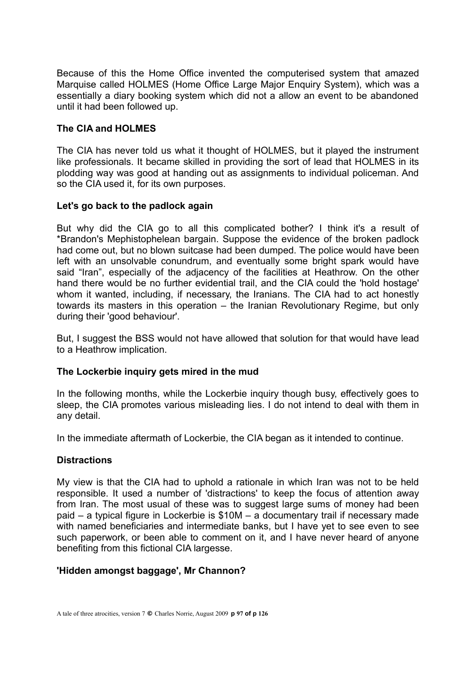Because of this the Home Office invented the computerised system that amazed Marquise called HOLMES (Home Office Large Major Enquiry System), which was a essentially a diary booking system which did not a allow an event to be abandoned until it had been followed up.

# **The CIA and HOLMES**

The CIA has never told us what it thought of HOLMES, but it played the instrument like professionals. It became skilled in providing the sort of lead that HOLMES in its plodding way was good at handing out as assignments to individual policeman. And so the CIA used it, for its own purposes.

# **Let's go back to the padlock again**

But why did the CIA go to all this complicated bother? I think it's a result of \*Brandon's Mephistophelean bargain. Suppose the evidence of the broken padlock had come out, but no blown suitcase had been dumped. The police would have been left with an unsolvable conundrum, and eventually some bright spark would have said "Iran", especially of the adjacency of the facilities at Heathrow. On the other hand there would be no further evidential trail, and the CIA could the 'hold hostage' whom it wanted, including, if necessary, the Iranians. The CIA had to act honestly towards its masters in this operation – the Iranian Revolutionary Regime, but only during their 'good behaviour'.

But, I suggest the BSS would not have allowed that solution for that would have lead to a Heathrow implication.

# **The Lockerbie inquiry gets mired in the mud**

In the following months, while the Lockerbie inquiry though busy, effectively goes to sleep, the CIA promotes various misleading lies. I do not intend to deal with them in any detail.

In the immediate aftermath of Lockerbie, the CIA began as it intended to continue.

# **Distractions**

My view is that the CIA had to uphold a rationale in which Iran was not to be held responsible. It used a number of 'distractions' to keep the focus of attention away from Iran. The most usual of these was to suggest large sums of money had been paid – a typical figure in Lockerbie is \$10M – a documentary trail if necessary made with named beneficiaries and intermediate banks, but I have yet to see even to see such paperwork, or been able to comment on it, and I have never heard of anyone benefiting from this fictional CIA largesse.

# **'Hidden amongst baggage', Mr Channon?**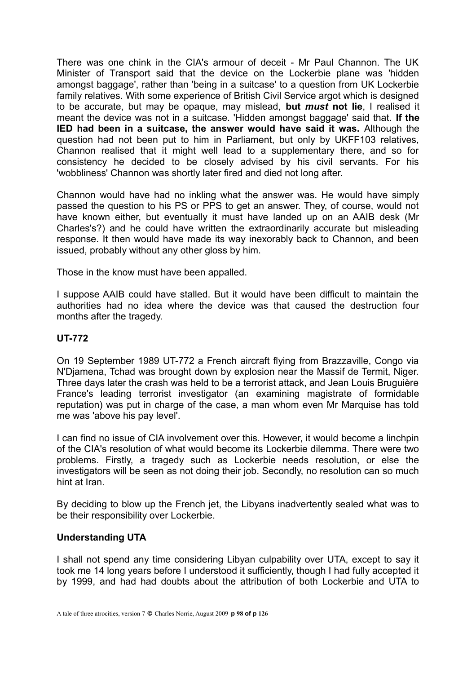There was one chink in the CIA's armour of deceit - Mr Paul Channon. The UK Minister of Transport said that the device on the Lockerbie plane was 'hidden amongst baggage', rather than 'being in a suitcase' to a question from UK Lockerbie family relatives. With some experience of British Civil Service argot which is designed to be accurate, but may be opaque, may mislead, **but** *must* **not lie**, I realised it meant the device was not in a suitcase. 'Hidden amongst baggage' said that. **If the IED had been in a suitcase, the answer would have said it was.** Although the question had not been put to him in Parliament, but only by UKFF103 relatives, Channon realised that it might well lead to a supplementary there, and so for consistency he decided to be closely advised by his civil servants. For his 'wobbliness' Channon was shortly later fired and died not long after.

Channon would have had no inkling what the answer was. He would have simply passed the question to his PS or PPS to get an answer. They, of course, would not have known either, but eventually it must have landed up on an AAIB desk (Mr Charles's?) and he could have written the extraordinarily accurate but misleading response. It then would have made its way inexorably back to Channon, and been issued, probably without any other gloss by him.

Those in the know must have been appalled.

I suppose AAIB could have stalled. But it would have been difficult to maintain the authorities had no idea where the device was that caused the destruction four months after the tragedy.

# **UT-772**

On 19 September 1989 UT-772 a French aircraft flying from Brazzaville, Congo via N'Djamena, Tchad was brought down by explosion near the Massif de Termit, Niger. Three days later the crash was held to be a terrorist attack, and Jean Louis Bruguière France's leading terrorist investigator (an examining magistrate of formidable reputation) was put in charge of the case, a man whom even Mr Marquise has told me was 'above his pay level'.

I can find no issue of CIA involvement over this. However, it would become a linchpin of the CIA's resolution of what would become its Lockerbie dilemma. There were two problems. Firstly, a tragedy such as Lockerbie needs resolution, or else the investigators will be seen as not doing their job. Secondly, no resolution can so much hint at Iran.

By deciding to blow up the French jet, the Libyans inadvertently sealed what was to be their responsibility over Lockerbie.

# **Understanding UTA**

I shall not spend any time considering Libyan culpability over UTA, except to say it took me 14 long years before I understood it sufficiently, though I had fully accepted it by 1999, and had had doubts about the attribution of both Lockerbie and UTA to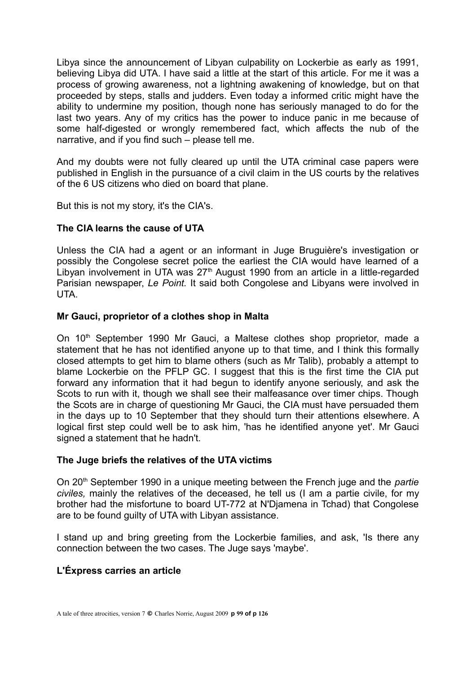Libya since the announcement of Libyan culpability on Lockerbie as early as 1991, believing Libya did UTA. I have said a little at the start of this article. For me it was a process of growing awareness, not a lightning awakening of knowledge, but on that proceeded by steps, stalls and judders. Even today a informed critic might have the ability to undermine my position, though none has seriously managed to do for the last two years. Any of my critics has the power to induce panic in me because of some half-digested or wrongly remembered fact, which affects the nub of the narrative, and if you find such – please tell me.

And my doubts were not fully cleared up until the UTA criminal case papers were published in English in the pursuance of a civil claim in the US courts by the relatives of the 6 US citizens who died on board that plane.

But this is not my story, it's the CIA's.

# **The CIA learns the cause of UTA**

Unless the CIA had a agent or an informant in Juge Bruguière's investigation or possibly the Congolese secret police the earliest the CIA would have learned of a Libyan involvement in UTA was  $27<sup>th</sup>$  August 1990 from an article in a little-regarded Parisian newspaper, *Le Point.* It said both Congolese and Libyans were involved in UTA.

## **Mr Gauci, proprietor of a clothes shop in Malta**

On 10<sup>th</sup> September 1990 Mr Gauci, a Maltese clothes shop proprietor, made a statement that he has not identified anyone up to that time, and I think this formally closed attempts to get him to blame others (such as Mr Talib), probably a attempt to blame Lockerbie on the PFLP GC. I suggest that this is the first time the CIA put forward any information that it had begun to identify anyone seriously, and ask the Scots to run with it, though we shall see their malfeasance over timer chips. Though the Scots are in charge of questioning Mr Gauci, the CIA must have persuaded them in the days up to 10 September that they should turn their attentions elsewhere. A logical first step could well be to ask him, 'has he identified anyone yet'. Mr Gauci signed a statement that he hadn't.

# **The Juge briefs the relatives of the UTA victims**

On 20<sup>th</sup> September 1990 in a unique meeting between the French juge and the *partie civiles,* mainly the relatives of the deceased, he tell us (I am a partie civile, for my brother had the misfortune to board UT-772 at N'Djamena in Tchad) that Congolese are to be found guilty of UTA with Libyan assistance.

I stand up and bring greeting from the Lockerbie families, and ask, 'Is there any connection between the two cases. The Juge says 'maybe'.

# **L'Éxpress carries an article**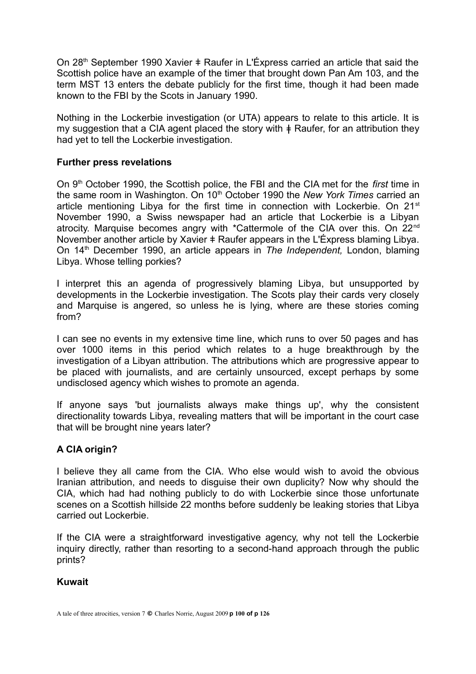On 28<sup>th</sup> September 1990 Xavier  $\pm$  Raufer in L'Éxpress carried an article that said the Scottish police have an example of the timer that brought down Pan Am 103, and the term MST 13 enters the debate publicly for the first time, though it had been made known to the FBI by the Scots in January 1990.

Nothing in the Lockerbie investigation (or UTA) appears to relate to this article. It is my suggestion that a CIA agent placed the story with  $\ddagger$  Raufer, for an attribution they had yet to tell the Lockerbie investigation.

# **Further press revelations**

On 9th October 1990, the Scottish police, the FBI and the CIA met for the *first* time in the same room in Washington. On 10<sup>th</sup> October 1990 the *New York Times* carried an article mentioning Libya for the first time in connection with Lockerbie. On 21<sup>st</sup> November 1990, a Swiss newspaper had an article that Lockerbie is a Libyan atrocity. Marquise becomes angry with \*Cattermole of the CIA over this. On 22nd November another article by Xavier  $\pm$  Raufer appears in the L'Éxpress blaming Libya. On 14th December 1990, an article appears in *The Independent,* London, blaming Libya. Whose telling porkies?

I interpret this an agenda of progressively blaming Libya, but unsupported by developments in the Lockerbie investigation. The Scots play their cards very closely and Marquise is angered, so unless he is lying, where are these stories coming from?

I can see no events in my extensive time line, which runs to over 50 pages and has over 1000 items in this period which relates to a huge breakthrough by the investigation of a Libyan attribution. The attributions which are progressive appear to be placed with journalists, and are certainly unsourced, except perhaps by some undisclosed agency which wishes to promote an agenda.

If anyone says 'but journalists always make things up', why the consistent directionality towards Libya, revealing matters that will be important in the court case that will be brought nine years later?

# **A CIA origin?**

I believe they all came from the CIA. Who else would wish to avoid the obvious Iranian attribution, and needs to disguise their own duplicity? Now why should the CIA, which had had nothing publicly to do with Lockerbie since those unfortunate scenes on a Scottish hillside 22 months before suddenly be leaking stories that Libya carried out Lockerbie.

If the CIA were a straightforward investigative agency, why not tell the Lockerbie inquiry directly, rather than resorting to a second-hand approach through the public prints?

# **Kuwait**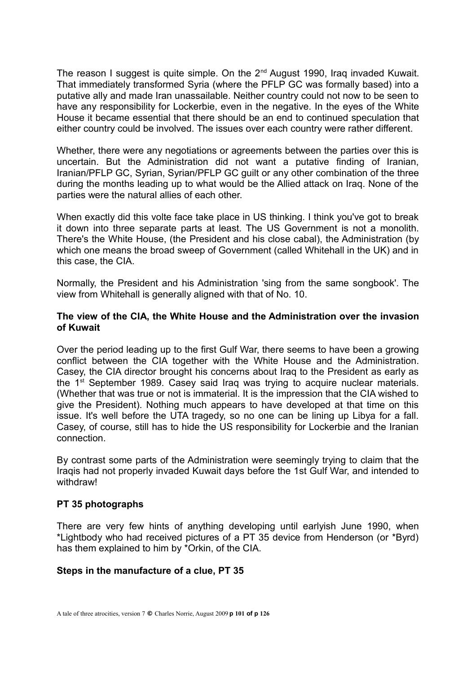The reason I suggest is quite simple. On the 2<sup>nd</sup> August 1990, Iraq invaded Kuwait. That immediately transformed Syria (where the PFLP GC was formally based) into a putative ally and made Iran unassailable. Neither country could not now to be seen to have any responsibility for Lockerbie, even in the negative. In the eyes of the White House it became essential that there should be an end to continued speculation that either country could be involved. The issues over each country were rather different.

Whether, there were any negotiations or agreements between the parties over this is uncertain. But the Administration did not want a putative finding of Iranian, Iranian/PFLP GC, Syrian, Syrian/PFLP GC guilt or any other combination of the three during the months leading up to what would be the Allied attack on Iraq. None of the parties were the natural allies of each other.

When exactly did this volte face take place in US thinking. I think you've got to break it down into three separate parts at least. The US Government is not a monolith. There's the White House, (the President and his close cabal), the Administration (by which one means the broad sweep of Government (called Whitehall in the UK) and in this case, the CIA.

Normally, the President and his Administration 'sing from the same songbook'. The view from Whitehall is generally aligned with that of No. 10.

## **The view of the CIA, the White House and the Administration over the invasion of Kuwait**

Over the period leading up to the first Gulf War, there seems to have been a growing conflict between the CIA together with the White House and the Administration. Casey, the CIA director brought his concerns about Iraq to the President as early as the 1<sup>st</sup> September 1989. Casey said Iraq was trying to acquire nuclear materials. (Whether that was true or not is immaterial. It is the impression that the CIA wished to give the President). Nothing much appears to have developed at that time on this issue. It's well before the UTA tragedy, so no one can be lining up Libya for a fall. Casey, of course, still has to hide the US responsibility for Lockerbie and the Iranian connection.

By contrast some parts of the Administration were seemingly trying to claim that the Iraqis had not properly invaded Kuwait days before the 1st Gulf War, and intended to withdraw!

# **PT 35 photographs**

There are very few hints of anything developing until earlyish June 1990, when \*Lightbody who had received pictures of a PT 35 device from Henderson (or \*Byrd) has them explained to him by \*Orkin, of the CIA.

# **Steps in the manufacture of a clue, PT 35**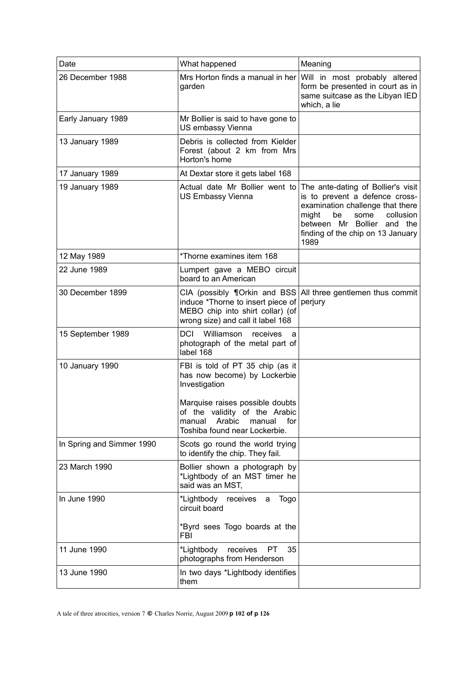| Date                      | What happened                                                                                                                                                                                                               | Meaning                                                                                                                                                                                                                                                |
|---------------------------|-----------------------------------------------------------------------------------------------------------------------------------------------------------------------------------------------------------------------------|--------------------------------------------------------------------------------------------------------------------------------------------------------------------------------------------------------------------------------------------------------|
| 26 December 1988          | garden                                                                                                                                                                                                                      | Mrs Horton finds a manual in her Will in most probably altered<br>form be presented in court as in<br>same suitcase as the Libyan IED<br>which, a lie                                                                                                  |
| Early January 1989        | Mr Bollier is said to have gone to<br>US embassy Vienna                                                                                                                                                                     |                                                                                                                                                                                                                                                        |
| 13 January 1989           | Debris is collected from Kielder<br>Forest (about 2 km from Mrs<br>Horton's home                                                                                                                                            |                                                                                                                                                                                                                                                        |
| 17 January 1989           | At Dextar store it gets label 168                                                                                                                                                                                           |                                                                                                                                                                                                                                                        |
| 19 January 1989           | <b>US Embassy Vienna</b>                                                                                                                                                                                                    | Actual date Mr Bollier went to The ante-dating of Bollier's visit<br>is to prevent a defence cross-<br>examination challenge that there<br>might<br>be<br>some<br>collusion<br>between Mr Bollier and the<br>finding of the chip on 13 January<br>1989 |
| 12 May 1989               | *Thorne examines item 168                                                                                                                                                                                                   |                                                                                                                                                                                                                                                        |
| 22 June 1989              | Lumpert gave a MEBO circuit<br>board to an American                                                                                                                                                                         |                                                                                                                                                                                                                                                        |
| 30 December 1899          | induce *Thorne to insert piece of perjury<br>MEBO chip into shirt collar) (of<br>wrong size) and call it label 168                                                                                                          | CIA (possibly $\P$ Orkin and BSS All three gentlemen thus commit                                                                                                                                                                                       |
| 15 September 1989         | <b>DCI</b><br>Williamson<br>receives<br>a<br>photograph of the metal part of<br>label 168                                                                                                                                   |                                                                                                                                                                                                                                                        |
| 10 January 1990           | FBI is told of PT 35 chip (as it<br>has now become) by Lockerbie<br>Investigation<br>Marquise raises possible doubts<br>of the validity of the Arabic<br>Arabic<br>for<br>manual<br>manual<br>Toshiba found near Lockerbie. |                                                                                                                                                                                                                                                        |
| In Spring and Simmer 1990 | Scots go round the world trying<br>to identify the chip. They fail.                                                                                                                                                         |                                                                                                                                                                                                                                                        |
| 23 March 1990             | Bollier shown a photograph by<br>*Lightbody of an MST timer he<br>said was an MST,                                                                                                                                          |                                                                                                                                                                                                                                                        |
| In June 1990              | *Lightbody receives<br>Togo<br>a<br>circuit board<br>*Byrd sees Togo boards at the<br>FBI                                                                                                                                   |                                                                                                                                                                                                                                                        |
| 11 June 1990              | *Lightbody receives<br>35<br>PT<br>photographs from Henderson                                                                                                                                                               |                                                                                                                                                                                                                                                        |
| 13 June 1990              | In two days *Lightbody identifies<br>them                                                                                                                                                                                   |                                                                                                                                                                                                                                                        |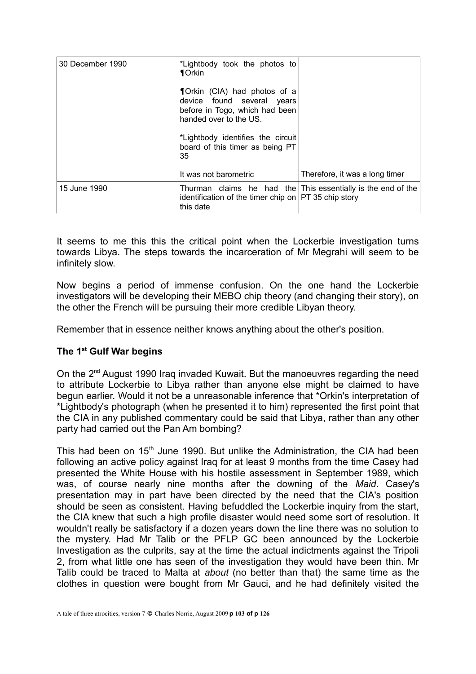| 30 December 1990 | *Lightbody took the photos to<br><b>¶Orkin</b>                                                                         |                                                                  |
|------------------|------------------------------------------------------------------------------------------------------------------------|------------------------------------------------------------------|
|                  | ¶Orkin (CIA) had photos of a<br>device found several years<br>before in Togo, which had been<br>handed over to the US. |                                                                  |
|                  | *Lightbody identifies the circuit<br>board of this timer as being PT<br>35                                             |                                                                  |
|                  | It was not barometric                                                                                                  | Therefore, it was a long timer                                   |
| 15 June 1990     | identification of the timer chip on $PT$ 35 chip story<br>this date                                                    | Thurman claims he had the $ $ This essentially is the end of the |

It seems to me this this the critical point when the Lockerbie investigation turns towards Libya. The steps towards the incarceration of Mr Megrahi will seem to be infinitely slow.

Now begins a period of immense confusion. On the one hand the Lockerbie investigators will be developing their MEBO chip theory (and changing their story), on the other the French will be pursuing their more credible Libyan theory.

Remember that in essence neither knows anything about the other's position.

# **The 1st Gulf War begins**

On the 2nd August 1990 Iraq invaded Kuwait. But the manoeuvres regarding the need to attribute Lockerbie to Libya rather than anyone else might be claimed to have begun earlier. Would it not be a unreasonable inference that \*Orkin's interpretation of \*Lightbody's photograph (when he presented it to him) represented the first point that the CIA in any published commentary could be said that Libya, rather than any other party had carried out the Pan Am bombing?

This had been on  $15<sup>th</sup>$  June 1990. But unlike the Administration, the CIA had been following an active policy against Iraq for at least 9 months from the time Casey had presented the White House with his hostile assessment in September 1989, which was, of course nearly nine months after the downing of the *Maid*. Casey's presentation may in part have been directed by the need that the CIA's position should be seen as consistent. Having befuddled the Lockerbie inquiry from the start, the CIA knew that such a high profile disaster would need some sort of resolution. It wouldn't really be satisfactory if a dozen years down the line there was no solution to the mystery. Had Mr Talib or the PFLP GC been announced by the Lockerbie Investigation as the culprits, say at the time the actual indictments against the Tripoli 2, from what little one has seen of the investigation they would have been thin. Mr Talib could be traced to Malta at *about* (no better than that) the same time as the clothes in question were bought from Mr Gauci, and he had definitely visited the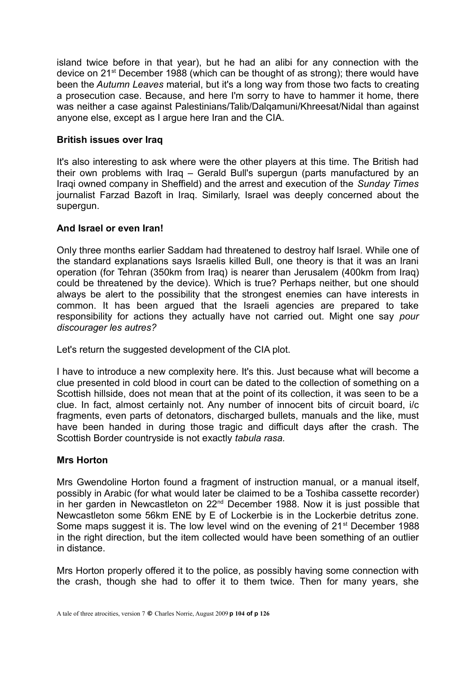island twice before in that year), but he had an alibi for any connection with the device on 21st December 1988 (which can be thought of as strong); there would have been the *Autumn Leaves* material, but it's a long way from those two facts to creating a prosecution case. Because, and here I'm sorry to have to hammer it home, there was neither a case against Palestinians/Talib/Dalqamuni/Khreesat/Nidal than against anyone else, except as I argue here Iran and the CIA.

# **British issues over Iraq**

It's also interesting to ask where were the other players at this time. The British had their own problems with Iraq – Gerald Bull's supergun (parts manufactured by an Iraqi owned company in Sheffield) and the arrest and execution of the *Sunday Times* journalist Farzad Bazoft in Iraq. Similarly, Israel was deeply concerned about the supergun.

# **And Israel or even Iran!**

Only three months earlier Saddam had threatened to destroy half Israel. While one of the standard explanations says Israelis killed Bull, one theory is that it was an Irani operation (for Tehran (350km from Iraq) is nearer than Jerusalem (400km from Iraq) could be threatened by the device). Which is true? Perhaps neither, but one should always be alert to the possibility that the strongest enemies can have interests in common. It has been argued that the Israeli agencies are prepared to take responsibility for actions they actually have not carried out. Might one say *pour discourager les autres?*

Let's return the suggested development of the CIA plot.

I have to introduce a new complexity here. It's this. Just because what will become a clue presented in cold blood in court can be dated to the collection of something on a Scottish hillside, does not mean that at the point of its collection, it was seen to be a clue. In fact, almost certainly not. Any number of innocent bits of circuit board, i/c fragments, even parts of detonators, discharged bullets, manuals and the like, must have been handed in during those tragic and difficult days after the crash. The Scottish Border countryside is not exactly *tabula rasa.*

# **Mrs Horton**

Mrs Gwendoline Horton found a fragment of instruction manual, or a manual itself, possibly in Arabic (for what would later be claimed to be a Toshiba cassette recorder) in her garden in Newcastleton on 22nd December 1988. Now it is just possible that Newcastleton some 56km ENE by E of Lockerbie is in the Lockerbie detritus zone. Some maps suggest it is. The low level wind on the evening of 21<sup>st</sup> December 1988 in the right direction, but the item collected would have been something of an outlier in distance.

Mrs Horton properly offered it to the police, as possibly having some connection with the crash, though she had to offer it to them twice. Then for many years, she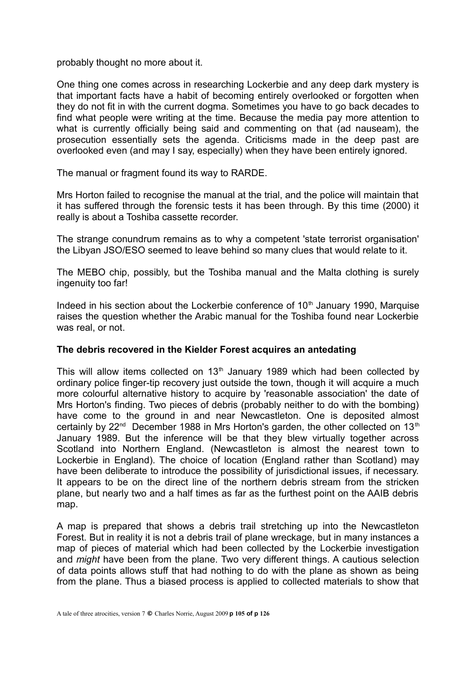probably thought no more about it.

One thing one comes across in researching Lockerbie and any deep dark mystery is that important facts have a habit of becoming entirely overlooked or forgotten when they do not fit in with the current dogma. Sometimes you have to go back decades to find what people were writing at the time. Because the media pay more attention to what is currently officially being said and commenting on that (ad nauseam), the prosecution essentially sets the agenda. Criticisms made in the deep past are overlooked even (and may I say, especially) when they have been entirely ignored.

The manual or fragment found its way to RARDE.

Mrs Horton failed to recognise the manual at the trial, and the police will maintain that it has suffered through the forensic tests it has been through. By this time (2000) it really is about a Toshiba cassette recorder.

The strange conundrum remains as to why a competent 'state terrorist organisation' the Libyan JSO/ESO seemed to leave behind so many clues that would relate to it.

The MEBO chip, possibly, but the Toshiba manual and the Malta clothing is surely ingenuity too far!

Indeed in his section about the Lockerbie conference of  $10<sup>th</sup>$  January 1990, Marquise raises the question whether the Arabic manual for the Toshiba found near Lockerbie was real, or not.

#### **The debris recovered in the Kielder Forest acquires an antedating**

This will allow items collected on  $13<sup>th</sup>$  January 1989 which had been collected by ordinary police finger-tip recovery just outside the town, though it will acquire a much more colourful alternative history to acquire by 'reasonable association' the date of Mrs Horton's finding. Two pieces of debris (probably neither to do with the bombing) have come to the ground in and near Newcastleton. One is deposited almost certainly by  $22^{nd}$  December 1988 in Mrs Horton's garden, the other collected on 13<sup>th</sup> January 1989. But the inference will be that they blew virtually together across Scotland into Northern England. (Newcastleton is almost the nearest town to Lockerbie in England). The choice of location (England rather than Scotland) may have been deliberate to introduce the possibility of jurisdictional issues, if necessary. It appears to be on the direct line of the northern debris stream from the stricken plane, but nearly two and a half times as far as the furthest point on the AAIB debris map.

A map is prepared that shows a debris trail stretching up into the Newcastleton Forest. But in reality it is not a debris trail of plane wreckage, but in many instances a map of pieces of material which had been collected by the Lockerbie investigation and *might* have been from the plane. Two very different things. A cautious selection of data points allows stuff that had nothing to do with the plane as shown as being from the plane. Thus a biased process is applied to collected materials to show that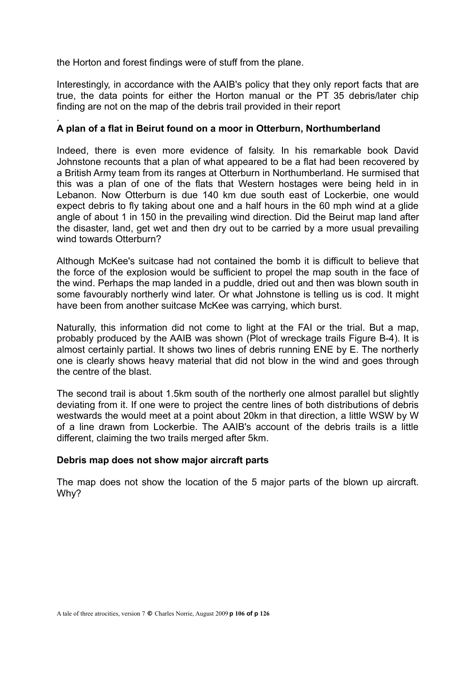the Horton and forest findings were of stuff from the plane.

.

Interestingly, in accordance with the AAIB's policy that they only report facts that are true, the data points for either the Horton manual or the PT 35 debris/later chip finding are not on the map of the debris trail provided in their report

# **A plan of a flat in Beirut found on a moor in Otterburn, Northumberland**

Indeed, there is even more evidence of falsity. In his remarkable book David Johnstone recounts that a plan of what appeared to be a flat had been recovered by a British Army team from its ranges at Otterburn in Northumberland. He surmised that this was a plan of one of the flats that Western hostages were being held in in Lebanon. Now Otterburn is due 140 km due south east of Lockerbie, one would expect debris to fly taking about one and a half hours in the 60 mph wind at a glide angle of about 1 in 150 in the prevailing wind direction. Did the Beirut map land after the disaster, land, get wet and then dry out to be carried by a more usual prevailing wind towards Otterburn?

Although McKee's suitcase had not contained the bomb it is difficult to believe that the force of the explosion would be sufficient to propel the map south in the face of the wind. Perhaps the map landed in a puddle, dried out and then was blown south in some favourably northerly wind later. Or what Johnstone is telling us is cod. It might have been from another suitcase McKee was carrying, which burst.

Naturally, this information did not come to light at the FAI or the trial. But a map, probably produced by the AAIB was shown (Plot of wreckage trails Figure B-4). It is almost certainly partial. It shows two lines of debris running ENE by E. The northerly one is clearly shows heavy material that did not blow in the wind and goes through the centre of the blast.

The second trail is about 1.5km south of the northerly one almost parallel but slightly deviating from it. If one were to project the centre lines of both distributions of debris westwards the would meet at a point about 20km in that direction, a little WSW by W of a line drawn from Lockerbie. The AAIB's account of the debris trails is a little different, claiming the two trails merged after 5km.

# **Debris map does not show major aircraft parts**

The map does not show the location of the 5 major parts of the blown up aircraft. Why?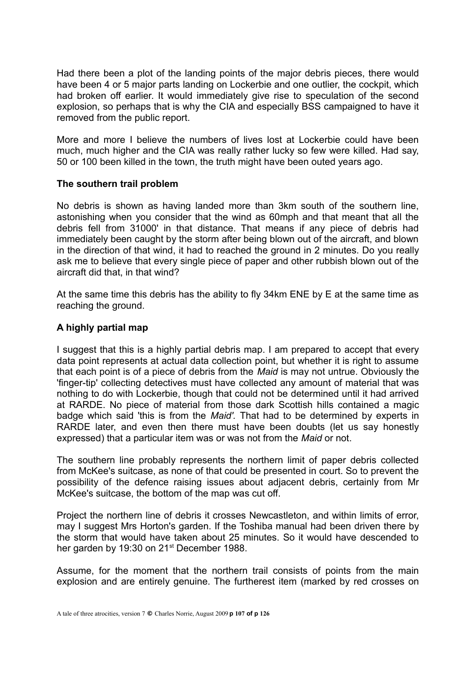Had there been a plot of the landing points of the major debris pieces, there would have been 4 or 5 major parts landing on Lockerbie and one outlier, the cockpit, which had broken off earlier. It would immediately give rise to speculation of the second explosion, so perhaps that is why the CIA and especially BSS campaigned to have it removed from the public report.

More and more I believe the numbers of lives lost at Lockerbie could have been much, much higher and the CIA was really rather lucky so few were killed. Had say, 50 or 100 been killed in the town, the truth might have been outed years ago.

## **The southern trail problem**

No debris is shown as having landed more than 3km south of the southern line, astonishing when you consider that the wind as 60mph and that meant that all the debris fell from 31000' in that distance. That means if any piece of debris had immediately been caught by the storm after being blown out of the aircraft, and blown in the direction of that wind, it had to reached the ground in 2 minutes. Do you really ask me to believe that every single piece of paper and other rubbish blown out of the aircraft did that, in that wind?

At the same time this debris has the ability to fly 34km ENE by E at the same time as reaching the ground.

# **A highly partial map**

I suggest that this is a highly partial debris map. I am prepared to accept that every data point represents at actual data collection point, but whether it is right to assume that each point is of a piece of debris from the *Maid* is may not untrue. Obviously the 'finger-tip' collecting detectives must have collected any amount of material that was nothing to do with Lockerbie, though that could not be determined until it had arrived at RARDE. No piece of material from those dark Scottish hills contained a magic badge which said 'this is from the *Maid'.* That had to be determined by experts in RARDE later, and even then there must have been doubts (let us say honestly expressed) that a particular item was or was not from the *Maid* or not.

The southern line probably represents the northern limit of paper debris collected from McKee's suitcase, as none of that could be presented in court. So to prevent the possibility of the defence raising issues about adjacent debris, certainly from Mr McKee's suitcase, the bottom of the map was cut off.

Project the northern line of debris it crosses Newcastleton, and within limits of error, may I suggest Mrs Horton's garden. If the Toshiba manual had been driven there by the storm that would have taken about 25 minutes. So it would have descended to her garden by 19:30 on 21<sup>st</sup> December 1988.

Assume, for the moment that the northern trail consists of points from the main explosion and are entirely genuine. The furtherest item (marked by red crosses on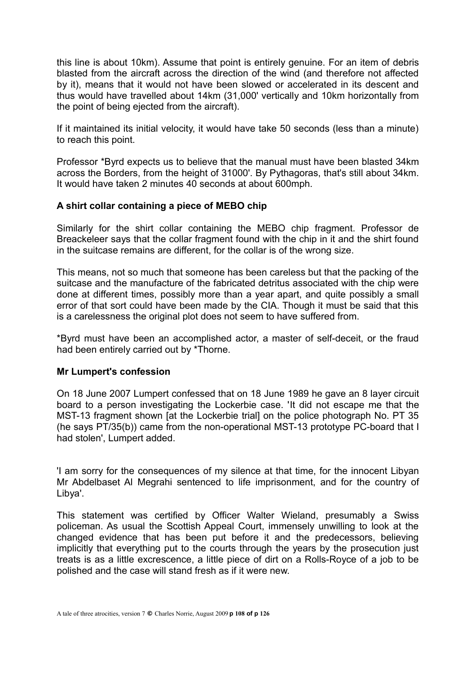this line is about 10km). Assume that point is entirely genuine. For an item of debris blasted from the aircraft across the direction of the wind (and therefore not affected by it), means that it would not have been slowed or accelerated in its descent and thus would have travelled about 14km (31,000' vertically and 10km horizontally from the point of being ejected from the aircraft).

If it maintained its initial velocity, it would have take 50 seconds (less than a minute) to reach this point.

Professor \*Byrd expects us to believe that the manual must have been blasted 34km across the Borders, from the height of 31000'. By Pythagoras, that's still about 34km. It would have taken 2 minutes 40 seconds at about 600mph.

# **A shirt collar containing a piece of MEBO chip**

Similarly for the shirt collar containing the MEBO chip fragment. Professor de Breackeleer says that the collar fragment found with the chip in it and the shirt found in the suitcase remains are different, for the collar is of the wrong size.

This means, not so much that someone has been careless but that the packing of the suitcase and the manufacture of the fabricated detritus associated with the chip were done at different times, possibly more than a year apart, and quite possibly a small error of that sort could have been made by the CIA. Though it must be said that this is a carelessness the original plot does not seem to have suffered from.

\*Byrd must have been an accomplished actor, a master of self-deceit, or the fraud had been entirely carried out by \*Thorne.

# **Mr Lumpert's confession**

On 18 June 2007 Lumpert confessed that on 18 June 1989 he gave an 8 layer circuit board to a person investigating the Lockerbie case. 'It did not escape me that the MST-13 fragment shown [at the Lockerbie trial] on the police photograph No. PT 35 (he says PT/35(b)) came from the non-operational MST-13 prototype PC-board that I had stolen', Lumpert added.

'I am sorry for the consequences of my silence at that time, for the innocent Libyan Mr Abdelbaset Al Megrahi sentenced to life imprisonment, and for the country of Libya'.

This statement was certified by Officer Walter Wieland, presumably a Swiss policeman. As usual the Scottish Appeal Court, immensely unwilling to look at the changed evidence that has been put before it and the predecessors, believing implicitly that everything put to the courts through the years by the prosecution just treats is as a little excrescence, a little piece of dirt on a Rolls-Royce of a job to be polished and the case will stand fresh as if it were new.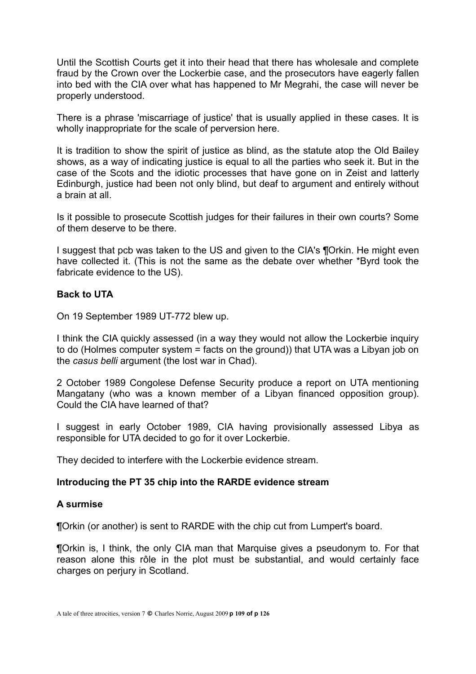Until the Scottish Courts get it into their head that there has wholesale and complete fraud by the Crown over the Lockerbie case, and the prosecutors have eagerly fallen into bed with the CIA over what has happened to Mr Megrahi, the case will never be properly understood.

There is a phrase 'miscarriage of justice' that is usually applied in these cases. It is wholly inappropriate for the scale of perversion here.

It is tradition to show the spirit of justice as blind, as the statute atop the Old Bailey shows, as a way of indicating justice is equal to all the parties who seek it. But in the case of the Scots and the idiotic processes that have gone on in Zeist and latterly Edinburgh, justice had been not only blind, but deaf to argument and entirely without a brain at all.

Is it possible to prosecute Scottish judges for their failures in their own courts? Some of them deserve to be there.

I suggest that pcb was taken to the US and given to the CIA's ¶Orkin. He might even have collected it. (This is not the same as the debate over whether \*Byrd took the fabricate evidence to the US).

#### **Back to UTA**

On 19 September 1989 UT-772 blew up.

I think the CIA quickly assessed (in a way they would not allow the Lockerbie inquiry to do (Holmes computer system = facts on the ground)) that UTA was a Libyan job on the *casus belli* argument (the lost war in Chad).

2 October 1989 Congolese Defense Security produce a report on UTA mentioning Mangatany (who was a known member of a Libyan financed opposition group). Could the CIA have learned of that?

I suggest in early October 1989, CIA having provisionally assessed Libya as responsible for UTA decided to go for it over Lockerbie.

They decided to interfere with the Lockerbie evidence stream.

#### **Introducing the PT 35 chip into the RARDE evidence stream**

#### **A surmise**

¶Orkin (or another) is sent to RARDE with the chip cut from Lumpert's board.

¶Orkin is, I think, the only CIA man that Marquise gives a pseudonym to. For that reason alone this rôle in the plot must be substantial, and would certainly face charges on perjury in Scotland.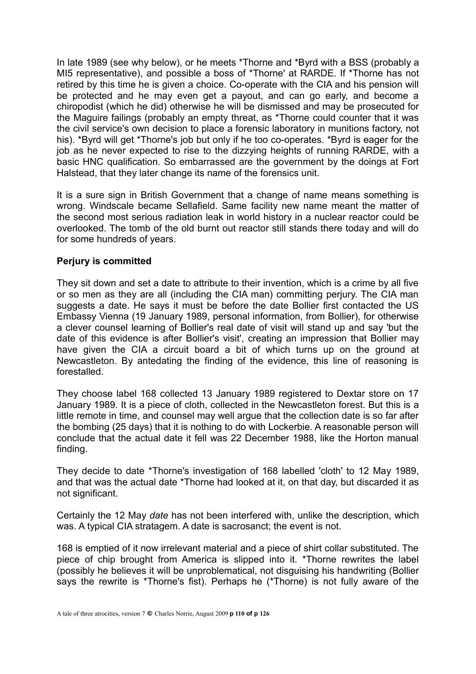In late 1989 (see why below), or he meets \*Thorne and \*Byrd with a BSS (probably a MI5 representative), and possible a boss of \*Thorne' at RARDE. If \*Thorne has not retired by this time he is given a choice. Co-operate with the CIA and his pension will be protected and he may even get a payout, and can go early, and become a chiropodist (which he did) otherwise he will be dismissed and may be prosecuted for the Maguire failings (probably an empty threat, as \*Thorne could counter that it was the civil service's own decision to place a forensic laboratory in munitions factory, not his). \*Byrd will get \*Thorne's job but only if he too co-operates. \*Byrd is eager for the job as he never expected to rise to the dizzying heights of running RARDE, with a basic HNC qualification. So embarrassed are the government by the doings at Fort Halstead, that they later change its name of the forensics unit.

It is a sure sign in British Government that a change of name means something is wrong. Windscale became Sellafield. Same facility new name meant the matter of the second most serious radiation leak in world history in a nuclear reactor could be overlooked. The tomb of the old burnt out reactor still stands there today and will do for some hundreds of years.

# **Perjury is committed**

They sit down and set a date to attribute to their invention, which is a crime by all five or so men as they are all (including the CIA man) committing perjury. The CIA man suggests a date. He says it must be before the date Bollier first contacted the US Embassy Vienna (19 January 1989, personal information, from Bollier), for otherwise a clever counsel learning of Bollier's real date of visit will stand up and say 'but the date of this evidence is after Bollier's visit', creating an impression that Bollier may have given the CIA a circuit board a bit of which turns up on the ground at Newcastleton. By antedating the finding of the evidence, this line of reasoning is forestalled.

They choose label 168 collected 13 January 1989 registered to Dextar store on 17 January 1989. It is a piece of cloth, collected in the Newcastleton forest. But this is a little remote in time, and counsel may well argue that the collection date is so far after the bombing (25 days) that it is nothing to do with Lockerbie. A reasonable person will conclude that the actual date it fell was 22 December 1988, like the Horton manual finding.

They decide to date \*Thorne's investigation of 168 labelled 'cloth' to 12 May 1989, and that was the actual date \*Thorne had looked at it, on that day, but discarded it as not significant.

Certainly the 12 May *date* has not been interfered with, unlike the description, which was. A typical CIA stratagem. A date is sacrosanct; the event is not.

168 is emptied of it now irrelevant material and a piece of shirt collar substituted. The piece of chip brought from America is slipped into it. \*Thorne rewrites the label (possibly he believes it will be unproblematical, not disguising his handwriting (Bollier says the rewrite is \*Thorne's fist). Perhaps he (\*Thorne) is not fully aware of the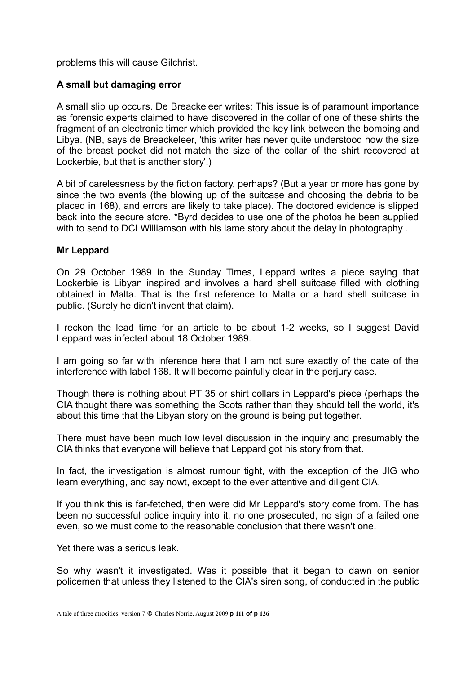problems this will cause Gilchrist.

# **A small but damaging error**

A small slip up occurs. De Breackeleer writes: This issue is of paramount importance as forensic experts claimed to have discovered in the collar of one of these shirts the fragment of an electronic timer which provided the key link between the bombing and Libya. (NB, says de Breackeleer, 'this writer has never quite understood how the size of the breast pocket did not match the size of the collar of the shirt recovered at Lockerbie, but that is another story'.)

A bit of carelessness by the fiction factory, perhaps? (But a year or more has gone by since the two events (the blowing up of the suitcase and choosing the debris to be placed in 168), and errors are likely to take place). The doctored evidence is slipped back into the secure store. \*Byrd decides to use one of the photos he been supplied with to send to DCI Williamson with his lame story about the delay in photography.

# **Mr Leppard**

On 29 October 1989 in the Sunday Times, Leppard writes a piece saying that Lockerbie is Libyan inspired and involves a hard shell suitcase filled with clothing obtained in Malta. That is the first reference to Malta or a hard shell suitcase in public. (Surely he didn't invent that claim).

I reckon the lead time for an article to be about 1-2 weeks, so I suggest David Leppard was infected about 18 October 1989.

I am going so far with inference here that I am not sure exactly of the date of the interference with label 168. It will become painfully clear in the perjury case.

Though there is nothing about PT 35 or shirt collars in Leppard's piece (perhaps the CIA thought there was something the Scots rather than they should tell the world, it's about this time that the Libyan story on the ground is being put together.

There must have been much low level discussion in the inquiry and presumably the CIA thinks that everyone will believe that Leppard got his story from that.

In fact, the investigation is almost rumour tight, with the exception of the JIG who learn everything, and say nowt, except to the ever attentive and diligent CIA.

If you think this is far-fetched, then were did Mr Leppard's story come from. The has been no successful police inquiry into it, no one prosecuted, no sign of a failed one even, so we must come to the reasonable conclusion that there wasn't one.

Yet there was a serious leak.

So why wasn't it investigated. Was it possible that it began to dawn on senior policemen that unless they listened to the CIA's siren song, of conducted in the public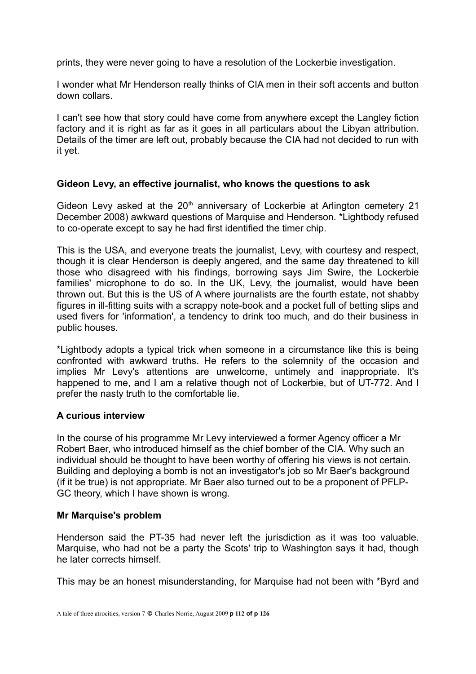prints, they were never going to have a resolution of the Lockerbie investigation.

I wonder what Mr Henderson really thinks of CIA men in their soft accents and button down collars.

I can't see how that story could have come from anywhere except the Langley fiction factory and it is right as far as it goes in all particulars about the Libyan attribution. Details of the timer are left out, probably because the CIA had not decided to run with it yet.

# **Gideon Levy, an effective journalist, who knows the questions to ask**

Gideon Levy asked at the  $20<sup>th</sup>$  anniversary of Lockerbie at Arlington cemetery 21 December 2008) awkward questions of Marquise and Henderson. \*Lightbody refused to co-operate except to say he had first identified the timer chip.

This is the USA, and everyone treats the journalist, Levy, with courtesy and respect, though it is clear Henderson is deeply angered, and the same day threatened to kill those who disagreed with his findings, borrowing says Jim Swire, the Lockerbie families' microphone to do so. In the UK, Levy, the journalist, would have been thrown out. But this is the US of A where journalists are the fourth estate, not shabby figures in ill-fitting suits with a scrappy note-book and a pocket full of betting slips and used fivers for 'information', a tendency to drink too much, and do their business in public houses.

\*Lightbody adopts a typical trick when someone in a circumstance like this is being confronted with awkward truths. He refers to the solemnity of the occasion and implies Mr Levy's attentions are unwelcome, untimely and inappropriate. It's happened to me, and I am a relative though not of Lockerbie, but of UT-772. And I prefer the nasty truth to the comfortable lie.

# **A curious interview**

In the course of his programme Mr Levy interviewed a former Agency officer a Mr Robert Baer, who introduced himself as the chief bomber of the CIA. Why such an individual should be thought to have been worthy of offering his views is not certain. Building and deploying a bomb is not an investigator's job so Mr Baer's background (if it be true) is not appropriate. Mr Baer also turned out to be a proponent of PFLP-GC theory, which I have shown is wrong.

#### **Mr Marquise's problem**

Henderson said the PT-35 had never left the jurisdiction as it was too valuable. Marquise, who had not be a party the Scots' trip to Washington says it had, though he later corrects himself.

This may be an honest misunderstanding, for Marquise had not been with \*Byrd and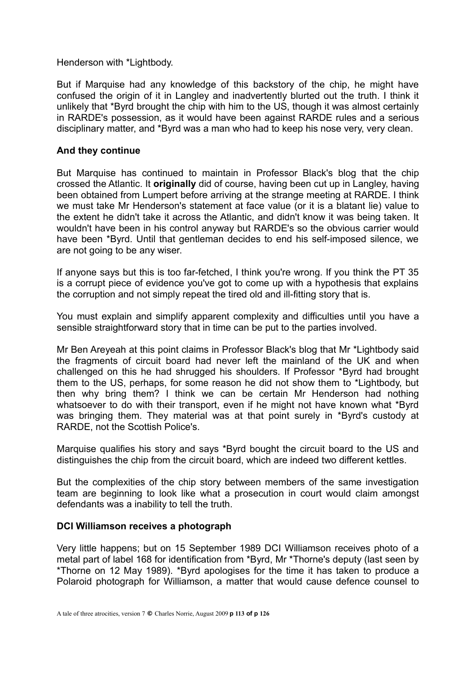Henderson with \*Lightbody.

But if Marquise had any knowledge of this backstory of the chip, he might have confused the origin of it in Langley and inadvertently blurted out the truth. I think it unlikely that \*Byrd brought the chip with him to the US, though it was almost certainly in RARDE's possession, as it would have been against RARDE rules and a serious disciplinary matter, and \*Byrd was a man who had to keep his nose very, very clean.

# **And they continue**

But Marquise has continued to maintain in Professor Black's blog that the chip crossed the Atlantic. It **originally** did of course, having been cut up in Langley, having been obtained from Lumpert before arriving at the strange meeting at RARDE. I think we must take Mr Henderson's statement at face value (or it is a blatant lie) value to the extent he didn't take it across the Atlantic, and didn't know it was being taken. It wouldn't have been in his control anyway but RARDE's so the obvious carrier would have been \*Byrd. Until that gentleman decides to end his self-imposed silence, we are not going to be any wiser.

If anyone says but this is too far-fetched, I think you're wrong. If you think the PT 35 is a corrupt piece of evidence you've got to come up with a hypothesis that explains the corruption and not simply repeat the tired old and ill-fitting story that is.

You must explain and simplify apparent complexity and difficulties until you have a sensible straightforward story that in time can be put to the parties involved.

Mr Ben Areyeah at this point claims in Professor Black's blog that Mr \*Lightbody said the fragments of circuit board had never left the mainland of the UK and when challenged on this he had shrugged his shoulders. If Professor \*Byrd had brought them to the US, perhaps, for some reason he did not show them to \*Lightbody, but then why bring them? I think we can be certain Mr Henderson had nothing whatsoever to do with their transport, even if he might not have known what \*Byrd was bringing them. They material was at that point surely in \*Byrd's custody at RARDE, not the Scottish Police's.

Marquise qualifies his story and says \*Byrd bought the circuit board to the US and distinguishes the chip from the circuit board, which are indeed two different kettles.

But the complexities of the chip story between members of the same investigation team are beginning to look like what a prosecution in court would claim amongst defendants was a inability to tell the truth.

#### **DCI Williamson receives a photograph**

Very little happens; but on 15 September 1989 DCI Williamson receives photo of a metal part of label 168 for identification from \*Byrd, Mr \*Thorne's deputy (last seen by \*Thorne on 12 May 1989). \*Byrd apologises for the time it has taken to produce a Polaroid photograph for Williamson, a matter that would cause defence counsel to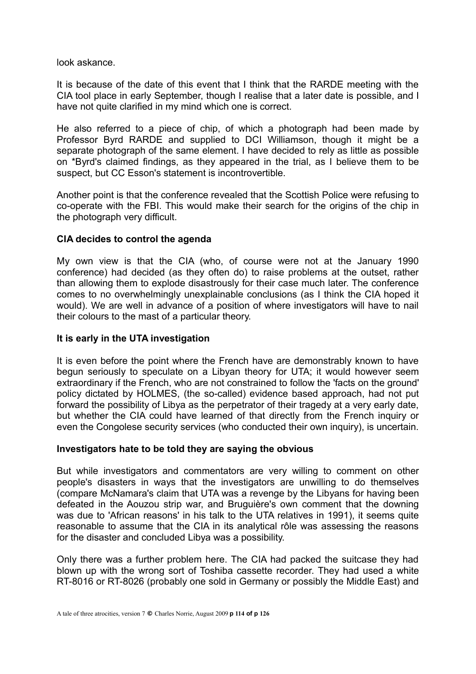look askance.

It is because of the date of this event that I think that the RARDE meeting with the CIA tool place in early September, though I realise that a later date is possible, and I have not quite clarified in my mind which one is correct.

He also referred to a piece of chip, of which a photograph had been made by Professor Byrd RARDE and supplied to DCI Williamson, though it might be a separate photograph of the same element. I have decided to rely as little as possible on \*Byrd's claimed findings, as they appeared in the trial, as I believe them to be suspect, but CC Esson's statement is incontrovertible.

Another point is that the conference revealed that the Scottish Police were refusing to co-operate with the FBI. This would make their search for the origins of the chip in the photograph very difficult.

# **CIA decides to control the agenda**

My own view is that the CIA (who, of course were not at the January 1990 conference) had decided (as they often do) to raise problems at the outset, rather than allowing them to explode disastrously for their case much later. The conference comes to no overwhelmingly unexplainable conclusions (as I think the CIA hoped it would). We are well in advance of a position of where investigators will have to nail their colours to the mast of a particular theory.

#### **It is early in the UTA investigation**

It is even before the point where the French have are demonstrably known to have begun seriously to speculate on a Libyan theory for UTA; it would however seem extraordinary if the French, who are not constrained to follow the 'facts on the ground' policy dictated by HOLMES, (the so-called) evidence based approach, had not put forward the possibility of Libya as the perpetrator of their tragedy at a very early date, but whether the CIA could have learned of that directly from the French inquiry or even the Congolese security services (who conducted their own inquiry), is uncertain.

# **Investigators hate to be told they are saying the obvious**

But while investigators and commentators are very willing to comment on other people's disasters in ways that the investigators are unwilling to do themselves (compare McNamara's claim that UTA was a revenge by the Libyans for having been defeated in the Aouzou strip war, and Bruguière's own comment that the downing was due to 'African reasons' in his talk to the UTA relatives in 1991), it seems quite reasonable to assume that the CIA in its analytical rôle was assessing the reasons for the disaster and concluded Libya was a possibility.

Only there was a further problem here. The CIA had packed the suitcase they had blown up with the wrong sort of Toshiba cassette recorder. They had used a white RT-8016 or RT-8026 (probably one sold in Germany or possibly the Middle East) and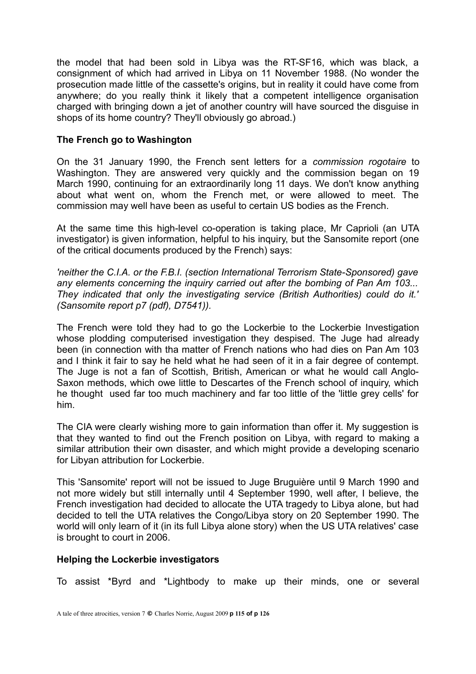the model that had been sold in Libya was the RT-SF16, which was black, a consignment of which had arrived in Libya on 11 November 1988. (No wonder the prosecution made little of the cassette's origins, but in reality it could have come from anywhere; do you really think it likely that a competent intelligence organisation charged with bringing down a jet of another country will have sourced the disguise in shops of its home country? They'll obviously go abroad.)

# **The French go to Washington**

On the 31 January 1990, the French sent letters for a *commission rogotaire* to Washington. They are answered very quickly and the commission began on 19 March 1990, continuing for an extraordinarily long 11 days. We don't know anything about what went on, whom the French met, or were allowed to meet. The commission may well have been as useful to certain US bodies as the French.

At the same time this high-level co-operation is taking place, Mr Caprioli (an UTA investigator) is given information, helpful to his inquiry, but the Sansomite report (one of the critical documents produced by the French) says:

*'neither the C.I.A. or the F.B.I. (section International Terrorism State-Sponsored) gave any elements concerning the inquiry carried out after the bombing of Pan Am 103... They indicated that only the investigating service (British Authorities) could do it.' (Sansomite report p7 (pdf), D7541)).*

The French were told they had to go the Lockerbie to the Lockerbie Investigation whose plodding computerised investigation they despised. The Juge had already been (in connection with tha matter of French nations who had dies on Pan Am 103 and I think it fair to say he held what he had seen of it in a fair degree of contempt. The Juge is not a fan of Scottish, British, American or what he would call Anglo-Saxon methods, which owe little to Descartes of the French school of inquiry, which he thought used far too much machinery and far too little of the 'little grey cells' for him.

The CIA were clearly wishing more to gain information than offer it. My suggestion is that they wanted to find out the French position on Libya, with regard to making a similar attribution their own disaster, and which might provide a developing scenario for Libyan attribution for Lockerbie.

This 'Sansomite' report will not be issued to Juge Bruguière until 9 March 1990 and not more widely but still internally until 4 September 1990, well after, I believe, the French investigation had decided to allocate the UTA tragedy to Libya alone, but had decided to tell the UTA relatives the Congo/Libya story on 20 September 1990. The world will only learn of it (in its full Libya alone story) when the US UTA relatives' case is brought to court in 2006.

# **Helping the Lockerbie investigators**

To assist \*Byrd and \*Lightbody to make up their minds, one or several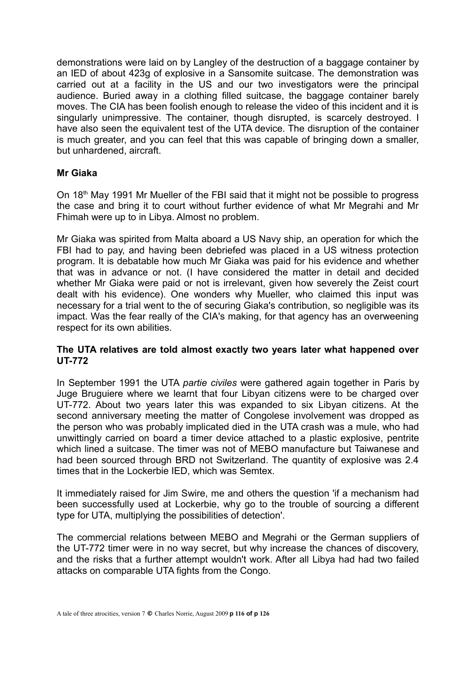demonstrations were laid on by Langley of the destruction of a baggage container by an IED of about 423g of explosive in a Sansomite suitcase. The demonstration was carried out at a facility in the US and our two investigators were the principal audience. Buried away in a clothing filled suitcase, the baggage container barely moves. The CIA has been foolish enough to release the video of this incident and it is singularly unimpressive. The container, though disrupted, is scarcely destroyed. I have also seen the equivalent test of the UTA device. The disruption of the container is much greater, and you can feel that this was capable of bringing down a smaller, but unhardened, aircraft.

# **Mr Giaka**

On 18<sup>th</sup> May 1991 Mr Mueller of the FBI said that it might not be possible to progress the case and bring it to court without further evidence of what Mr Megrahi and Mr Fhimah were up to in Libya. Almost no problem.

Mr Giaka was spirited from Malta aboard a US Navy ship, an operation for which the FBI had to pay, and having been debriefed was placed in a US witness protection program. It is debatable how much Mr Giaka was paid for his evidence and whether that was in advance or not. (I have considered the matter in detail and decided whether Mr Giaka were paid or not is irrelevant, given how severely the Zeist court dealt with his evidence). One wonders why Mueller, who claimed this input was necessary for a trial went to the of securing Giaka's contribution, so negligible was its impact. Was the fear really of the CIA's making, for that agency has an overweening respect for its own abilities.

# **The UTA relatives are told almost exactly two years later what happened over UT-772**

In September 1991 the UTA *partie civiles* were gathered again together in Paris by Juge Bruguiere where we learnt that four Libyan citizens were to be charged over UT-772. About two years later this was expanded to six Libyan citizens. At the second anniversary meeting the matter of Congolese involvement was dropped as the person who was probably implicated died in the UTA crash was a mule, who had unwittingly carried on board a timer device attached to a plastic explosive, pentrite which lined a suitcase. The timer was not of MEBO manufacture but Taiwanese and had been sourced through BRD not Switzerland. The quantity of explosive was 2.4 times that in the Lockerbie IED, which was Semtex.

It immediately raised for Jim Swire, me and others the question 'if a mechanism had been successfully used at Lockerbie, why go to the trouble of sourcing a different type for UTA, multiplying the possibilities of detection'.

The commercial relations between MEBO and Megrahi or the German suppliers of the UT-772 timer were in no way secret, but why increase the chances of discovery, and the risks that a further attempt wouldn't work. After all Libya had had two failed attacks on comparable UTA fights from the Congo.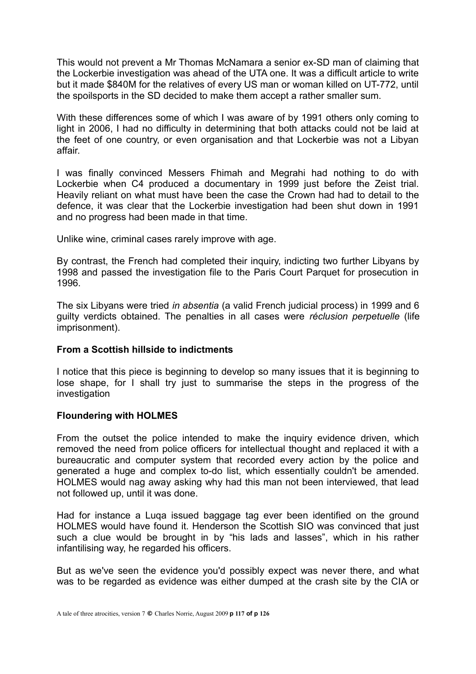This would not prevent a Mr Thomas McNamara a senior ex-SD man of claiming that the Lockerbie investigation was ahead of the UTA one. It was a difficult article to write but it made \$840M for the relatives of every US man or woman killed on UT-772, until the spoilsports in the SD decided to make them accept a rather smaller sum.

With these differences some of which I was aware of by 1991 others only coming to light in 2006, I had no difficulty in determining that both attacks could not be laid at the feet of one country, or even organisation and that Lockerbie was not a Libyan affair.

I was finally convinced Messers Fhimah and Megrahi had nothing to do with Lockerbie when C4 produced a documentary in 1999 just before the Zeist trial. Heavily reliant on what must have been the case the Crown had had to detail to the defence, it was clear that the Lockerbie investigation had been shut down in 1991 and no progress had been made in that time.

Unlike wine, criminal cases rarely improve with age.

By contrast, the French had completed their inquiry, indicting two further Libyans by 1998 and passed the investigation file to the Paris Court Parquet for prosecution in 1996.

The six Libyans were tried *in absentia* (a valid French judicial process) in 1999 and 6 guilty verdicts obtained. The penalties in all cases were *réclusion perpetuelle* (life imprisonment).

# **From a Scottish hillside to indictments**

I notice that this piece is beginning to develop so many issues that it is beginning to lose shape, for I shall try just to summarise the steps in the progress of the investigation

# **Floundering with HOLMES**

From the outset the police intended to make the inquiry evidence driven, which removed the need from police officers for intellectual thought and replaced it with a bureaucratic and computer system that recorded every action by the police and generated a huge and complex to-do list, which essentially couldn't be amended. HOLMES would nag away asking why had this man not been interviewed, that lead not followed up, until it was done.

Had for instance a Luqa issued baggage tag ever been identified on the ground HOLMES would have found it. Henderson the Scottish SIO was convinced that just such a clue would be brought in by "his lads and lasses", which in his rather infantilising way, he regarded his officers.

But as we've seen the evidence you'd possibly expect was never there, and what was to be regarded as evidence was either dumped at the crash site by the CIA or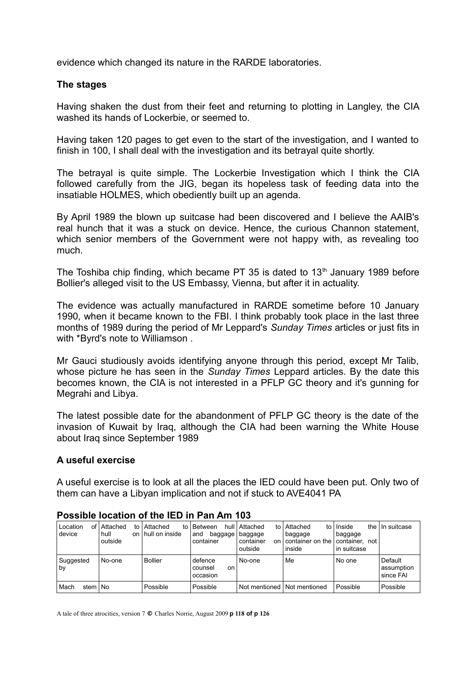evidence which changed its nature in the RARDE laboratories.

#### **The stages**

Having shaken the dust from their feet and returning to plotting in Langley, the CIA washed its hands of Lockerbie, or seemed to.

Having taken 120 pages to get even to the start of the investigation, and I wanted to finish in 100, I shall deal with the investigation and its betrayal quite shortly.

The betrayal is quite simple. The Lockerbie Investigation which I think the CIA followed carefully from the JIG, began its hopeless task of feeding data into the insatiable HOLMES, which obediently built up an agenda.

By April 1989 the blown up suitcase had been discovered and I believe the AAIB's real hunch that it was a stuck on device. Hence, the curious Channon statement, which senior members of the Government were not happy with, as revealing too much.

The Toshiba chip finding, which became PT 35 is dated to  $13<sup>th</sup>$  January 1989 before Bollier's alleged visit to the US Embassy, Vienna, but after it in actuality.

The evidence was actually manufactured in RARDE sometime before 10 January 1990, when it became known to the FBI. I think probably took place in the last three months of 1989 during the period of Mr Leppard's *Sunday Times* articles or just fits in with \*Byrd's note to Williamson .

Mr Gauci studiously avoids identifying anyone through this period, except Mr Talib, whose picture he has seen in the *Sunday Times* Leppard articles. By the date this becomes known, the CIA is not interested in a PFLP GC theory and it's gunning for Megrahi and Libya.

The latest possible date for the abandonment of PFLP GC theory is the date of the invasion of Kuwait by Iraq, although the CIA had been warning the White House about Iraq since September 1989

# **A useful exercise**

A useful exercise is to look at all the places the IED could have been put. Only two of them can have a Libyan implication and not if stuck to AVE4041 PA

| Location<br>οf<br>device | Attached<br>to<br>hull<br>on<br>outside | Attached<br>to<br>hull on inside | hull<br>Between<br>baggage<br>and<br>container | Attached<br>t٥<br>baggage<br>container<br>on<br>outside | Attached<br>to l<br>baggage<br>container on the<br>inside | Inside<br>baggage<br>container, not<br>in suitcase | the $\vert$ In suitcase            |
|--------------------------|-----------------------------------------|----------------------------------|------------------------------------------------|---------------------------------------------------------|-----------------------------------------------------------|----------------------------------------------------|------------------------------------|
| Suggested<br>by          | No-one                                  | <b>Bollier</b>                   | defence<br>counsel<br>on<br>occasion           | No-one                                                  | Me                                                        | No one                                             | Default<br>assumption<br>since FAI |
| stem   No<br>Mach        |                                         | Possible                         | Possible                                       | Not mentioned                                           | Not mentioned                                             | Possible                                           | Possible                           |

#### **Possible location of the IED in Pan Am 103**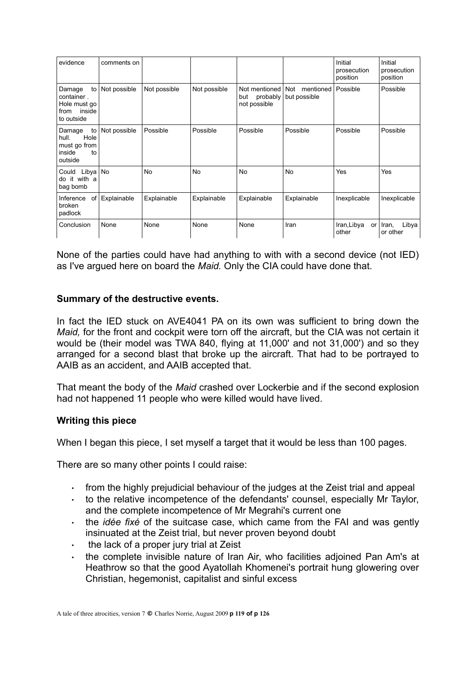| evidence                                                                   | comments on  |              |              |                                                  |                                  | Initial<br>prosecution<br>position | Initial<br>prosecution<br>position |
|----------------------------------------------------------------------------|--------------|--------------|--------------|--------------------------------------------------|----------------------------------|------------------------------------|------------------------------------|
| to<br>Damage<br>container.<br>Hole must go<br>inside<br>from<br>to outside | Not possible | Not possible | Not possible | Not mentioned<br>probably<br>but<br>not possible | Not<br>mentioned<br>but possible | Possible                           | Possible                           |
| to<br>Damage<br>Hole<br>hull.<br>must go from<br>inside<br>to<br>outside   | Not possible | Possible     | Possible     | Possible                                         | Possible                         | Possible                           | Possible                           |
| Could Libya<br>do it with a<br>bag bomb                                    | No           | <b>No</b>    | <b>No</b>    | No                                               | <b>No</b>                        | Yes                                | Yes                                |
| Inference<br>of<br>broken<br>padlock                                       | Explainable  | Explainable  | Explainable  | Explainable                                      | Explainable                      | Inexplicable                       | Inexplicable                       |
| Conclusion                                                                 | None         | None         | None         | None                                             | Iran                             | Iran, Libya<br>or<br>other         | Libya<br>Iran,<br>or other         |

None of the parties could have had anything to with with a second device (not IED) as I've argued here on board the *Maid.* Only the CIA could have done that.

# **Summary of the destructive events.**

In fact the IED stuck on AVE4041 PA on its own was sufficient to bring down the *Maid,* for the front and cockpit were torn off the aircraft, but the CIA was not certain it would be (their model was TWA 840, flying at 11,000' and not 31,000') and so they arranged for a second blast that broke up the aircraft. That had to be portrayed to AAIB as an accident, and AAIB accepted that.

That meant the body of the *Maid* crashed over Lockerbie and if the second explosion had not happened 11 people who were killed would have lived.

#### **Writing this piece**

When I began this piece, I set myself a target that it would be less than 100 pages.

There are so many other points I could raise:

- $\cdot$  from the highly prejudicial behaviour of the judges at the Zeist trial and appeal
- $\cdot$  to the relative incompetence of the defendants' counsel, especially Mr Taylor, and the complete incompetence of Mr Megrahi's current one
- . the *idée fixé* of the suitcase case, which came from the FAI and was gently insinuated at the Zeist trial, but never proven beyond doubt
- $\cdot$  the lack of a proper jury trial at Zeist
- $\cdot$  the complete invisible nature of Iran Air, who facilities adjoined Pan Am's at Heathrow so that the good Ayatollah Khomenei's portrait hung glowering over Christian, hegemonist, capitalist and sinful excess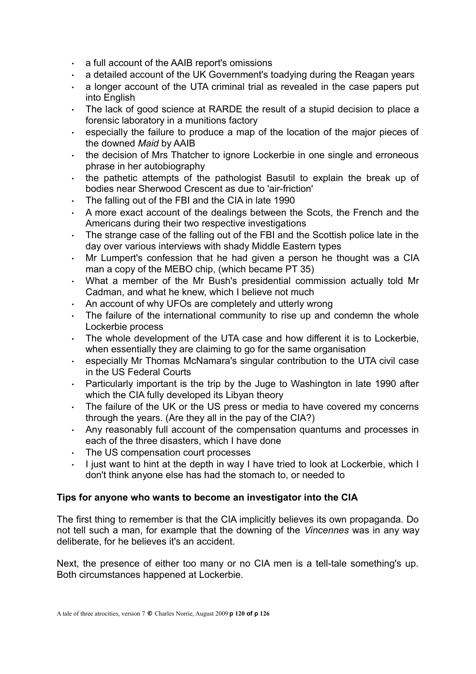- $\cdot$  a full account of the AAIB report's omissions
- $\cdot$  a detailed account of the UK Government's toadying during the Reagan years
- a longer account of the UTA criminal trial as revealed in the case papers put into English
- The lack of good science at RARDE the result of a stupid decision to place a forensic laboratory in a munitions factory
- especially the failure to produce a map of the location of the major pieces of the downed *Maid* by AAIB
- the decision of Mrs Thatcher to ignore Lockerbie in one single and erroneous phrase in her autobiography
- $\cdot$  the pathetic attempts of the pathologist Basutil to explain the break up of bodies near Sherwood Crescent as due to 'air-friction'
- The falling out of the FBI and the CIA in late 1990
- A more exact account of the dealings between the Scots, the French and the Americans during their two respective investigations
- The strange case of the falling out of the FBI and the Scottish police late in the day over various interviews with shady Middle Eastern types
- Mr Lumpert's confession that he had given a person he thought was a CIA man a copy of the MEBO chip, (which became PT 35)
- What a member of the Mr Bush's presidential commission actually told Mr Cadman, and what he knew, which I believe not much
- An account of why UFOs are completely and utterly wrong
- The failure of the international community to rise up and condemn the whole Lockerbie process
- The whole development of the UTA case and how different it is to Lockerbie, when essentially they are claiming to go for the same organisation
- especially Mr Thomas McNamara's singular contribution to the UTA civil case in the US Federal Courts
- Particularly important is the trip by the Juge to Washington in late 1990 after which the CIA fully developed its Libyan theory
- The failure of the UK or the US press or media to have covered my concerns through the years. (Are they all in the pay of the CIA?)
- Any reasonably full account of the compensation quantums and processes in each of the three disasters, which I have done
- . The US compensation court processes
- $\cdot$  I just want to hint at the depth in way I have tried to look at Lockerbie, which I don't think anyone else has had the stomach to, or needed to

# **Tips for anyone who wants to become an investigator into the CIA**

The first thing to remember is that the CIA implicitly believes its own propaganda. Do not tell such a man, for example that the downing of the *Vincennes* was in any way deliberate, for he believes it's an accident.

Next, the presence of either too many or no CIA men is a tell-tale something's up. Both circumstances happened at Lockerbie.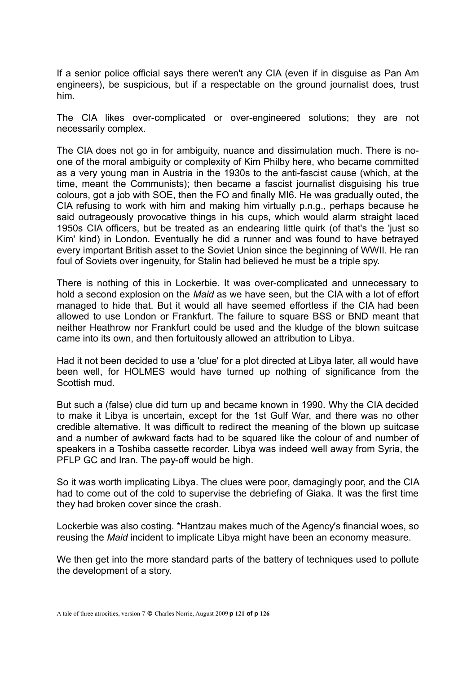If a senior police official says there weren't any CIA (even if in disguise as Pan Am engineers), be suspicious, but if a respectable on the ground journalist does, trust him.

The CIA likes over-complicated or over-engineered solutions; they are not necessarily complex.

The CIA does not go in for ambiguity, nuance and dissimulation much. There is noone of the moral ambiguity or complexity of Kim Philby here, who became committed as a very young man in Austria in the 1930s to the anti-fascist cause (which, at the time, meant the Communists); then became a fascist journalist disguising his true colours, got a job with SOE, then the FO and finally MI6. He was gradually outed, the CIA refusing to work with him and making him virtually p.n.g., perhaps because he said outrageously provocative things in his cups, which would alarm straight laced 1950s CIA officers, but be treated as an endearing little quirk (of that's the 'just so Kim' kind) in London. Eventually he did a runner and was found to have betrayed every important British asset to the Soviet Union since the beginning of WWII. He ran foul of Soviets over ingenuity, for Stalin had believed he must be a triple spy.

There is nothing of this in Lockerbie. It was over-complicated and unnecessary to hold a second explosion on the *Maid* as we have seen, but the CIA with a lot of effort managed to hide that. But it would all have seemed effortless if the CIA had been allowed to use London or Frankfurt. The failure to square BSS or BND meant that neither Heathrow nor Frankfurt could be used and the kludge of the blown suitcase came into its own, and then fortuitously allowed an attribution to Libya.

Had it not been decided to use a 'clue' for a plot directed at Libya later, all would have been well, for HOLMES would have turned up nothing of significance from the Scottish mud.

But such a (false) clue did turn up and became known in 1990. Why the CIA decided to make it Libya is uncertain, except for the 1st Gulf War, and there was no other credible alternative. It was difficult to redirect the meaning of the blown up suitcase and a number of awkward facts had to be squared like the colour of and number of speakers in a Toshiba cassette recorder. Libya was indeed well away from Syria, the PFLP GC and Iran. The pay-off would be high.

So it was worth implicating Libya. The clues were poor, damagingly poor, and the CIA had to come out of the cold to supervise the debriefing of Giaka. It was the first time they had broken cover since the crash.

Lockerbie was also costing. \*Hantzau makes much of the Agency's financial woes, so reusing the *Maid* incident to implicate Libya might have been an economy measure.

We then get into the more standard parts of the battery of techniques used to pollute the development of a story.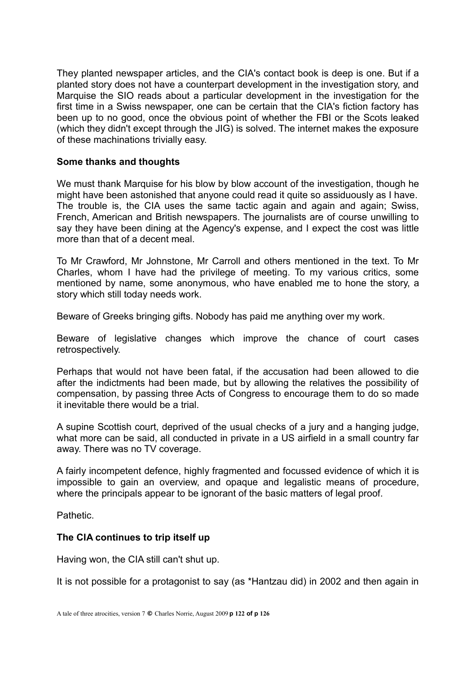They planted newspaper articles, and the CIA's contact book is deep is one. But if a planted story does not have a counterpart development in the investigation story, and Marquise the SIO reads about a particular development in the investigation for the first time in a Swiss newspaper, one can be certain that the CIA's fiction factory has been up to no good, once the obvious point of whether the FBI or the Scots leaked (which they didn't except through the JIG) is solved. The internet makes the exposure of these machinations trivially easy.

# **Some thanks and thoughts**

We must thank Marquise for his blow by blow account of the investigation, though he might have been astonished that anyone could read it quite so assiduously as I have. The trouble is, the CIA uses the same tactic again and again and again; Swiss, French, American and British newspapers. The journalists are of course unwilling to say they have been dining at the Agency's expense, and I expect the cost was little more than that of a decent meal.

To Mr Crawford, Mr Johnstone, Mr Carroll and others mentioned in the text. To Mr Charles, whom I have had the privilege of meeting. To my various critics, some mentioned by name, some anonymous, who have enabled me to hone the story, a story which still today needs work.

Beware of Greeks bringing gifts. Nobody has paid me anything over my work.

Beware of legislative changes which improve the chance of court cases retrospectively.

Perhaps that would not have been fatal, if the accusation had been allowed to die after the indictments had been made, but by allowing the relatives the possibility of compensation, by passing three Acts of Congress to encourage them to do so made it inevitable there would be a trial.

A supine Scottish court, deprived of the usual checks of a jury and a hanging judge, what more can be said, all conducted in private in a US airfield in a small country far away. There was no TV coverage.

A fairly incompetent defence, highly fragmented and focussed evidence of which it is impossible to gain an overview, and opaque and legalistic means of procedure, where the principals appear to be ignorant of the basic matters of legal proof.

Pathetic.

# **The CIA continues to trip itself up**

Having won, the CIA still can't shut up.

It is not possible for a protagonist to say (as \*Hantzau did) in 2002 and then again in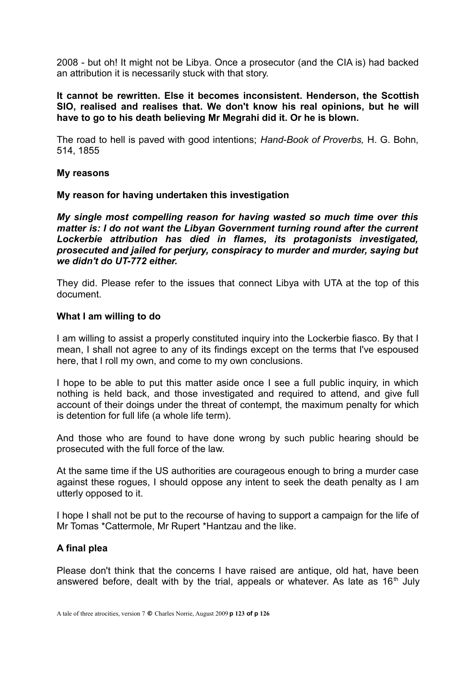2008 - but oh! It might not be Libya. Once a prosecutor (and the CIA is) had backed an attribution it is necessarily stuck with that story.

**It cannot be rewritten. Else it becomes inconsistent. Henderson, the Scottish SIO, realised and realises that. We don't know his real opinions, but he will have to go to his death believing Mr Megrahi did it. Or he is blown.**

The road to hell is paved with good intentions; *Hand-Book of Proverbs,* H. G. Bohn*,* 514, 1855

#### **My reasons**

#### **My reason for having undertaken this investigation**

*My single most compelling reason for having wasted so much time over this matter is: I do not want the Libyan Government turning round after the current Lockerbie attribution has died in flames, its protagonists investigated, prosecuted and jailed for perjury, conspiracy to murder and murder, saying but we didn't do UT-772 either.*

They did. Please refer to the issues that connect Libya with UTA at the top of this document.

#### **What I am willing to do**

I am willing to assist a properly constituted inquiry into the Lockerbie fiasco. By that I mean, I shall not agree to any of its findings except on the terms that I've espoused here, that I roll my own, and come to my own conclusions.

I hope to be able to put this matter aside once I see a full public inquiry, in which nothing is held back, and those investigated and required to attend, and give full account of their doings under the threat of contempt, the maximum penalty for which is detention for full life (a whole life term).

And those who are found to have done wrong by such public hearing should be prosecuted with the full force of the law.

At the same time if the US authorities are courageous enough to bring a murder case against these rogues, I should oppose any intent to seek the death penalty as I am utterly opposed to it.

I hope I shall not be put to the recourse of having to support a campaign for the life of Mr Tomas \*Cattermole, Mr Rupert \*Hantzau and the like.

#### **A final plea**

Please don't think that the concerns I have raised are antique, old hat, have been answered before, dealt with by the trial, appeals or whatever. As late as  $16<sup>th</sup>$  July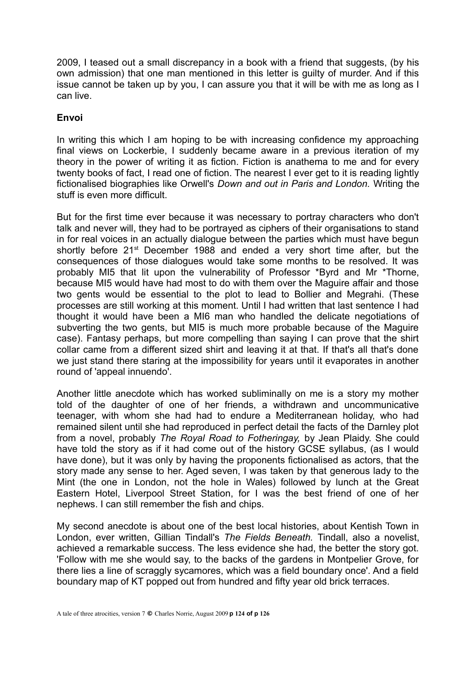2009, I teased out a small discrepancy in a book with a friend that suggests, (by his own admission) that one man mentioned in this letter is guilty of murder. And if this issue cannot be taken up by you, I can assure you that it will be with me as long as I can live.

# **Envoi**

In writing this which I am hoping to be with increasing confidence my approaching final views on Lockerbie, I suddenly became aware in a previous iteration of my theory in the power of writing it as fiction. Fiction is anathema to me and for every twenty books of fact, I read one of fiction. The nearest I ever get to it is reading lightly fictionalised biographies like Orwell's *Down and out in Paris and London.* Writing the stuff is even more difficult.

But for the first time ever because it was necessary to portray characters who don't talk and never will, they had to be portrayed as ciphers of their organisations to stand in for real voices in an actually dialogue between the parties which must have begun shortly before 21<sup>st</sup> December 1988 and ended a very short time after, but the consequences of those dialogues would take some months to be resolved. It was probably MI5 that lit upon the vulnerability of Professor \*Byrd and Mr \*Thorne, because MI5 would have had most to do with them over the Maguire affair and those two gents would be essential to the plot to lead to Bollier and Megrahi. (These processes are still working at this moment. Until I had written that last sentence I had thought it would have been a MI6 man who handled the delicate negotiations of subverting the two gents, but MI5 is much more probable because of the Maguire case). Fantasy perhaps, but more compelling than saying I can prove that the shirt collar came from a different sized shirt and leaving it at that. If that's all that's done we just stand there staring at the impossibility for years until it evaporates in another round of 'appeal innuendo'.

Another little anecdote which has worked subliminally on me is a story my mother told of the daughter of one of her friends, a withdrawn and uncommunicative teenager, with whom she had had to endure a Mediterranean holiday, who had remained silent until she had reproduced in perfect detail the facts of the Darnley plot from a novel, probably *The Royal Road to Fotheringay,* by Jean Plaidy. She could have told the story as if it had come out of the history GCSE syllabus, (as I would have done), but it was only by having the proponents fictionalised as actors, that the story made any sense to her. Aged seven, I was taken by that generous lady to the Mint (the one in London, not the hole in Wales) followed by lunch at the Great Eastern Hotel, Liverpool Street Station, for I was the best friend of one of her nephews. I can still remember the fish and chips.

My second anecdote is about one of the best local histories, about Kentish Town in London, ever written, Gillian Tindall's *The Fields Beneath.* Tindall, also a novelist, achieved a remarkable success. The less evidence she had, the better the story got. 'Follow with me she would say, to the backs of the gardens in Montpelier Grove, for there lies a line of scraggly sycamores, which was a field boundary once'. And a field boundary map of KT popped out from hundred and fifty year old brick terraces.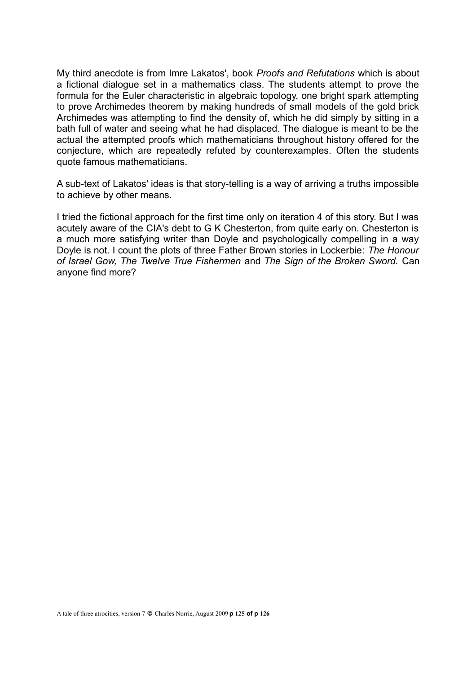My third anecdote is from Imre Lakatos', book *Proofs and Refutations* which is about a fictional dialogue set in a mathematics class. The students attempt to prove the formula for the Euler characteristic in algebraic topology, one bright spark attempting to prove Archimedes theorem by making hundreds of small models of the gold brick Archimedes was attempting to find the density of, which he did simply by sitting in a bath full of water and seeing what he had displaced. The dialogue is meant to be the actual the attempted proofs which mathematicians throughout history offered for the conjecture, which are repeatedly refuted by counterexamples. Often the students quote famous mathematicians.

A sub-text of Lakatos' ideas is that story-telling is a way of arriving a truths impossible to achieve by other means.

I tried the fictional approach for the first time only on iteration 4 of this story. But I was acutely aware of the CIA's debt to G K Chesterton, from quite early on. Chesterton is a much more satisfying writer than Doyle and psychologically compelling in a way Doyle is not. I count the plots of three Father Brown stories in Lockerbie: *The Honour of Israel Gow, The Twelve True Fishermen* and *The Sign of the Broken Sword.* Can anyone find more?